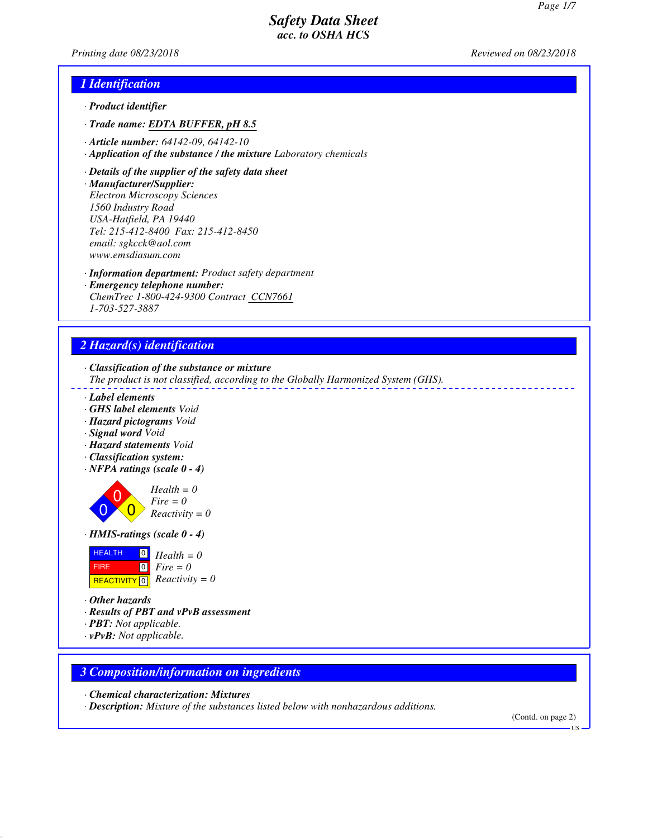*Printing date 08/23/2018 Reviewed on 08/23/2018*

## *1 Identification*

- *· Product identifier*
- *· Trade name: EDTA BUFFER, pH 8.5*
- *· Article number: 64142-09, 64142-10*
- *· Application of the substance / the mixture Laboratory chemicals*
- *· Details of the supplier of the safety data sheet*
- *· Manufacturer/Supplier: Electron Microscopy Sciences 1560 Industry Road USA-Hatfield, PA 19440 Tel: 215-412-8400 Fax: 215-412-8450*

*email: sgkcck@aol.com www.emsdiasum.com*

- *· Information department: Product safety department*
- *· Emergency telephone number: ChemTrec 1-800-424-9300 Contract CCN7661 1-703-527-3887*

# *2 Hazard(s) identification*

*· Classification of the substance or mixture*

- *The product is not classified, according to the Globally Harmonized System (GHS).*
- *· Label elements*
- *· GHS label elements Void*
- *· Hazard pictograms Void*
- *· Signal word Void*
- *· Hazard statements Void*
- *· Classification system:*
- *· NFPA ratings (scale 0 4)*



*Health = 0 Fire = 0 Reactivity = 0*

*· HMIS-ratings (scale 0 - 4)*



- *· Other hazards*
- *· Results of PBT and vPvB assessment*
- *· PBT: Not applicable.*
- *· vPvB: Not applicable.*

## *3 Composition/information on ingredients*

- *· Chemical characterization: Mixtures*
- *· Description: Mixture of the substances listed below with nonhazardous additions.*

(Contd. on page 2)

**HS**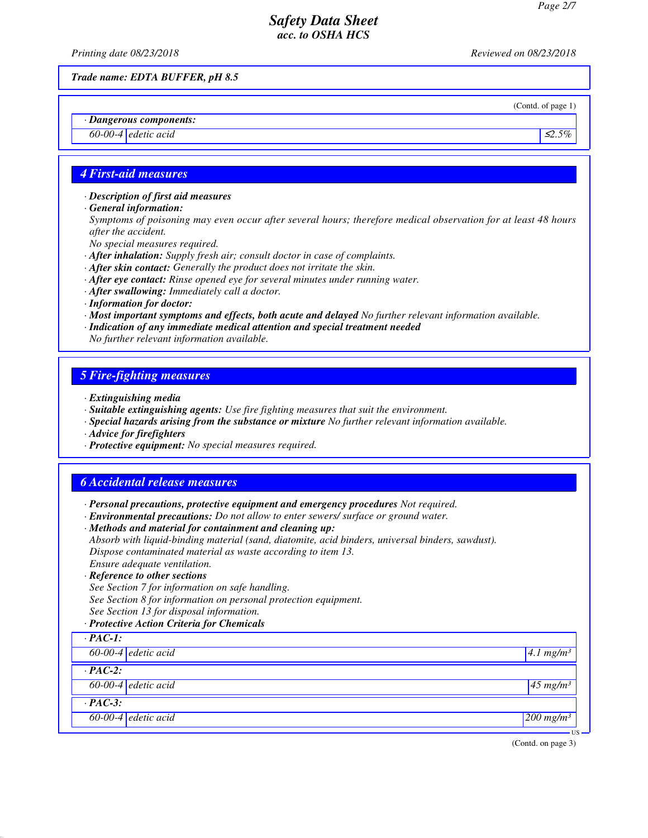*Printing date 08/23/2018 Reviewed on 08/23/2018*

*Trade name: EDTA BUFFER, pH 8.5*

(Contd. of page 1)

*· Dangerous components:*

*60-00-4 edetic acid* ≤*2.5%*

## *4 First-aid measures*

*· Description of first aid measures*

*· General information:*

*Symptoms of poisoning may even occur after several hours; therefore medical observation for at least 48 hours after the accident.*

*No special measures required.*

- *· After inhalation: Supply fresh air; consult doctor in case of complaints.*
- *· After skin contact: Generally the product does not irritate the skin.*
- *· After eye contact: Rinse opened eye for several minutes under running water.*
- *· After swallowing: Immediately call a doctor.*
- *· Information for doctor:*
- *· Most important symptoms and effects, both acute and delayed No further relevant information available.*
- *· Indication of any immediate medical attention and special treatment needed*

*No further relevant information available.*

## *5 Fire-fighting measures*

- *· Extinguishing media*
- *· Suitable extinguishing agents: Use fire fighting measures that suit the environment.*
- *· Special hazards arising from the substance or mixture No further relevant information available.*
- *· Advice for firefighters*
- *· Protective equipment: No special measures required.*

## *6 Accidental release measures*

*· Personal precautions, protective equipment and emergency procedures Not required.*

*· Environmental precautions: Do not allow to enter sewers/ surface or ground water.*

*· Methods and material for containment and cleaning up: Absorb with liquid-binding material (sand, diatomite, acid binders, universal binders, sawdust). Dispose contaminated material as waste according to item 13. Ensure adequate ventilation.*

#### *· Reference to other sections*

*See Section 7 for information on safe handling. See Section 8 for information on personal protection equipment.*

*See Section 13 for disposal information.*

*· Protective Action Criteria for Chemicals*

| $\cdot$ PAC-1:        |                         |  |
|-----------------------|-------------------------|--|
| $60-00-4$ edetic acid | $4.1$ mg/m <sup>3</sup> |  |
| $\cdot$ PAC-2:        |                         |  |
| $60-00-4$ edetic acid | $45$ mg/m <sup>3</sup>  |  |
| $\cdot$ PAC-3:        |                         |  |
| $60-00-4$ edetic acid | $200$ mg/m <sup>3</sup> |  |

(Contd. on page 3)

US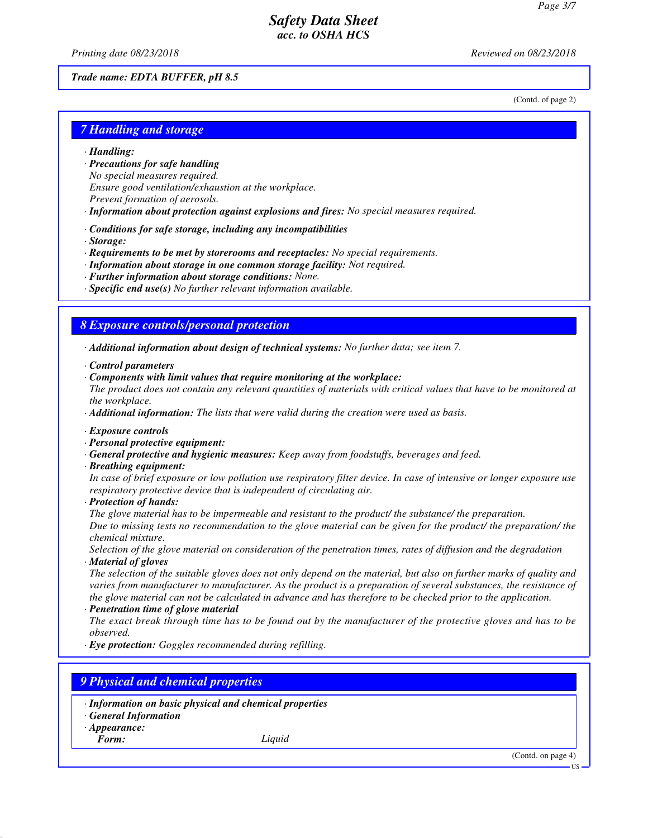*Printing date 08/23/2018 Reviewed on 08/23/2018*

#### *Trade name: EDTA BUFFER, pH 8.5*

(Contd. of page 2)

## *7 Handling and storage*

- *· Handling:*
- *· Precautions for safe handling*
- *No special measures required.*
- *Ensure good ventilation/exhaustion at the workplace.*
- *Prevent formation of aerosols.*
- *· Information about protection against explosions and fires: No special measures required.*
- *· Conditions for safe storage, including any incompatibilities*
- *· Storage:*
- *· Requirements to be met by storerooms and receptacles: No special requirements.*
- *· Information about storage in one common storage facility: Not required.*
- *· Further information about storage conditions: None.*
- *· Specific end use(s) No further relevant information available.*

#### *8 Exposure controls/personal protection*

*· Additional information about design of technical systems: No further data; see item 7.*

- *· Control parameters*
- *· Components with limit values that require monitoring at the workplace:*
- *The product does not contain any relevant quantities of materials with critical values that have to be monitored at the workplace.*
- *· Additional information: The lists that were valid during the creation were used as basis.*
- *· Exposure controls*
- *· Personal protective equipment:*
- *· General protective and hygienic measures: Keep away from foodstuffs, beverages and feed.*
- *· Breathing equipment:*

*In case of brief exposure or low pollution use respiratory filter device. In case of intensive or longer exposure use respiratory protective device that is independent of circulating air.*

*· Protection of hands:*

*The glove material has to be impermeable and resistant to the product/ the substance/ the preparation. Due to missing tests no recommendation to the glove material can be given for the product/ the preparation/ the chemical mixture.*

*Selection of the glove material on consideration of the penetration times, rates of diffusion and the degradation · Material of gloves*

*The selection of the suitable gloves does not only depend on the material, but also on further marks of quality and varies from manufacturer to manufacturer. As the product is a preparation of several substances, the resistance of the glove material can not be calculated in advance and has therefore to be checked prior to the application.*

*· Penetration time of glove material*

*The exact break through time has to be found out by the manufacturer of the protective gloves and has to be observed.*

*· Eye protection: Goggles recommended during refilling.*

# *9 Physical and chemical properties*

- *· Information on basic physical and chemical properties*
- *· General Information*
- *· Appearance:*

*Form: Liquid*

(Contd. on page 4)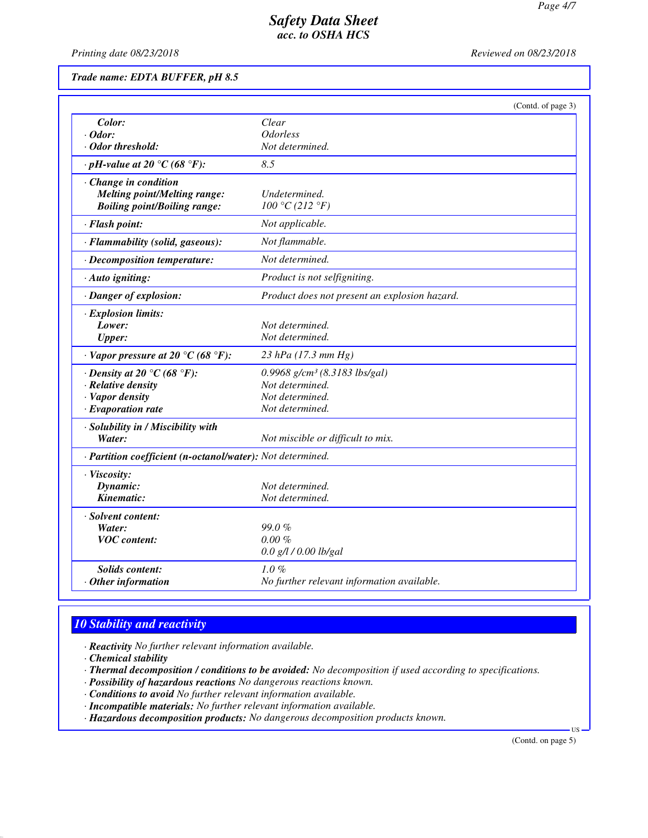*Printing date 08/23/2018 Reviewed on 08/23/2018*

*Trade name: EDTA BUFFER, pH 8.5*

|                                                            | (Contd. of page 3)                            |
|------------------------------------------------------------|-----------------------------------------------|
| Color:                                                     | Clear                                         |
| $\cdot$ Odor:                                              | <i><b>Odorless</b></i>                        |
| · Odor threshold:                                          | Not determined.                               |
| $\cdot$ pH-value at 20 °C (68 °F):                         | 8.5                                           |
| $\cdot$ Change in condition                                |                                               |
| Melting point/Melting range:                               | Undetermined.                                 |
| <b>Boiling point/Boiling range:</b>                        | 100 °C (212 °F)                               |
| · Flash point:                                             | Not applicable.                               |
| · Flammability (solid, gaseous):                           | Not flammable.                                |
| $\cdot$ Decomposition temperature:                         | Not determined.                               |
| · Auto igniting:                                           | Product is not selfigniting.                  |
| · Danger of explosion:                                     | Product does not present an explosion hazard. |
| · Explosion limits:                                        |                                               |
| Lower:                                                     | Not determined.                               |
| <b>Upper:</b>                                              | Not determined.                               |
| $\cdot$ Vapor pressure at 20 °C (68 °F):                   | 23 hPa (17.3 mm Hg)                           |
| $\cdot$ Density at 20 °C (68 °F):                          | $0.9968$ g/cm <sup>3</sup> (8.3183 lbs/gal)   |
| · Relative density                                         | Not determined.                               |
| · Vapor density                                            | Not determined.                               |
| $\cdot$ Evaporation rate                                   | Not determined.                               |
| · Solubility in / Miscibility with                         |                                               |
| Water:                                                     | Not miscible or difficult to mix.             |
| · Partition coefficient (n-octanol/water): Not determined. |                                               |
| · Viscosity:                                               |                                               |
| Dynamic:                                                   | Not determined.                               |
| Kinematic:                                                 | Not determined.                               |
| · Solvent content:                                         |                                               |
| Water:                                                     | $99.0\%$                                      |
| <b>VOC</b> content:                                        | $0.00 \%$                                     |
|                                                            | 0.0 g/l / 0.00 lb/gal                         |
| <b>Solids content:</b>                                     | $1.0 \%$                                      |
| $\cdot$ Other information                                  | No further relevant information available.    |

# *10 Stability and reactivity*

*· Reactivity No further relevant information available.*

- *· Chemical stability*
- *· Thermal decomposition / conditions to be avoided: No decomposition if used according to specifications.*
- *· Possibility of hazardous reactions No dangerous reactions known.*
- *· Conditions to avoid No further relevant information available.*
- *· Incompatible materials: No further relevant information available.*
- *· Hazardous decomposition products: No dangerous decomposition products known.*

(Contd. on page 5)

US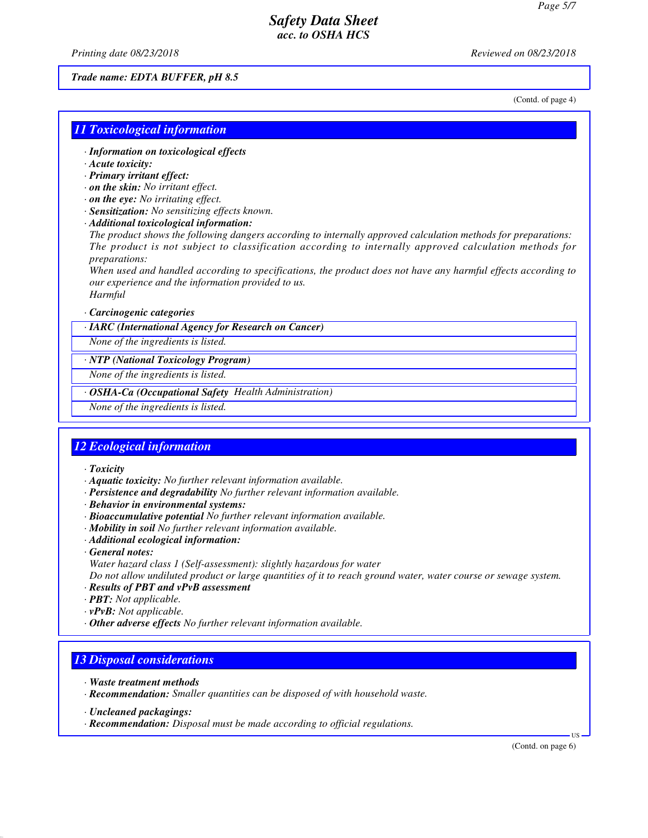*Printing date 08/23/2018 Reviewed on 08/23/2018*

#### *Trade name: EDTA BUFFER, pH 8.5*

(Contd. of page 4)

### *11 Toxicological information*

- *· Information on toxicological effects*
- *· Acute toxicity:*
- *· Primary irritant effect:*
- *· on the skin: No irritant effect.*
- *· on the eye: No irritating effect.*
- *· Sensitization: No sensitizing effects known.*
- *· Additional toxicological information:*

*The product shows the following dangers according to internally approved calculation methods for preparations: The product is not subject to classification according to internally approved calculation methods for preparations:*

*When used and handled according to specifications, the product does not have any harmful effects according to our experience and the information provided to us. Harmful*

#### *· Carcinogenic categories*

*· IARC (International Agency for Research on Cancer)*

*None of the ingredients is listed.*

#### *· NTP (National Toxicology Program)*

*None of the ingredients is listed.*

## *· OSHA-Ca (Occupational Safety Health Administration)*

*None of the ingredients is listed.*

#### *12 Ecological information*

*· Toxicity*

- *· Aquatic toxicity: No further relevant information available.*
- *· Persistence and degradability No further relevant information available.*
- *· Behavior in environmental systems:*
- *· Bioaccumulative potential No further relevant information available.*
- *· Mobility in soil No further relevant information available.*
- *· Additional ecological information:*
- *· General notes:*
- *Water hazard class 1 (Self-assessment): slightly hazardous for water*

*Do not allow undiluted product or large quantities of it to reach ground water, water course or sewage system.*

- *· Results of PBT and vPvB assessment*
- *· PBT: Not applicable.*
- *· vPvB: Not applicable.*
- *· Other adverse effects No further relevant information available.*

#### *13 Disposal considerations*

- *· Waste treatment methods*
- *· Recommendation: Smaller quantities can be disposed of with household waste.*

*· Recommendation: Disposal must be made according to official regulations.*

(Contd. on page 6)

US

*<sup>·</sup> Uncleaned packagings:*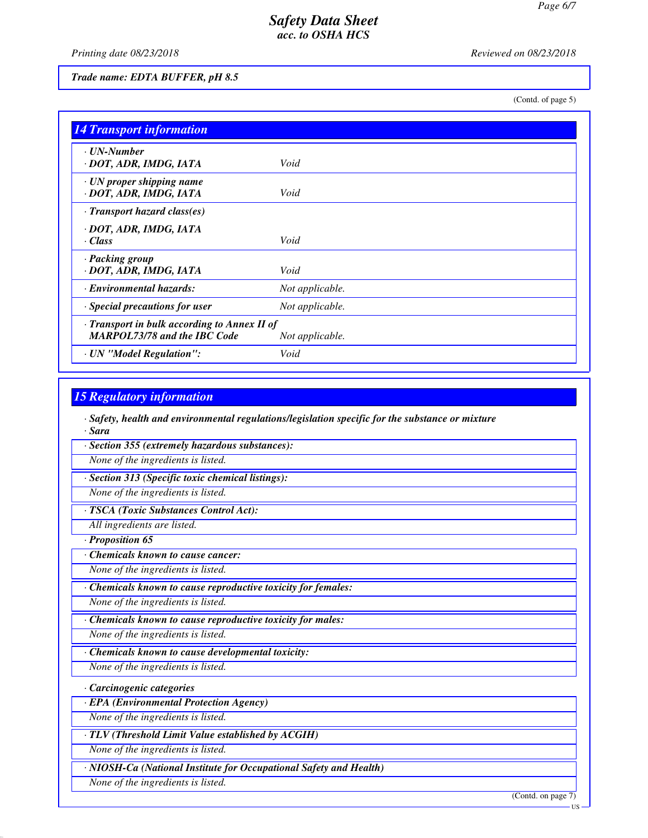*Printing date 08/23/2018 Reviewed on 08/23/2018*

#### *Trade name: EDTA BUFFER, pH 8.5*

(Contd. of page 5)

| <b>14 Transport information</b>                                                     |                 |
|-------------------------------------------------------------------------------------|-----------------|
| $\cdot$ UN-Number<br>· DOT, ADR, IMDG, IATA                                         | Void            |
| $\cdot$ UN proper shipping name<br>· DOT, ADR, IMDG, IATA                           | Void            |
| $\cdot$ Transport hazard class(es)                                                  |                 |
| · DOT, ADR, IMDG, IATA<br>$\cdot$ Class                                             | Void            |
| · Packing group<br>· DOT, ADR, IMDG, IATA                                           | Void            |
| · Environmental hazards:                                                            | Not applicable. |
| $\cdot$ Special precautions for user                                                | Not applicable. |
| · Transport in bulk according to Annex II of<br><b>MARPOL73/78 and the IBC Code</b> | Not applicable. |
| · UN "Model Regulation":                                                            | Void            |

### *15 Regulatory information*

*· Safety, health and environmental regulations/legislation specific for the substance or mixture · Sara*

*· Section 355 (extremely hazardous substances):*

*None of the ingredients is listed.*

*· Section 313 (Specific toxic chemical listings):*

*None of the ingredients is listed.*

*· TSCA (Toxic Substances Control Act):*

*All ingredients are listed.*

*· Proposition 65*

*· Chemicals known to cause cancer:*

*None of the ingredients is listed.*

*· Chemicals known to cause reproductive toxicity for females:*

*None of the ingredients is listed.*

*· Chemicals known to cause reproductive toxicity for males:*

*None of the ingredients is listed.*

*· Chemicals known to cause developmental toxicity:*

*None of the ingredients is listed.*

*· Carcinogenic categories*

*· EPA (Environmental Protection Agency)*

*None of the ingredients is listed.*

*· TLV (Threshold Limit Value established by ACGIH)*

*None of the ingredients is listed.*

*· NIOSH-Ca (National Institute for Occupational Safety and Health)*

*None of the ingredients is listed.*

(Contd. on page 7)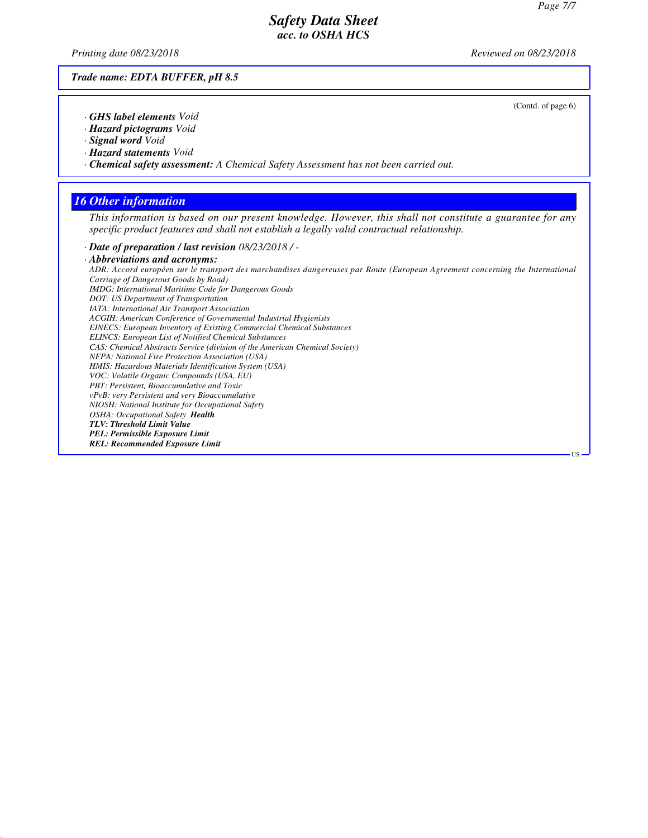*Printing date 08/23/2018 Reviewed on 08/23/2018*

*Trade name: EDTA BUFFER, pH 8.5*

(Contd. of page 6)

US

- *· GHS label elements Void*
- *· Hazard pictograms Void*
- *· Signal word Void*
- *· Hazard statements Void*
- *· Chemical safety assessment: A Chemical Safety Assessment has not been carried out.*

## *16 Other information*

*This information is based on our present knowledge. However, this shall not constitute a guarantee for any specific product features and shall not establish a legally valid contractual relationship.*

*· Date of preparation / last revision 08/23/2018 / -*

*· Abbreviations and acronyms: ADR: Accord européen sur le transport des marchandises dangereuses par Route (European Agreement concerning the International Carriage of Dangerous Goods by Road) IMDG: International Maritime Code for Dangerous Goods DOT: US Department of Transportation IATA: International Air Transport Association ACGIH: American Conference of Governmental Industrial Hygienists EINECS: European Inventory of Existing Commercial Chemical Substances ELINCS: European List of Notified Chemical Substances CAS: Chemical Abstracts Service (division of the American Chemical Society) NFPA: National Fire Protection Association (USA) HMIS: Hazardous Materials Identification System (USA) VOC: Volatile Organic Compounds (USA, EU) PBT: Persistent, Bioaccumulative and Toxic vPvB: very Persistent and very Bioaccumulative NIOSH: National Institute for Occupational Safety OSHA: Occupational Safety Health TLV: Threshold Limit Value PEL: Permissible Exposure Limit REL: Recommended Exposure Limit*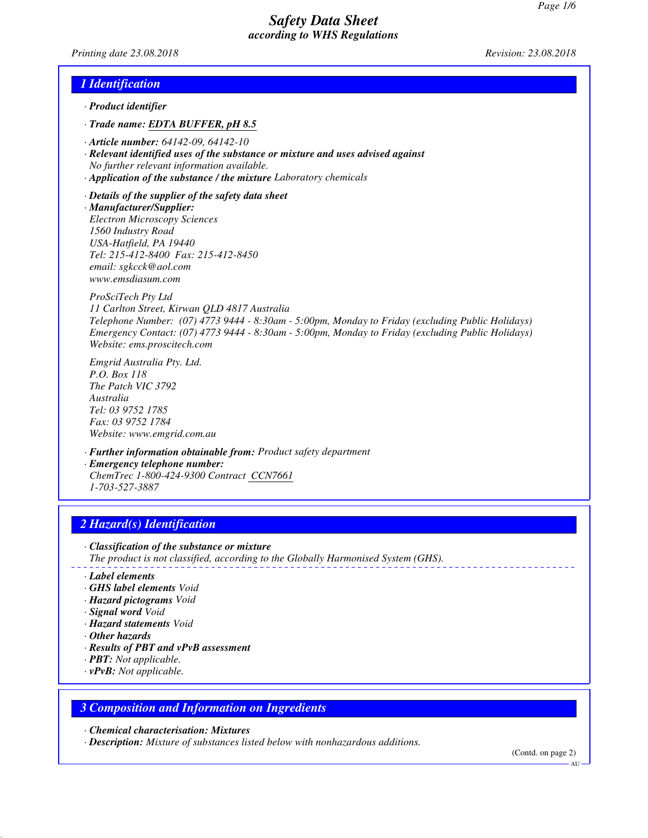*Printing date 23.08.2018 Revision: 23.08.2018*

## *1 Identification*

- *· Product identifier*
- *· Trade name: EDTA BUFFER, pH 8.5*
- *· Article number: 64142-09, 64142-10*
- *· Relevant identified uses of the substance or mixture and uses advised against No further relevant information available.*
- *· Application of the substance / the mixture Laboratory chemicals*

*· Details of the supplier of the safety data sheet · Manufacturer/Supplier: Electron Microscopy Sciences 1560 Industry Road USA-Hatfield, PA 19440 Tel: 215-412-8400 Fax: 215-412-8450 email: sgkcck@aol.com www.emsdiasum.com*

*ProSciTech Pty Ltd 11 Carlton Street, Kirwan QLD 4817 Australia Telephone Number: (07) 4773 9444 - 8:30am - 5:00pm, Monday to Friday (excluding Public Holidays) Emergency Contact: (07) 4773 9444 - 8:30am - 5:00pm, Monday to Friday (excluding Public Holidays) Website: ems.proscitech.com*

*Emgrid Australia Pty. Ltd. P.O. Box 118 The Patch VIC 3792 Australia Tel: 03 9752 1785 Fax: 03 9752 1784 Website: www.emgrid.com.au*

*· Further information obtainable from: Product safety department · Emergency telephone number: ChemTrec 1-800-424-9300 Contract CCN7661 1-703-527-3887*

## *2 Hazard(s) Identification*

- *· Classification of the substance or mixture*
- *The product is not classified, according to the Globally Harmonised System (GHS).*
- *· Label elements*
- *· GHS label elements Void*
- *· Hazard pictograms Void*
- *· Signal word Void*
- *· Hazard statements Void*
- *· Other hazards*
- *· Results of PBT and vPvB assessment*
- *· PBT: Not applicable.*
- *· vPvB: Not applicable.*

#### *3 Composition and Information on Ingredients*

*· Chemical characterisation: Mixtures*

*· Description: Mixture of substances listed below with nonhazardous additions.*

(Contd. on page 2)

**AU**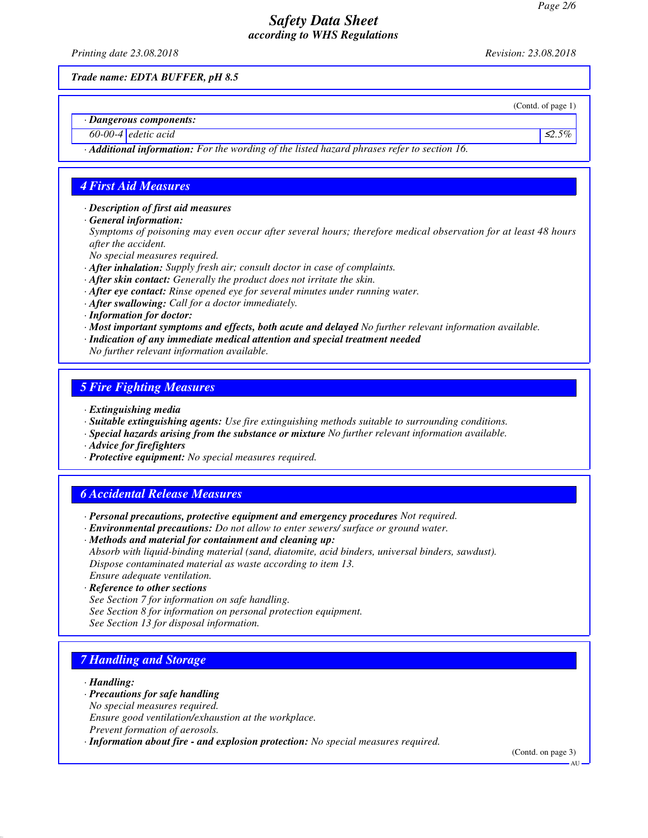*Printing date 23.08.2018 Revision: 23.08.2018*

*Trade name: EDTA BUFFER, pH 8.5*

(Contd. of page 1)

*· Dangerous components:*

*60-00-4 edetic acid* ≤*2.5%*

*· Additional information: For the wording of the listed hazard phrases refer to section 16.*

# *4 First Aid Measures*

*· Description of first aid measures*

*· General information:*

*Symptoms of poisoning may even occur after several hours; therefore medical observation for at least 48 hours after the accident.*

*No special measures required.*

- *· After inhalation: Supply fresh air; consult doctor in case of complaints.*
- *· After skin contact: Generally the product does not irritate the skin.*
- *· After eye contact: Rinse opened eye for several minutes under running water.*
- *· After swallowing: Call for a doctor immediately.*
- *· Information for doctor:*
- *· Most important symptoms and effects, both acute and delayed No further relevant information available.*
- *· Indication of any immediate medical attention and special treatment needed*
- *No further relevant information available.*

# *5 Fire Fighting Measures*

- *· Extinguishing media*
- *· Suitable extinguishing agents: Use fire extinguishing methods suitable to surrounding conditions.*
- *· Special hazards arising from the substance or mixture No further relevant information available.*
- *· Advice for firefighters*
- *· Protective equipment: No special measures required.*

# *6 Accidental Release Measures*

- *· Personal precautions, protective equipment and emergency procedures Not required.*
- *· Environmental precautions: Do not allow to enter sewers/ surface or ground water.*

*· Methods and material for containment and cleaning up: Absorb with liquid-binding material (sand, diatomite, acid binders, universal binders, sawdust). Dispose contaminated material as waste according to item 13. Ensure adequate ventilation.*

- *· Reference to other sections*
- *See Section 7 for information on safe handling.*
- *See Section 8 for information on personal protection equipment.*
- *See Section 13 for disposal information.*

# *7 Handling and Storage*

*· Handling:*

- *· Precautions for safe handling*
- *No special measures required.*

*Ensure good ventilation/exhaustion at the workplace.*

- *Prevent formation of aerosols.*
- *· Information about fire and explosion protection: No special measures required.*

(Contd. on page 3) **AU**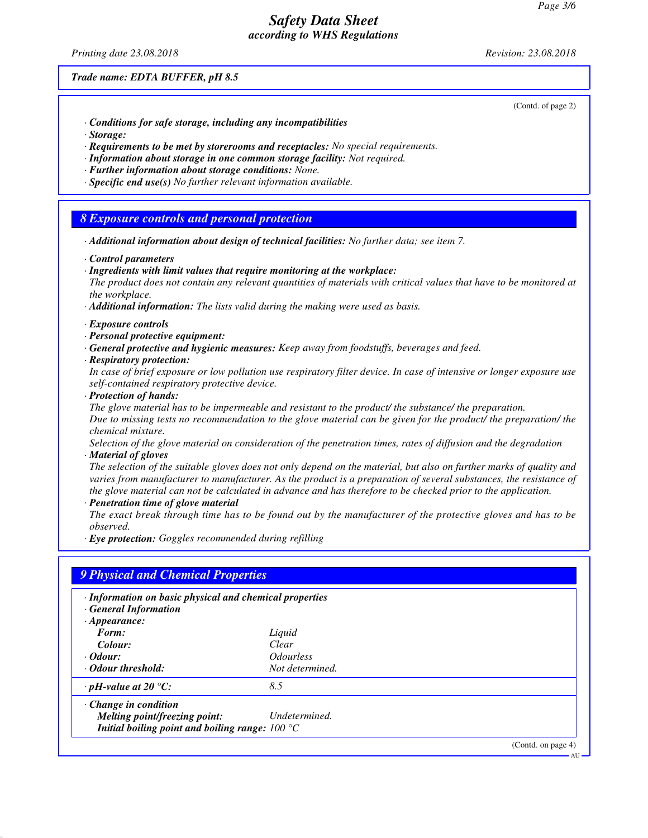*Printing date 23.08.2018 Revision: 23.08.2018*

*Trade name: EDTA BUFFER, pH 8.5*

(Contd. of page 2)

- *· Conditions for safe storage, including any incompatibilities*
- *· Storage:*
- *· Requirements to be met by storerooms and receptacles: No special requirements.*
- *· Information about storage in one common storage facility: Not required.*
- *· Further information about storage conditions: None.*
- *· Specific end use(s) No further relevant information available.*

#### *8 Exposure controls and personal protection*

- *· Additional information about design of technical facilities: No further data; see item 7.*
- *· Control parameters*
- *· Ingredients with limit values that require monitoring at the workplace:*

*The product does not contain any relevant quantities of materials with critical values that have to be monitored at the workplace.*

- *· Additional information: The lists valid during the making were used as basis.*
- *· Exposure controls*
- *· Personal protective equipment:*
- *· General protective and hygienic measures: Keep away from foodstuffs, beverages and feed.*
- *· Respiratory protection:*

*In case of brief exposure or low pollution use respiratory filter device. In case of intensive or longer exposure use self-contained respiratory protective device.*

*· Protection of hands:*

*The glove material has to be impermeable and resistant to the product/ the substance/ the preparation. Due to missing tests no recommendation to the glove material can be given for the product/ the preparation/ the chemical mixture.*

*Selection of the glove material on consideration of the penetration times, rates of diffusion and the degradation · Material of gloves*

*The selection of the suitable gloves does not only depend on the material, but also on further marks of quality and varies from manufacturer to manufacturer. As the product is a preparation of several substances, the resistance of the glove material can not be calculated in advance and has therefore to be checked prior to the application.*

*· Penetration time of glove material*

*The exact break through time has to be found out by the manufacturer of the protective gloves and has to be observed.*

*· Eye protection: Goggles recommended during refilling*

| · Information on basic physical and chemical properties<br><b>General Information</b> |                                |  |
|---------------------------------------------------------------------------------------|--------------------------------|--|
| $\cdot$ Appearance:                                                                   |                                |  |
| Form:                                                                                 | Liquid                         |  |
| Colour:                                                                               | Clear                          |  |
| $\cdot$ <i>Odour:</i>                                                                 | <i><u><b>Odourless</b></u></i> |  |
| • Odour threshold:                                                                    | Not determined.                |  |
| $\cdot$ pH-value at 20 °C:                                                            | 8.5                            |  |
| $\cdot$ Change in condition                                                           |                                |  |
| Melting point/freezing point:                                                         | Undetermined.                  |  |
| Initial boiling point and boiling range: $100 °C$                                     |                                |  |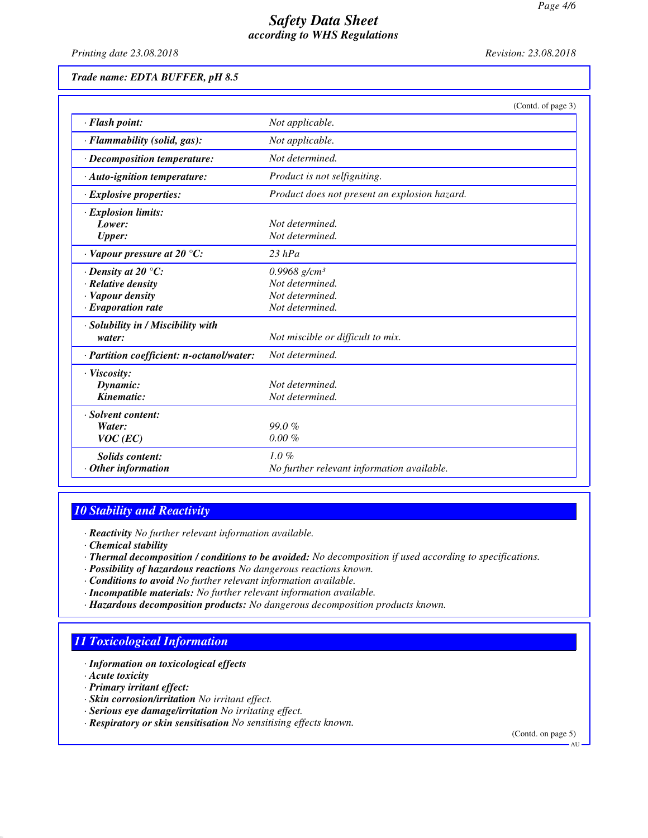*Printing date 23.08.2018 Revision: 23.08.2018*

#### *Trade name: EDTA BUFFER, pH 8.5*

|                                           | (Contd. of page 3)                            |
|-------------------------------------------|-----------------------------------------------|
| · Flash point:                            | Not applicable.                               |
| · Flammability (solid, gas):              | Not applicable.                               |
| · Decomposition temperature:              | Not determined.                               |
| $\cdot$ Auto-ignition temperature:        | Product is not selfigniting.                  |
| $\cdot$ Explosive properties:             | Product does not present an explosion hazard. |
| · Explosion limits:                       |                                               |
| Lower:                                    | Not determined.                               |
| <b>Upper:</b>                             | Not determined.                               |
| $\cdot$ Vapour pressure at 20 °C:         | $23$ hPa                                      |
| $\cdot$ Density at 20 $\degree$ C:        | $0.9968$ g/cm <sup>3</sup>                    |
| · Relative density                        | Not determined.                               |
| · Vapour density                          | Not determined.                               |
| $\cdot$ Evaporation rate                  | Not determined.                               |
| · Solubility in / Miscibility with        |                                               |
| water:                                    | Not miscible or difficult to mix.             |
| · Partition coefficient: n-octanol/water: | Not determined.                               |
| · Viscosity:                              |                                               |
| Dynamic:                                  | Not determined.                               |
| Kinematic:                                | Not determined.                               |
| · Solvent content:                        |                                               |
| Water:                                    | 99.0%                                         |
| $VOC$ (EC)                                | $0.00 \%$                                     |
| <b>Solids content:</b>                    | $1.0 \%$                                      |
| $·$ Other information                     | No further relevant information available.    |

# *10 Stability and Reactivity*

*· Reactivity No further relevant information available.*

- *· Chemical stability*
- *· Thermal decomposition / conditions to be avoided: No decomposition if used according to specifications.*
- *· Possibility of hazardous reactions No dangerous reactions known.*
- *· Conditions to avoid No further relevant information available.*
- *· Incompatible materials: No further relevant information available.*
- *· Hazardous decomposition products: No dangerous decomposition products known.*

## *11 Toxicological Information*

- *· Information on toxicological effects*
- *· Acute toxicity*
- *· Primary irritant effect:*
- *· Skin corrosion/irritation No irritant effect.*
- *· Serious eye damage/irritation No irritating effect.*
- *· Respiratory or skin sensitisation No sensitising effects known.*

(Contd. on page 5)

**AU**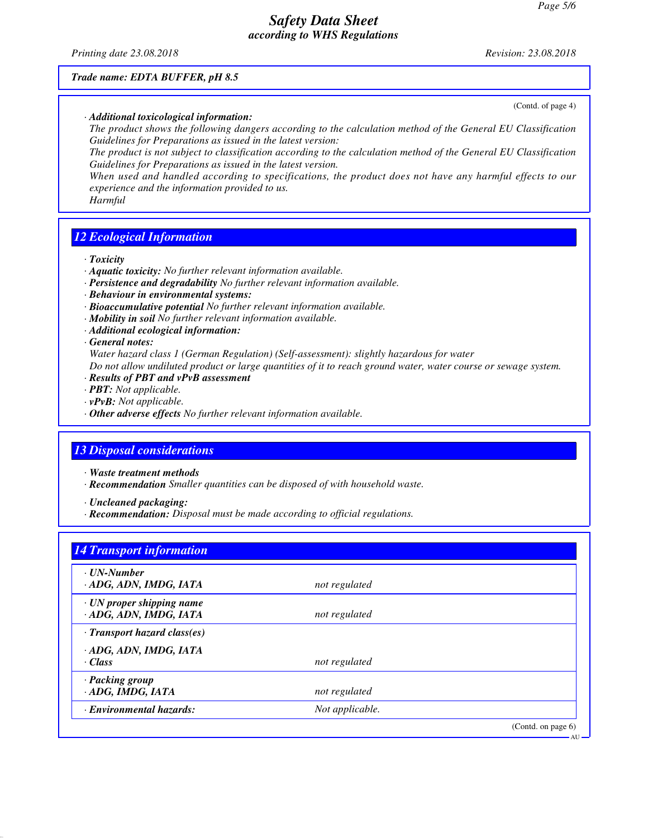*Printing date 23.08.2018 Revision: 23.08.2018*

(Contd. of page 4)

#### *Trade name: EDTA BUFFER, pH 8.5*

*· Additional toxicological information:*

*The product shows the following dangers according to the calculation method of the General EU Classification Guidelines for Preparations as issued in the latest version:*

*The product is not subject to classification according to the calculation method of the General EU Classification Guidelines for Preparations as issued in the latest version.*

*When used and handled according to specifications, the product does not have any harmful effects to our experience and the information provided to us.*

*Harmful*

## *12 Ecological Information*

*· Toxicity*

- *· Aquatic toxicity: No further relevant information available.*
- *· Persistence and degradability No further relevant information available.*
- *· Behaviour in environmental systems:*
- *· Bioaccumulative potential No further relevant information available.*
- *· Mobility in soil No further relevant information available.*
- *· Additional ecological information:*
- *· General notes:*

*Water hazard class 1 (German Regulation) (Self-assessment): slightly hazardous for water*

*Do not allow undiluted product or large quantities of it to reach ground water, water course or sewage system.*

- *· Results of PBT and vPvB assessment*
- *· PBT: Not applicable.*
- *· vPvB: Not applicable.*
- *· Other adverse effects No further relevant information available.*

### *13 Disposal considerations*

- *· Waste treatment methods*
- *· Recommendation Smaller quantities can be disposed of with household waste.*
- *· Uncleaned packaging:*
- *· Recommendation: Disposal must be made according to official regulations.*

| $\cdot$ UN-Number                                         |                 |  |
|-----------------------------------------------------------|-----------------|--|
| · ADG, ADN, IMDG, IATA                                    | not regulated   |  |
| $\cdot$ UN proper shipping name<br>· ADG, ADN, IMDG, IATA | not regulated   |  |
| $\cdot$ Transport hazard class(es)                        |                 |  |
| · ADG, ADN, IMDG, IATA<br>· Class                         | not regulated   |  |
| · Packing group<br>· ADG, IMDG, IATA                      | not regulated   |  |
| · Environmental hazards:                                  | Not applicable. |  |

AU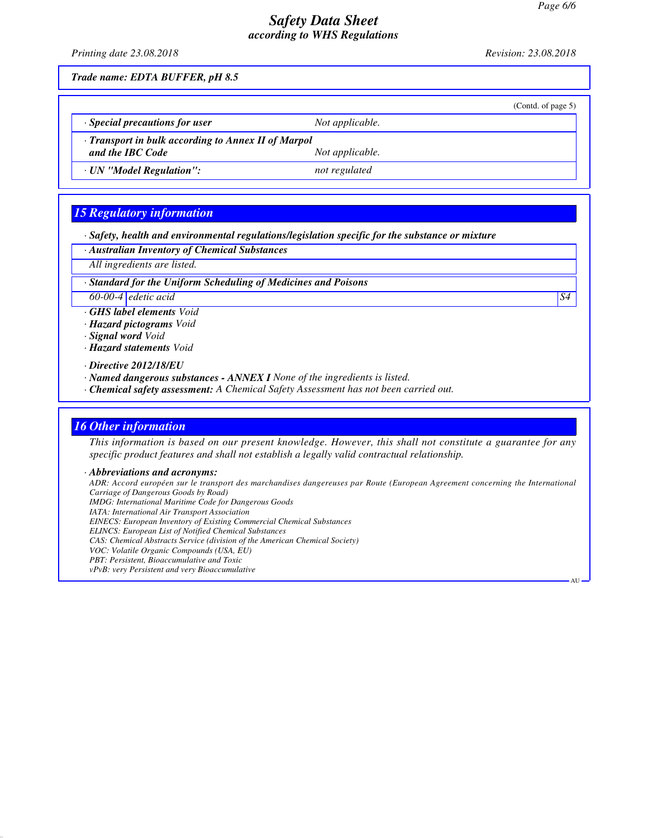AU

## *Safety Data Sheet according to WHS Regulations*

*Printing date 23.08.2018 Revision: 23.08.2018*

*Trade name: EDTA BUFFER, pH 8.5*

|                                                     |                 | (Contd. of page 5) |  |
|-----------------------------------------------------|-----------------|--------------------|--|
| $\cdot$ Special precautions for user                | Not applicable. |                    |  |
| · Transport in bulk according to Annex II of Marpol |                 |                    |  |
| and the IBC Code                                    | Not applicable. |                    |  |
| · UN "Model Regulation":                            | not regulated   |                    |  |

# *15 Regulatory information*

*· Safety, health and environmental regulations/legislation specific for the substance or mixture*

*· Australian Inventory of Chemical Substances*

*All ingredients are listed.*

*· Standard for the Uniform Scheduling of Medicines and Poisons*

*60-00-4 edetic acid S4*

*· GHS label elements Void*

*· Hazard pictograms Void*

*· Signal word Void*

*· Hazard statements Void*

*· Directive 2012/18/EU*

*· Named dangerous substances - ANNEX I None of the ingredients is listed.*

*· Chemical safety assessment: A Chemical Safety Assessment has not been carried out.*

#### *16 Other information*

*This information is based on our present knowledge. However, this shall not constitute a guarantee for any specific product features and shall not establish a legally valid contractual relationship.*

*· Abbreviations and acronyms:*

*ADR: Accord européen sur le transport des marchandises dangereuses par Route (European Agreement concerning the International Carriage of Dangerous Goods by Road) IMDG: International Maritime Code for Dangerous Goods IATA: International Air Transport Association EINECS: European Inventory of Existing Commercial Chemical Substances ELINCS: European List of Notified Chemical Substances CAS: Chemical Abstracts Service (division of the American Chemical Society) VOC: Volatile Organic Compounds (USA, EU) PBT: Persistent, Bioaccumulative and Toxic vPvB: very Persistent and very Bioaccumulative*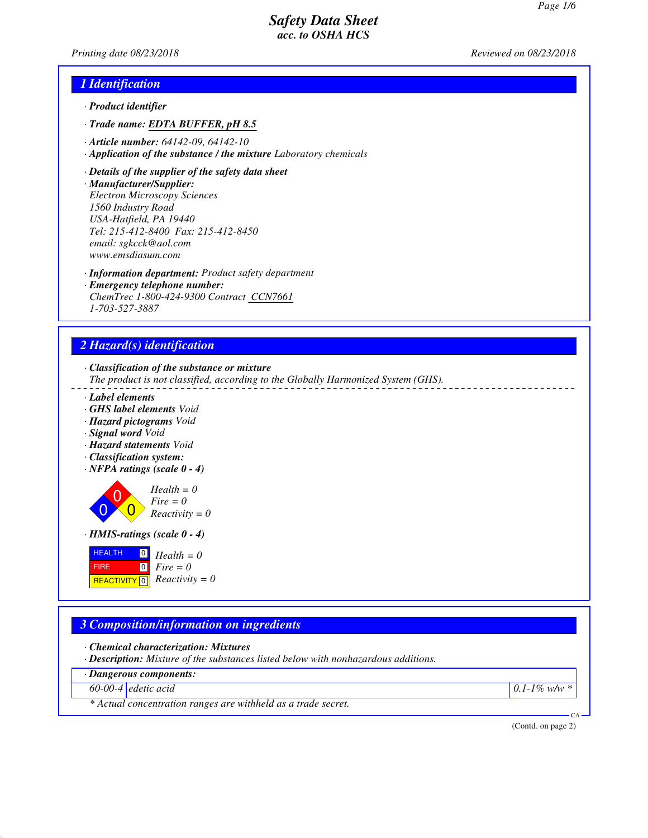*Printing date 08/23/2018 Reviewed on 08/23/2018*

## *1 Identification*

- *· Product identifier*
- *· Trade name: EDTA BUFFER, pH 8.5*
- *· Article number: 64142-09, 64142-10*
- *· Application of the substance / the mixture Laboratory chemicals*
- *· Details of the supplier of the safety data sheet*
- *· Manufacturer/Supplier:*

*Electron Microscopy Sciences 1560 Industry Road USA-Hatfield, PA 19440 Tel: 215-412-8400 Fax: 215-412-8450 email: sgkcck@aol.com www.emsdiasum.com*

- *· Information department: Product safety department*
- *· Emergency telephone number: ChemTrec 1-800-424-9300 Contract CCN7661 1-703-527-3887*

# *2 Hazard(s) identification*

*· Classification of the substance or mixture*

- *The product is not classified, according to the Globally Harmonized System (GHS).*
- *· Label elements*
- *· GHS label elements Void*
- *· Hazard pictograms Void*
- *· Signal word Void*
- *· Hazard statements Void*
- *· Classification system:*
- *· NFPA ratings (scale 0 4)*

 $\overline{0}$  $\overline{0}$  $\overline{0}$ *Health = 0 Fire = 0 Reactivity = 0*

*· HMIS-ratings (scale 0 - 4)*

**HEALTH**  FIRE  $R$ **REACTIVITY**  $\boxed{0}$  *Reactivity = 0* 0 *Health = 0* 0 *Fire = 0*

# *3 Composition/information on ingredients*

*· Chemical characterization: Mixtures*

*· Description: Mixture of the substances listed below with nonhazardous additions.*

*· Dangerous components:*

*60-00-4 edetic acid 0.1-1% w/w \**

*\* Actual concentration ranges are withheld as a trade secret.*

(Contd. on page 2)

CA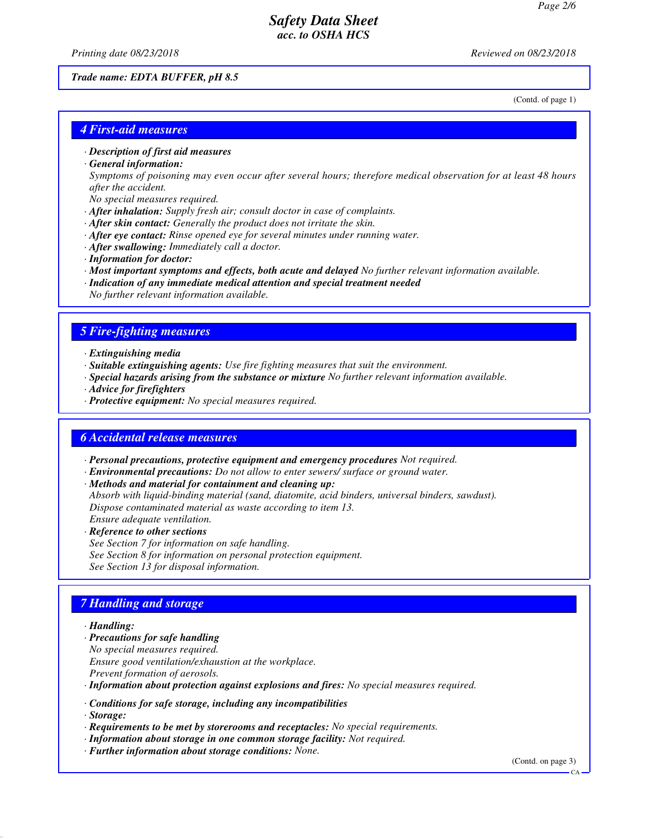*Printing date 08/23/2018 Reviewed on 08/23/2018*

#### *Trade name: EDTA BUFFER, pH 8.5*

(Contd. of page 1)

#### *4 First-aid measures*

*· Description of first aid measures*

#### *· General information:*

*Symptoms of poisoning may even occur after several hours; therefore medical observation for at least 48 hours after the accident.*

- *No special measures required.*
- *· After inhalation: Supply fresh air; consult doctor in case of complaints.*
- *· After skin contact: Generally the product does not irritate the skin.*
- *· After eye contact: Rinse opened eye for several minutes under running water.*
- *· After swallowing: Immediately call a doctor.*
- *· Information for doctor:*
- *· Most important symptoms and effects, both acute and delayed No further relevant information available.*
- *· Indication of any immediate medical attention and special treatment needed No further relevant information available.*

#### *5 Fire-fighting measures*

- *· Extinguishing media*
- *· Suitable extinguishing agents: Use fire fighting measures that suit the environment.*
- *· Special hazards arising from the substance or mixture No further relevant information available.*
- *· Advice for firefighters*
- *· Protective equipment: No special measures required.*

#### *6 Accidental release measures*

*· Personal precautions, protective equipment and emergency procedures Not required.*

- *· Environmental precautions: Do not allow to enter sewers/ surface or ground water.*
- *· Methods and material for containment and cleaning up:*

*Absorb with liquid-binding material (sand, diatomite, acid binders, universal binders, sawdust). Dispose contaminated material as waste according to item 13. Ensure adequate ventilation.*

*· Reference to other sections*

*See Section 7 for information on safe handling. See Section 8 for information on personal protection equipment. See Section 13 for disposal information.*

## *7 Handling and storage*

#### *· Handling:*

- *· Precautions for safe handling*
- *No special measures required.*
- *Ensure good ventilation/exhaustion at the workplace.*
- *Prevent formation of aerosols.*
- *· Information about protection against explosions and fires: No special measures required.*
- *· Conditions for safe storage, including any incompatibilities*

*· Storage:*

- *· Requirements to be met by storerooms and receptacles: No special requirements.*
- *· Information about storage in one common storage facility: Not required.*
- *· Further information about storage conditions: None.*

(Contd. on page 3)

 $\overline{C}$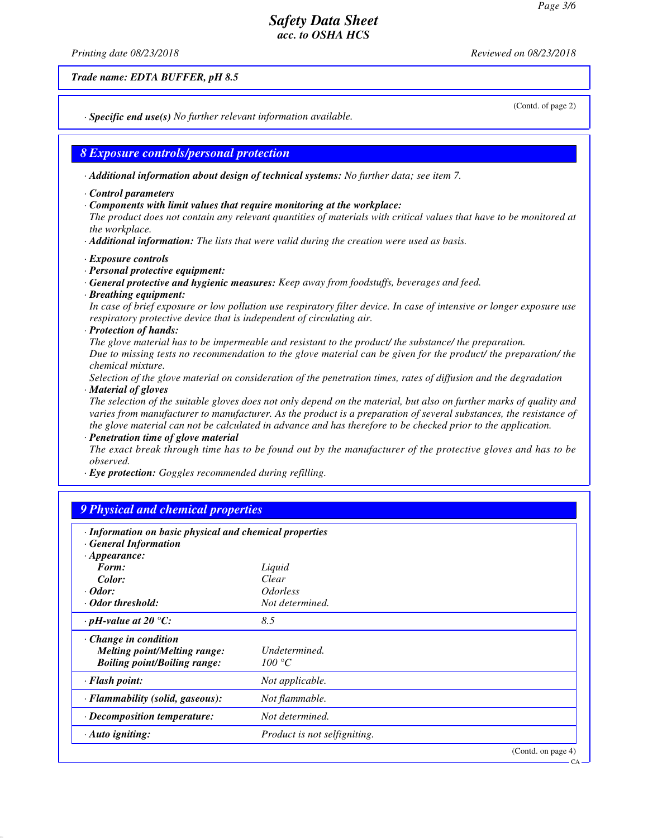*Printing date 08/23/2018 Reviewed on 08/23/2018*

*Trade name: EDTA BUFFER, pH 8.5*

(Contd. of page 2)

CA

*· Specific end use(s) No further relevant information available.*

#### *8 Exposure controls/personal protection*

*· Additional information about design of technical systems: No further data; see item 7.*

- *· Control parameters*
- *· Components with limit values that require monitoring at the workplace:*

*The product does not contain any relevant quantities of materials with critical values that have to be monitored at the workplace.*

*· Additional information: The lists that were valid during the creation were used as basis.*

- *· Exposure controls*
- *· Personal protective equipment:*
- *· General protective and hygienic measures: Keep away from foodstuffs, beverages and feed.*
- *· Breathing equipment:*

*In case of brief exposure or low pollution use respiratory filter device. In case of intensive or longer exposure use respiratory protective device that is independent of circulating air.*

*· Protection of hands:*

*The glove material has to be impermeable and resistant to the product/ the substance/ the preparation. Due to missing tests no recommendation to the glove material can be given for the product/ the preparation/ the chemical mixture.*

*Selection of the glove material on consideration of the penetration times, rates of diffusion and the degradation*

#### *· Material of gloves*

*The selection of the suitable gloves does not only depend on the material, but also on further marks of quality and varies from manufacturer to manufacturer. As the product is a preparation of several substances, the resistance of the glove material can not be calculated in advance and has therefore to be checked prior to the application.*

*· Penetration time of glove material*

*The exact break through time has to be found out by the manufacturer of the protective gloves and has to be observed.*

*· Eye protection: Goggles recommended during refilling.*

# *9 Physical and chemical properties*

| · Information on basic physical and chemical properties<br><b>General Information</b>                     |                               |                    |
|-----------------------------------------------------------------------------------------------------------|-------------------------------|--------------------|
| $\cdot$ Appearance:                                                                                       |                               |                    |
| Form:                                                                                                     | Liquid                        |                    |
| Color:                                                                                                    | Clear                         |                    |
| $\cdot$ Odor:                                                                                             | <i><u><b>Odorless</b></u></i> |                    |
| · Odor threshold:                                                                                         | Not determined.               |                    |
| $\cdot$ pH-value at 20 $\degree$ C:                                                                       | 8.5                           |                    |
| $\cdot$ Change in condition<br><b>Melting point/Melting range:</b><br><b>Boiling point/Boiling range:</b> | Undetermined.<br>100 °C       |                    |
| $\cdot$ Flash point:                                                                                      | Not applicable.               |                    |
| · Flammability (solid, gaseous):                                                                          | Not flammable.                |                    |
| · Decomposition temperature:                                                                              | Not determined.               |                    |
| $\cdot$ Auto igniting:                                                                                    | Product is not selfigniting.  |                    |
|                                                                                                           |                               | (Contd. on page 4) |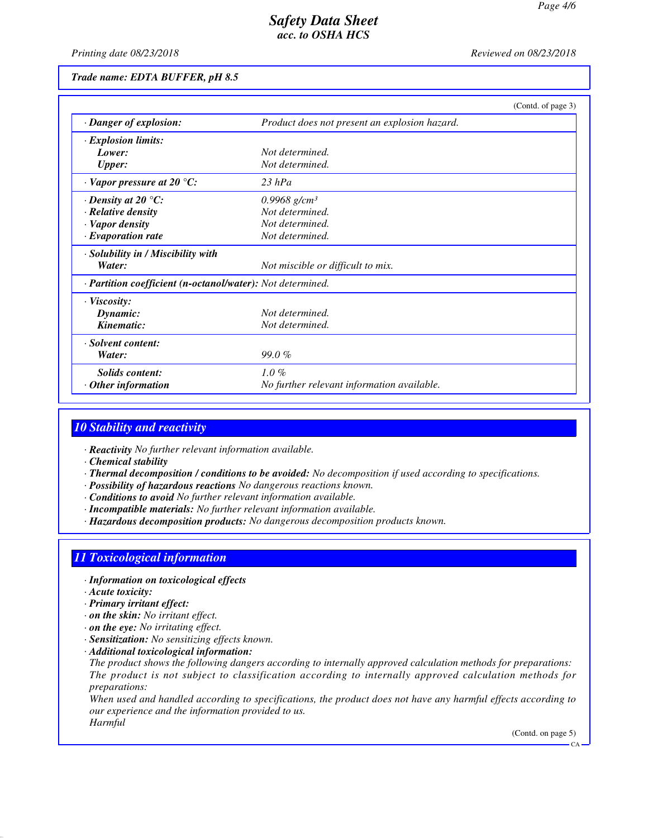*Printing date 08/23/2018 Reviewed on 08/23/2018*

#### *Trade name: EDTA BUFFER, pH 8.5*

|                                                            | (Contd. of page 3)                            |
|------------------------------------------------------------|-----------------------------------------------|
| · Danger of explosion:                                     | Product does not present an explosion hazard. |
| $\cdot$ Explosion limits:                                  |                                               |
| Lower:                                                     | Not determined.                               |
| <b>Upper:</b>                                              | Not determined.                               |
| $\cdot$ Vapor pressure at 20 °C:                           | $23$ hPa                                      |
| $\cdot$ Density at 20 $\degree$ C:                         | $0.9968$ g/cm <sup>3</sup>                    |
| · Relative density                                         | Not determined.                               |
| · Vapor density                                            | Not determined.                               |
| $\cdot$ Evaporation rate                                   | Not determined.                               |
| · Solubility in / Miscibility with                         |                                               |
| Water:                                                     | Not miscible or difficult to mix.             |
| · Partition coefficient (n-octanol/water): Not determined. |                                               |
| $\cdot$ Viscosity:                                         |                                               |
| Dynamic:                                                   | Not determined.                               |
| Kinematic:                                                 | Not determined.                               |
| · Solvent content:                                         |                                               |
| Water:                                                     | $99.0\%$                                      |
| Solids content:                                            | $1.0\%$                                       |
| $\cdot$ Other information                                  | No further relevant information available.    |

## *10 Stability and reactivity*

- *· Reactivity No further relevant information available.*
- *· Chemical stability*
- *· Thermal decomposition / conditions to be avoided: No decomposition if used according to specifications.*
- *· Possibility of hazardous reactions No dangerous reactions known.*
- *· Conditions to avoid No further relevant information available.*
- *· Incompatible materials: No further relevant information available.*
- *· Hazardous decomposition products: No dangerous decomposition products known.*

#### *11 Toxicological information*

- *· Information on toxicological effects*
- *· Acute toxicity:*
- *· Primary irritant effect:*
- *· on the skin: No irritant effect.*
- *· on the eye: No irritating effect.*
- *· Sensitization: No sensitizing effects known.*
- *· Additional toxicological information:*
- *The product shows the following dangers according to internally approved calculation methods for preparations: The product is not subject to classification according to internally approved calculation methods for preparations:*

*When used and handled according to specifications, the product does not have any harmful effects according to our experience and the information provided to us. Harmful*

(Contd. on page 5)

 $\overline{C}$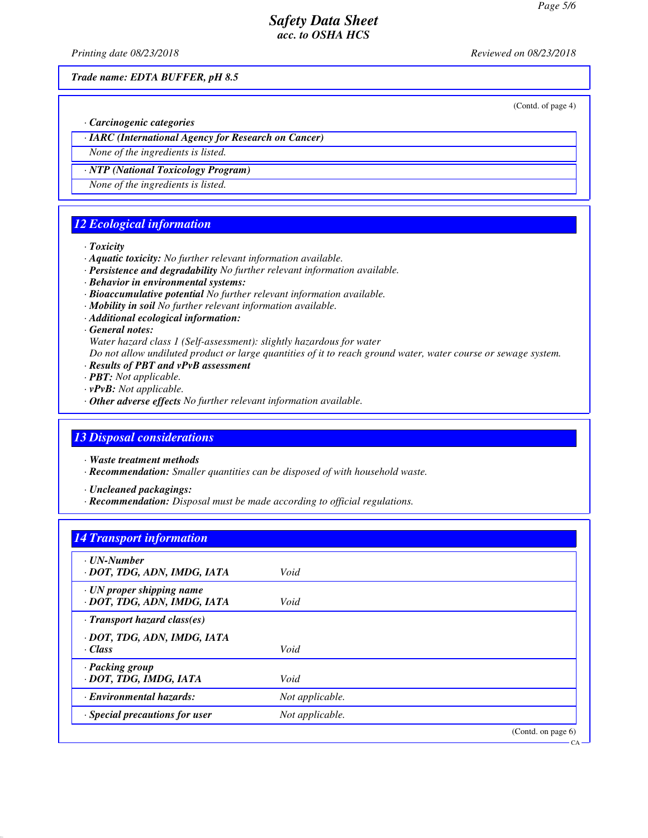*Printing date 08/23/2018 Reviewed on 08/23/2018*

*Trade name: EDTA BUFFER, pH 8.5*

(Contd. of page 4)

*· Carcinogenic categories*

*· IARC (International Agency for Research on Cancer)*

*None of the ingredients is listed.*

*· NTP (National Toxicology Program) None of the ingredients is listed.*

# *12 Ecological information*

#### *· Toxicity*

- *· Aquatic toxicity: No further relevant information available.*
- *· Persistence and degradability No further relevant information available.*
- *· Behavior in environmental systems:*
- *· Bioaccumulative potential No further relevant information available.*
- *· Mobility in soil No further relevant information available.*
- *· Additional ecological information:*

#### *· General notes:*

*Water hazard class 1 (Self-assessment): slightly hazardous for water*

*Do not allow undiluted product or large quantities of it to reach ground water, water course or sewage system.*

- *· Results of PBT and vPvB assessment*
- *· PBT: Not applicable.*
- *· vPvB: Not applicable.*
- *· Other adverse effects No further relevant information available.*

## *13 Disposal considerations*

*· Waste treatment methods*

*· Recommendation: Smaller quantities can be disposed of with household waste.*

*· Uncleaned packagings:*

*· Recommendation: Disposal must be made according to official regulations.*

## *14 Transport information*

| · UN-Number<br>· DOT, TDG, ADN, IMDG, IATA                     | Void            |                       |
|----------------------------------------------------------------|-----------------|-----------------------|
| $\cdot$ UN proper shipping name<br>· DOT, TDG, ADN, IMDG, IATA | Void            |                       |
| $\cdot$ Transport hazard class(es)                             |                 |                       |
| · DOT, TDG, ADN, IMDG, IATA<br>· Class                         | Void            |                       |
| · Packing group<br>· DOT, TDG, IMDG, IATA                      | Void            |                       |
| <b>Environmental hazards:</b>                                  | Not applicable. |                       |
| $\cdot$ Special precautions for user                           | Not applicable. |                       |
|                                                                |                 | (Contd. on page $6$ ) |

CA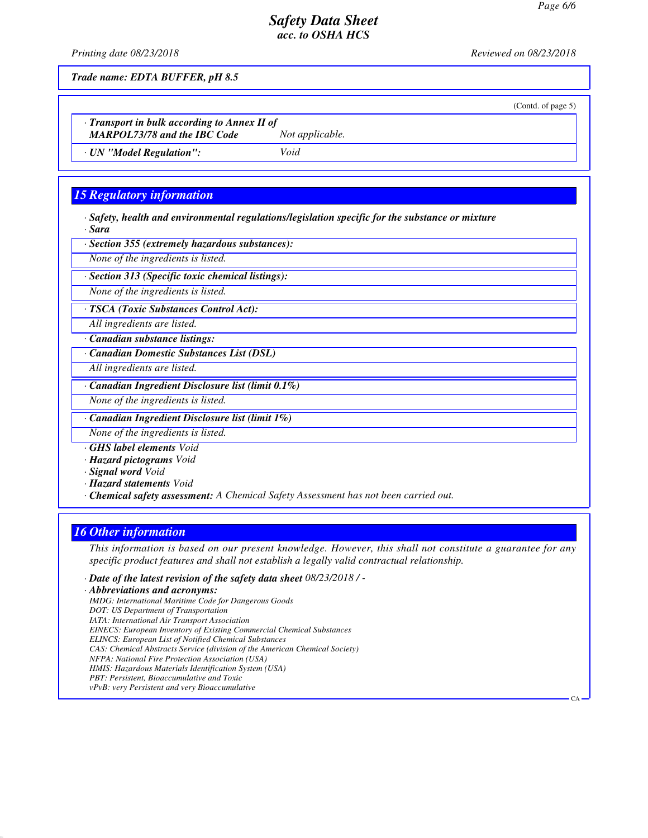*Printing date 08/23/2018 Reviewed on 08/23/2018*

(Contd. of page 5)

CA

*Trade name: EDTA BUFFER, pH 8.5*

*· Transport in bulk according to Annex II of*

*MARPOL73/78 and the IBC Code Not applicable.*

*· UN "Model Regulation": Void*

# *15 Regulatory information*

*· Safety, health and environmental regulations/legislation specific for the substance or mixture · Sara*

*· Section 355 (extremely hazardous substances):*

*None of the ingredients is listed.*

*· Section 313 (Specific toxic chemical listings):*

*None of the ingredients is listed.*

*· TSCA (Toxic Substances Control Act):*

*All ingredients are listed.*

*· Canadian substance listings:*

*· Canadian Domestic Substances List (DSL)*

*All ingredients are listed.*

*· Canadian Ingredient Disclosure list (limit 0.1%)*

*None of the ingredients is listed.*

*· Canadian Ingredient Disclosure list (limit 1%)*

*None of the ingredients is listed.*

*· GHS label elements Void*

*· Hazard pictograms Void*

*· Signal word Void*

*· Hazard statements Void*

*· Chemical safety assessment: A Chemical Safety Assessment has not been carried out.*

# *16 Other information*

*This information is based on our present knowledge. However, this shall not constitute a guarantee for any specific product features and shall not establish a legally valid contractual relationship.*

*· Date of the latest revision of the safety data sheet 08/23/2018 / -*

*· Abbreviations and acronyms: IMDG: International Maritime Code for Dangerous Goods DOT: US Department of Transportation IATA: International Air Transport Association*

*EINECS: European Inventory of Existing Commercial Chemical Substances*

*ELINCS: European List of Notified Chemical Substances*

*CAS: Chemical Abstracts Service (division of the American Chemical Society)*

*NFPA: National Fire Protection Association (USA)*

- *HMIS: Hazardous Materials Identification System (USA)*
- *PBT: Persistent, Bioaccumulative and Toxic vPvB: very Persistent and very Bioaccumulative*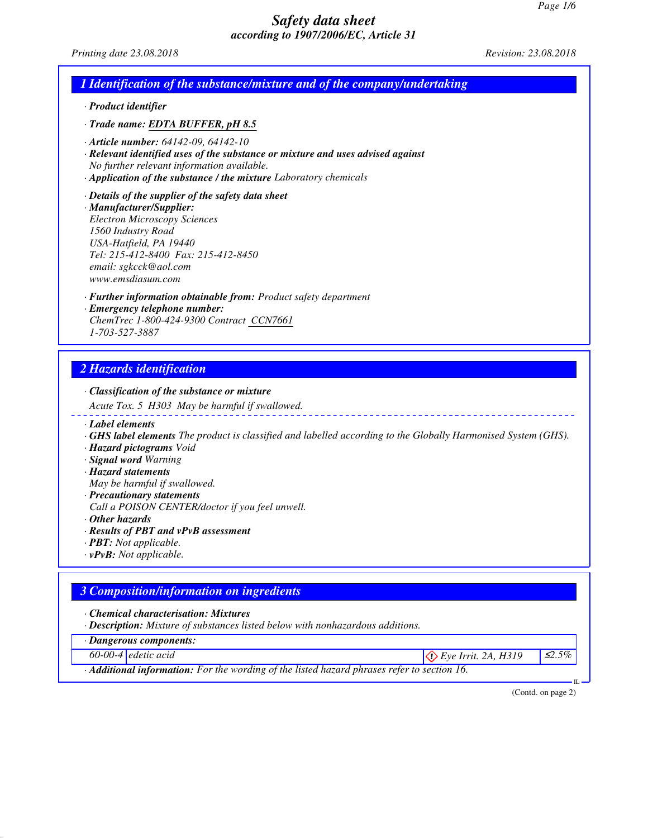| Printing date 23.08.2018                                                                                                                                                                                                                                         | Revision: 23.08.2018 |
|------------------------------------------------------------------------------------------------------------------------------------------------------------------------------------------------------------------------------------------------------------------|----------------------|
| 1 Identification of the substance/mixture and of the company/undertaking                                                                                                                                                                                         |                      |
| · Product identifier                                                                                                                                                                                                                                             |                      |
| · Trade name: EDTA BUFFER, pH 8.5                                                                                                                                                                                                                                |                      |
| $\cdot$ Article number: 64142-09, 64142-10<br>· Relevant identified uses of the substance or mixture and uses advised against<br>No further relevant information available.<br>· Application of the substance / the mixture Laboratory chemicals                 |                      |
| $\cdot$ Details of the supplier of the safety data sheet<br>· Manufacturer/Supplier:<br><b>Electron Microscopy Sciences</b><br>1560 Industry Road<br>USA-Hatfield, PA 19440<br>Tel: 215-412-8400 Fax: 215-412-8450<br>email: sgkcck@aol.com<br>www.emsdiasum.com |                      |
| · <b>Further information obtainable from:</b> Product safety department                                                                                                                                                                                          |                      |
| · Emergency telephone number:<br>ChemTrec 1-800-424-9300 Contract CCN7661<br>1-703-527-3887                                                                                                                                                                      |                      |

*Acute Tox. 5 H303 May be harmful if swallowed.*

- *· Label elements*
- *· GHS label elements The product is classified and labelled according to the Globally Harmonised System (GHS).*
- *· Hazard pictograms Void*
- *· Signal word Warning*
- *· Hazard statements*
- *May be harmful if swallowed.*
- *· Precautionary statements*
- *Call a POISON CENTER/doctor if you feel unwell.*
- *· Other hazards*
- *· Results of PBT and vPvB assessment*
- *· PBT: Not applicable.*
- *· vPvB: Not applicable.*

# *3 Composition/information on ingredients*

- *· Chemical characterisation: Mixtures*
- *· Description: Mixture of substances listed below with nonhazardous additions.*
- *· Dangerous components:*
- 
- *60-00-4 edetic acid* ≤2.5% and *E*<sub>2.5%</sub> and *E*<sub>2.5%</sub> Eye Irrit. 2A, H319  $\Big|$  ≤2.5%
- *· Additional information: For the wording of the listed hazard phrases refer to section 16.*

(Contd. on page 2)

IL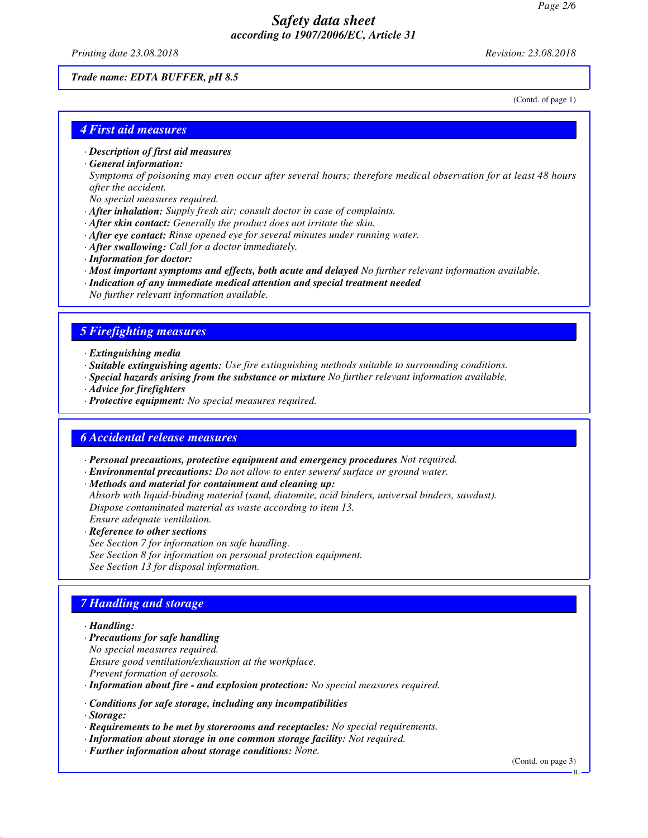*Printing date 23.08.2018 Revision: 23.08.2018*

#### *Trade name: EDTA BUFFER, pH 8.5*

(Contd. of page 1)

#### *4 First aid measures*

- *· Description of first aid measures*
- *· General information:*

*Symptoms of poisoning may even occur after several hours; therefore medical observation for at least 48 hours after the accident.*

- *No special measures required.*
- *· After inhalation: Supply fresh air; consult doctor in case of complaints.*
- *· After skin contact: Generally the product does not irritate the skin.*
- *· After eye contact: Rinse opened eye for several minutes under running water.*
- *· After swallowing: Call for a doctor immediately.*
- *· Information for doctor:*
- *· Most important symptoms and effects, both acute and delayed No further relevant information available.*
- *· Indication of any immediate medical attention and special treatment needed No further relevant information available.*

#### *5 Firefighting measures*

- *· Extinguishing media*
- *· Suitable extinguishing agents: Use fire extinguishing methods suitable to surrounding conditions.*
- *· Special hazards arising from the substance or mixture No further relevant information available.*
- *· Advice for firefighters*
- *· Protective equipment: No special measures required.*

#### *6 Accidental release measures*

- *· Personal precautions, protective equipment and emergency procedures Not required.*
- *· Environmental precautions: Do not allow to enter sewers/ surface or ground water.*
- *· Methods and material for containment and cleaning up:*

*Absorb with liquid-binding material (sand, diatomite, acid binders, universal binders, sawdust). Dispose contaminated material as waste according to item 13. Ensure adequate ventilation.*

*· Reference to other sections*

*See Section 7 for information on safe handling. See Section 8 for information on personal protection equipment. See Section 13 for disposal information.*

## *7 Handling and storage*

#### *· Handling:*

- *· Precautions for safe handling*
- *No special measures required.*
- *Ensure good ventilation/exhaustion at the workplace.*
- *Prevent formation of aerosols.*
- *· Information about fire and explosion protection: No special measures required.*
- *· Conditions for safe storage, including any incompatibilities*
- *· Storage:*
- *· Requirements to be met by storerooms and receptacles: No special requirements.*
- *· Information about storage in one common storage facility: Not required.*
- *· Further information about storage conditions: None.*

(Contd. on page 3)

IL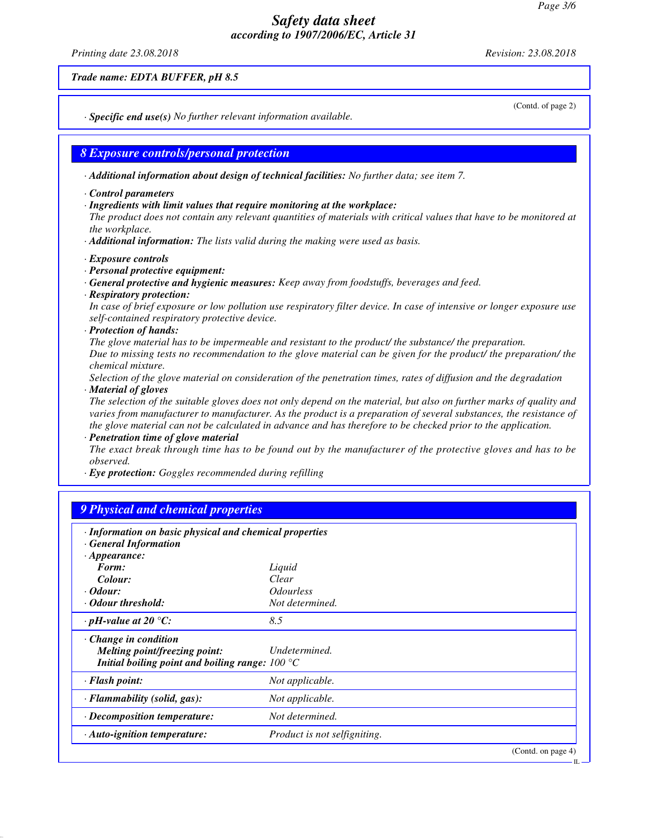*Printing date 23.08.2018 Revision: 23.08.2018*

*Trade name: EDTA BUFFER, pH 8.5*

(Contd. of page 2)

IL

*· Specific end use(s) No further relevant information available.*

*8 Exposure controls/personal protection*

*· Additional information about design of technical facilities: No further data; see item 7.*

*· Control parameters*

*· Ingredients with limit values that require monitoring at the workplace:*

*The product does not contain any relevant quantities of materials with critical values that have to be monitored at the workplace.*

*· Additional information: The lists valid during the making were used as basis.*

- *· Exposure controls*
- *· Personal protective equipment:*

*· General protective and hygienic measures: Keep away from foodstuffs, beverages and feed.*

*· Respiratory protection:*

*In case of brief exposure or low pollution use respiratory filter device. In case of intensive or longer exposure use self-contained respiratory protective device.*

*· Protection of hands:*

*The glove material has to be impermeable and resistant to the product/ the substance/ the preparation. Due to missing tests no recommendation to the glove material can be given for the product/ the preparation/ the chemical mixture.*

*Selection of the glove material on consideration of the penetration times, rates of diffusion and the degradation*

*· Material of gloves*

*The selection of the suitable gloves does not only depend on the material, but also on further marks of quality and varies from manufacturer to manufacturer. As the product is a preparation of several substances, the resistance of the glove material can not be calculated in advance and has therefore to be checked prior to the application.*

*· Penetration time of glove material*

*The exact break through time has to be found out by the manufacturer of the protective gloves and has to be observed.*

*· Eye protection: Goggles recommended during refilling*

# *9 Physical and chemical properties*

| · Information on basic physical and chemical properties<br><b>General Information</b>                                                  |                              |                    |
|----------------------------------------------------------------------------------------------------------------------------------------|------------------------------|--------------------|
| $\cdot$ Appearance:<br>Form:                                                                                                           | Liquid                       |                    |
| Colour:                                                                                                                                | Clear                        |                    |
| $\cdot$ Odour:                                                                                                                         | <i><b>Odourless</b></i>      |                    |
| · Odour threshold:                                                                                                                     | Not determined.              |                    |
| $\cdot$ pH-value at 20 $\degree$ C:                                                                                                    | 8.5                          |                    |
| $\cdot$ Change in condition<br>Melting point/freezing point:<br>Initial boiling point and boiling range: $100\text{ }^{\circ}\text{C}$ | Undetermined.                |                    |
| $\cdot$ Flash point:                                                                                                                   | Not applicable.              |                    |
| · Flammability (solid, gas):                                                                                                           | Not applicable.              |                    |
| · Decomposition temperature:                                                                                                           | Not determined.              |                    |
| $\cdot$ Auto-ignition temperature:                                                                                                     | Product is not selfigniting. |                    |
|                                                                                                                                        |                              | (Contd. on page 4) |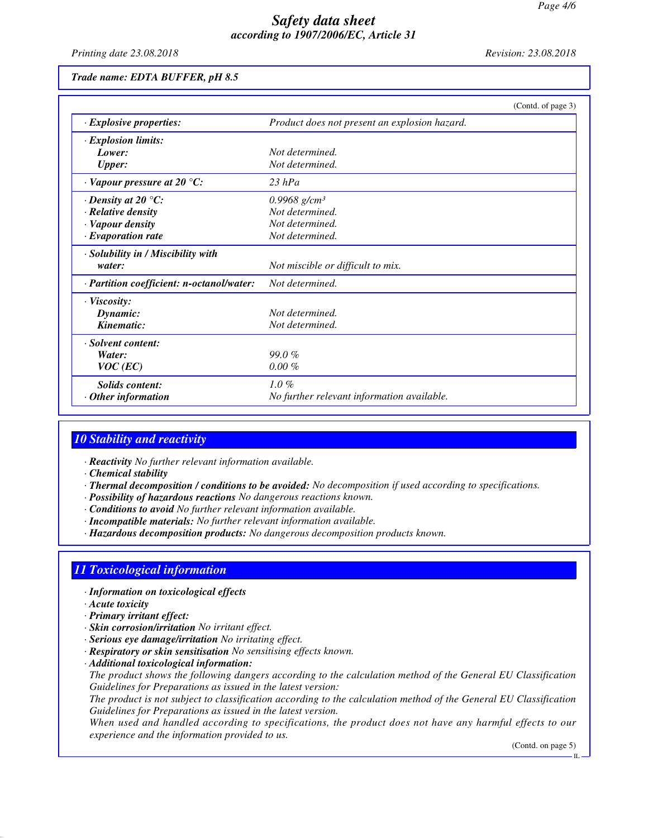*Printing date 23.08.2018 Revision: 23.08.2018*

## *Trade name: EDTA BUFFER, pH 8.5*

|                                           | (Contd. of page 3)                            |
|-------------------------------------------|-----------------------------------------------|
| $\cdot$ Explosive properties:             | Product does not present an explosion hazard. |
| $\cdot$ Explosion limits:                 |                                               |
| Lower:                                    | Not determined.                               |
| <b>Upper:</b>                             | Not determined.                               |
| $\cdot$ Vapour pressure at 20 °C:         | $23$ hPa                                      |
| $\cdot$ Density at 20 °C:                 | 0.9968 g/cm <sup>3</sup>                      |
| · Relative density                        | Not determined.                               |
| · Vapour density                          | Not determined.                               |
| $\cdot$ Evaporation rate                  | Not determined.                               |
| · Solubility in / Miscibility with        |                                               |
| water:                                    | Not miscible or difficult to mix.             |
| · Partition coefficient: n-octanol/water: | Not determined.                               |
| $\cdot$ Viscosity:                        |                                               |
| Dynamic:                                  | Not determined.                               |
| Kinematic:                                | Not determined.                               |
| · Solvent content:                        |                                               |
| Water:                                    | 99.0%                                         |
| $VOC$ (EC)                                | $0.00 \%$                                     |
| <b>Solids</b> content:                    | $1.0\%$                                       |
| $\cdot$ Other information                 | No further relevant information available.    |

#### *10 Stability and reactivity*

- *· Reactivity No further relevant information available.*
- *· Chemical stability*
- *· Thermal decomposition / conditions to be avoided: No decomposition if used according to specifications.*
- *· Possibility of hazardous reactions No dangerous reactions known.*
- *· Conditions to avoid No further relevant information available.*
- *· Incompatible materials: No further relevant information available.*
- *· Hazardous decomposition products: No dangerous decomposition products known.*

# *11 Toxicological information*

- *· Information on toxicological effects*
- *· Acute toxicity*
- *· Primary irritant effect:*
- *· Skin corrosion/irritation No irritant effect.*
- *· Serious eye damage/irritation No irritating effect.*
- *· Respiratory or skin sensitisation No sensitising effects known.*
- *· Additional toxicological information:*

*The product shows the following dangers according to the calculation method of the General EU Classification Guidelines for Preparations as issued in the latest version:*

*The product is not subject to classification according to the calculation method of the General EU Classification Guidelines for Preparations as issued in the latest version.*

*When used and handled according to specifications, the product does not have any harmful effects to our experience and the information provided to us.*

(Contd. on page 5)

IL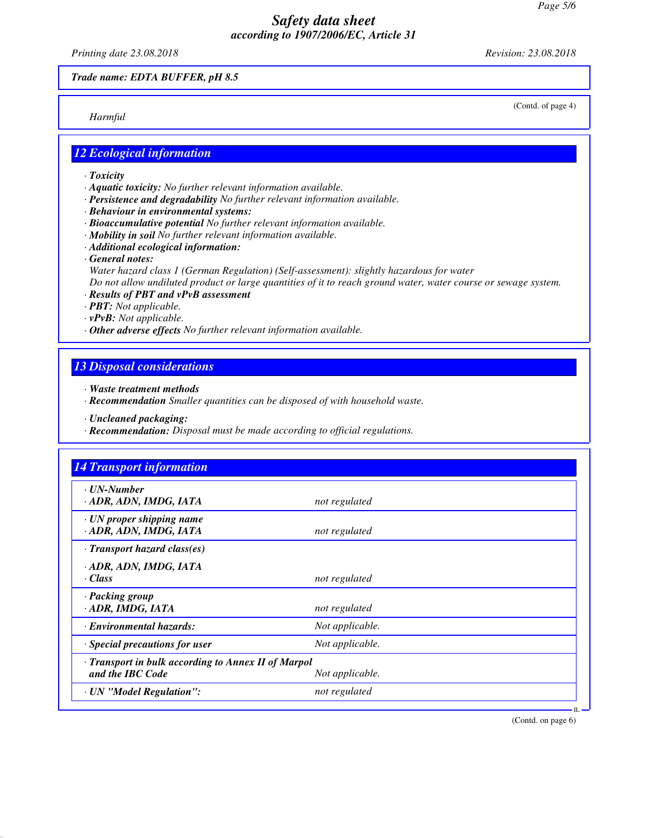*Printing date 23.08.2018 Revision: 23.08.2018*

*Trade name: EDTA BUFFER, pH 8.5*

*Harmful*

(Contd. of page 4)

## *12 Ecological information*

- *· Toxicity*
- *· Aquatic toxicity: No further relevant information available.*
- *· Persistence and degradability No further relevant information available.*
- *· Behaviour in environmental systems:*
- *· Bioaccumulative potential No further relevant information available.*
- *· Mobility in soil No further relevant information available.*
- *· Additional ecological information:*
- *· General notes:*
	- *Water hazard class 1 (German Regulation) (Self-assessment): slightly hazardous for water*

*Do not allow undiluted product or large quantities of it to reach ground water, water course or sewage system.*

- *· Results of PBT and vPvB assessment*
- *· PBT: Not applicable.*
- *· vPvB: Not applicable.*
- *· Other adverse effects No further relevant information available.*

## *13 Disposal considerations*

- *· Waste treatment methods*
- *· Recommendation Smaller quantities can be disposed of with household waste.*
- *· Uncleaned packaging:*
- *· Recommendation: Disposal must be made according to official regulations.*

| $\cdot$ UN-Number<br>· ADR, ADN, IMDG, IATA               |                 |  |
|-----------------------------------------------------------|-----------------|--|
|                                                           | not regulated   |  |
| $\cdot$ UN proper shipping name<br>· ADR, ADN, IMDG, IATA | not regulated   |  |
| $\cdot$ Transport hazard class(es)                        |                 |  |
| · ADR, ADN, IMDG, IATA                                    |                 |  |
| · Class                                                   | not regulated   |  |
| · Packing group                                           |                 |  |
| · ADR, IMDG, IATA                                         | not regulated   |  |
| · Environmental hazards:                                  | Not applicable. |  |
| $\cdot$ Special precautions for user                      | Not applicable. |  |
| · Transport in bulk according to Annex II of Marpol       |                 |  |
| and the IBC Code                                          | Not applicable. |  |
| · UN "Model Regulation":                                  | not regulated   |  |

(Contd. on page 6)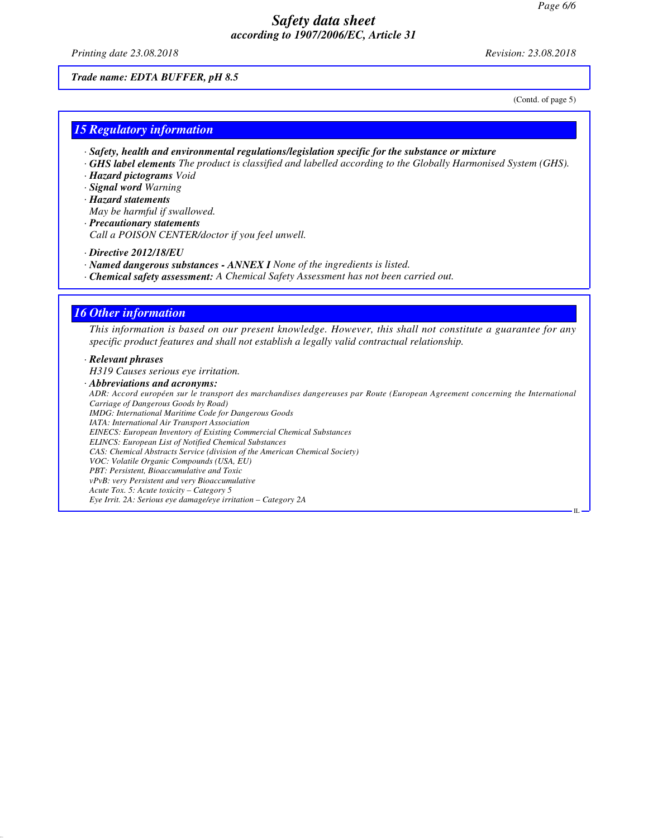*Printing date 23.08.2018 Revision: 23.08.2018*

*Trade name: EDTA BUFFER, pH 8.5*

(Contd. of page 5)

IL

#### *15 Regulatory information*

- *· Safety, health and environmental regulations/legislation specific for the substance or mixture*
- *· GHS label elements The product is classified and labelled according to the Globally Harmonised System (GHS). · Hazard pictograms Void*
- *· Signal word Warning*
- *· Hazard statements*
- *May be harmful if swallowed.*
- *· Precautionary statements Call a POISON CENTER/doctor if you feel unwell.*
- *· Directive 2012/18/EU*
- *· Named dangerous substances ANNEX I None of the ingredients is listed.*
- *· Chemical safety assessment: A Chemical Safety Assessment has not been carried out.*

#### *16 Other information*

*This information is based on our present knowledge. However, this shall not constitute a guarantee for any specific product features and shall not establish a legally valid contractual relationship.*

#### *· Relevant phrases*

*H319 Causes serious eye irritation.*

*· Abbreviations and acronyms:*

*ADR: Accord européen sur le transport des marchandises dangereuses par Route (European Agreement concerning the International Carriage of Dangerous Goods by Road) IMDG: International Maritime Code for Dangerous Goods IATA: International Air Transport Association EINECS: European Inventory of Existing Commercial Chemical Substances ELINCS: European List of Notified Chemical Substances CAS: Chemical Abstracts Service (division of the American Chemical Society) VOC: Volatile Organic Compounds (USA, EU) PBT: Persistent, Bioaccumulative and Toxic vPvB: very Persistent and very Bioaccumulative Acute Tox. 5: Acute toxicity – Category 5 Eye Irrit. 2A: Serious eye damage/eye irritation – Category 2A*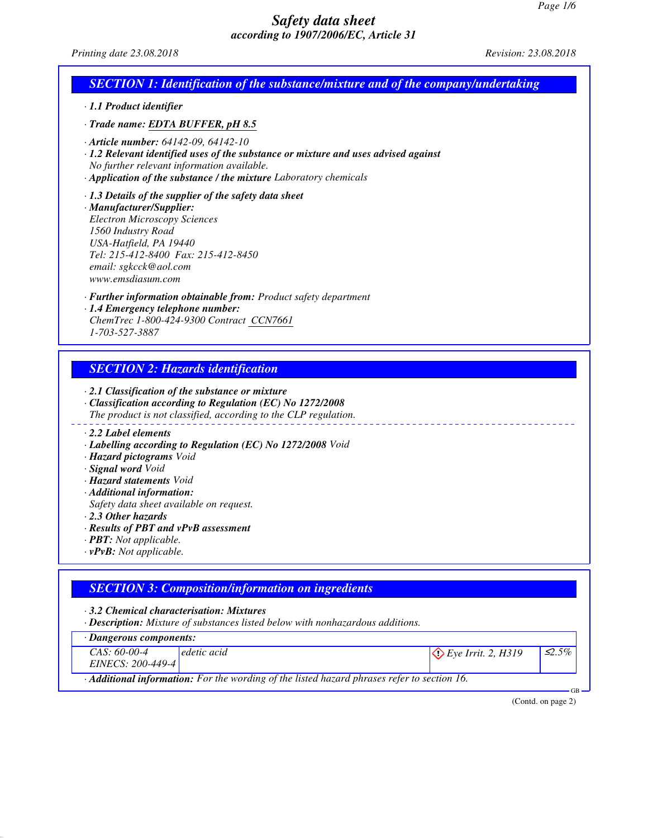| <i>according to 190//2006/EC, Article 31</i>                                                                                                                                                                                                                         |                      |
|----------------------------------------------------------------------------------------------------------------------------------------------------------------------------------------------------------------------------------------------------------------------|----------------------|
| Printing date 23.08.2018                                                                                                                                                                                                                                             | Revision: 23.08.2018 |
| <b>SECTION 1: Identification of the substance/mixture and of the company/undertaking</b>                                                                                                                                                                             |                      |
| · 1.1 Product identifier                                                                                                                                                                                                                                             |                      |
| · Trade name: EDTA BUFFER, pH 8.5                                                                                                                                                                                                                                    |                      |
| $\cdot$ Article number: 64142-09, 64142-10<br>· 1.2 Relevant identified uses of the substance or mixture and uses advised against<br>No further relevant information available.<br>· Application of the substance / the mixture Laboratory chemicals                 |                      |
| $\cdot$ 1.3 Details of the supplier of the safety data sheet<br>· Manufacturer/Supplier:<br><b>Electron Microscopy Sciences</b><br>1560 Industry Road<br>USA-Hatfield, PA 19440<br>Tel: 215-412-8400 Fax: 215-412-8450<br>email: sgkcck@aol.com<br>www.emsdiasum.com |                      |
| · Further information obtainable from: Product safety department<br>· 1.4 Emergency telephone number:<br>ChemTrec 1-800-424-9300 Contract CCN7661<br>1-703-527-3887                                                                                                  |                      |
| <b>SECTION 2: Hazards identification</b>                                                                                                                                                                                                                             |                      |
| $\cdot$ 2.1 Classification of the substance or mixture<br>· Classification according to Regulation (EC) No 1272/2008<br>The product is not classified, according to the CLP regulation.                                                                              |                      |
| $\cdot$ 2.2 Label elements<br>· Labelling according to Regulation (EC) No 1272/2008 Void<br>· <b>Hazard pictograms</b> Void                                                                                                                                          |                      |

- *· Signal word Void*
- *· Hazard statements Void*
- *· Additional information:*
- *Safety data sheet available on request.*
- *· 2.3 Other hazards*
- *· Results of PBT and vPvB assessment*
- *· PBT: Not applicable.*
- *· vPvB: Not applicable.*

|  | <b>SECTION 3: Composition/information on ingredients</b> |
|--|----------------------------------------------------------|
|  |                                                          |

*· 3.2 Chemical characterisation: Mixtures*

*· Description: Mixture of substances listed below with nonhazardous additions.*

*· Dangerous components:*

| <i>Dangerous components.</i> |                                                                                                          |                               |              |
|------------------------------|----------------------------------------------------------------------------------------------------------|-------------------------------|--------------|
| $CAS: 60-00-4$               | edetic acid                                                                                              | $\Diamond$ Eye Irrit. 2, H319 | $\leq 2.5\%$ |
| EINECS: 200-449-4            |                                                                                                          |                               |              |
|                              | $\cdot$ <b>Additional information:</b> For the wording of the listed hazard phrases refer to section 16. |                               |              |

(Contd. on page 2)

GB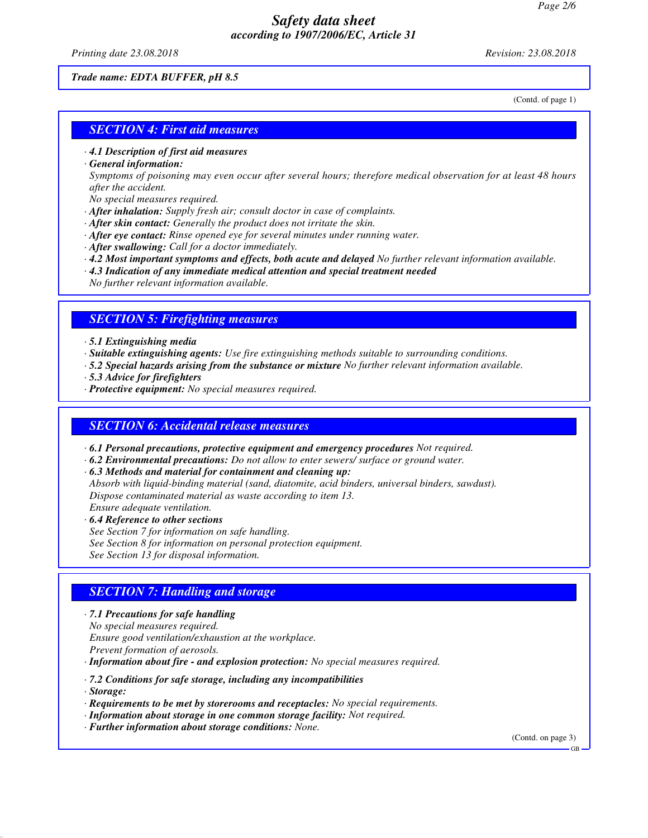*Printing date 23.08.2018 Revision: 23.08.2018*

#### *Trade name: EDTA BUFFER, pH 8.5*

(Contd. of page 1)

#### *SECTION 4: First aid measures*

- *· 4.1 Description of first aid measures*
- *· General information:*

*Symptoms of poisoning may even occur after several hours; therefore medical observation for at least 48 hours after the accident.*

- *No special measures required.*
- *· After inhalation: Supply fresh air; consult doctor in case of complaints.*
- *· After skin contact: Generally the product does not irritate the skin.*
- *· After eye contact: Rinse opened eye for several minutes under running water.*
- *· After swallowing: Call for a doctor immediately.*
- *· 4.2 Most important symptoms and effects, both acute and delayed No further relevant information available.*
- *· 4.3 Indication of any immediate medical attention and special treatment needed*
- *No further relevant information available.*

#### *SECTION 5: Firefighting measures*

#### *· 5.1 Extinguishing media*

- *· Suitable extinguishing agents: Use fire extinguishing methods suitable to surrounding conditions.*
- *· 5.2 Special hazards arising from the substance or mixture No further relevant information available.*
- *· 5.3 Advice for firefighters*
- *· Protective equipment: No special measures required.*

#### *SECTION 6: Accidental release measures*

- *· 6.1 Personal precautions, protective equipment and emergency procedures Not required.*
- *· 6.2 Environmental precautions: Do not allow to enter sewers/ surface or ground water.*
- *· 6.3 Methods and material for containment and cleaning up:*
- *Absorb with liquid-binding material (sand, diatomite, acid binders, universal binders, sawdust). Dispose contaminated material as waste according to item 13. Ensure adequate ventilation.*
- *· 6.4 Reference to other sections*
- *See Section 7 for information on safe handling.*
- *See Section 8 for information on personal protection equipment.*
- *See Section 13 for disposal information.*

## *SECTION 7: Handling and storage*

- *· 7.1 Precautions for safe handling*
- *No special measures required.*
- *Ensure good ventilation/exhaustion at the workplace.*
- *Prevent formation of aerosols.*

*· Information about fire - and explosion protection: No special measures required.*

- *· 7.2 Conditions for safe storage, including any incompatibilities*
- *· Storage:*
- *· Requirements to be met by storerooms and receptacles: No special requirements.*
- *· Information about storage in one common storage facility: Not required.*
- *· Further information about storage conditions: None.*

(Contd. on page 3)

GB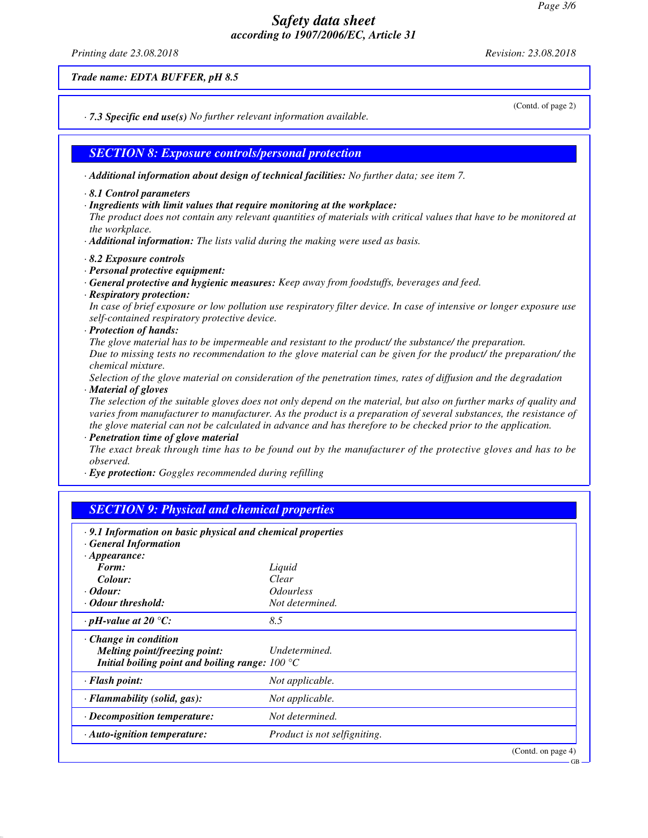*Printing date 23.08.2018 Revision: 23.08.2018*

*Trade name: EDTA BUFFER, pH 8.5*

*· 7.3 Specific end use(s) No further relevant information available.*

*SECTION 8: Exposure controls/personal protection*

*· Additional information about design of technical facilities: No further data; see item 7.*

- *· 8.1 Control parameters*
- *· Ingredients with limit values that require monitoring at the workplace:*

*The product does not contain any relevant quantities of materials with critical values that have to be monitored at the workplace.*

- *· Additional information: The lists valid during the making were used as basis.*
- *· 8.2 Exposure controls*
- *· Personal protective equipment:*
- *· General protective and hygienic measures: Keep away from foodstuffs, beverages and feed.*
- *· Respiratory protection:*

*In case of brief exposure or low pollution use respiratory filter device. In case of intensive or longer exposure use self-contained respiratory protective device.*

*· Protection of hands:*

*The glove material has to be impermeable and resistant to the product/ the substance/ the preparation. Due to missing tests no recommendation to the glove material can be given for the product/ the preparation/ the chemical mixture.*

*Selection of the glove material on consideration of the penetration times, rates of diffusion and the degradation*

#### *· Material of gloves*

*The selection of the suitable gloves does not only depend on the material, but also on further marks of quality and varies from manufacturer to manufacturer. As the product is a preparation of several substances, the resistance of the glove material can not be calculated in advance and has therefore to be checked prior to the application.*

*· Penetration time of glove material*

*The exact break through time has to be found out by the manufacturer of the protective gloves and has to be observed.*

*· Eye protection: Goggles recommended during refilling*

| <b>SECTION 9: Physical and chemical properties</b>                |                                |                    |
|-------------------------------------------------------------------|--------------------------------|--------------------|
| $\cdot$ 9.1 Information on basic physical and chemical properties |                                |                    |
| <b>General Information</b>                                        |                                |                    |
| $\cdot$ Appearance:                                               |                                |                    |
| Form:                                                             | Liquid                         |                    |
| Colour:                                                           | Clear                          |                    |
| $\cdot$ Odour:                                                    | <i><u><b>Odourless</b></u></i> |                    |
| · Odour threshold:                                                | Not determined.                |                    |
| $\cdot$ pH-value at 20 $\degree$ C:                               | 8.5                            |                    |
| $\cdot$ Change in condition                                       |                                |                    |
| Melting point/freezing point:                                     | Undetermined.                  |                    |
| Initial boiling point and boiling range: $100^{\circ}$ C          |                                |                    |
| $\cdot$ Flash point:                                              | Not applicable.                |                    |
| · Flammability (solid, gas):                                      | Not applicable.                |                    |
| · Decomposition temperature:                                      | Not determined.                |                    |
| · Auto-ignition temperature:                                      | Product is not selfigniting.   |                    |
|                                                                   |                                | (Contd. on page 4) |

(Contd. of page 2)

GB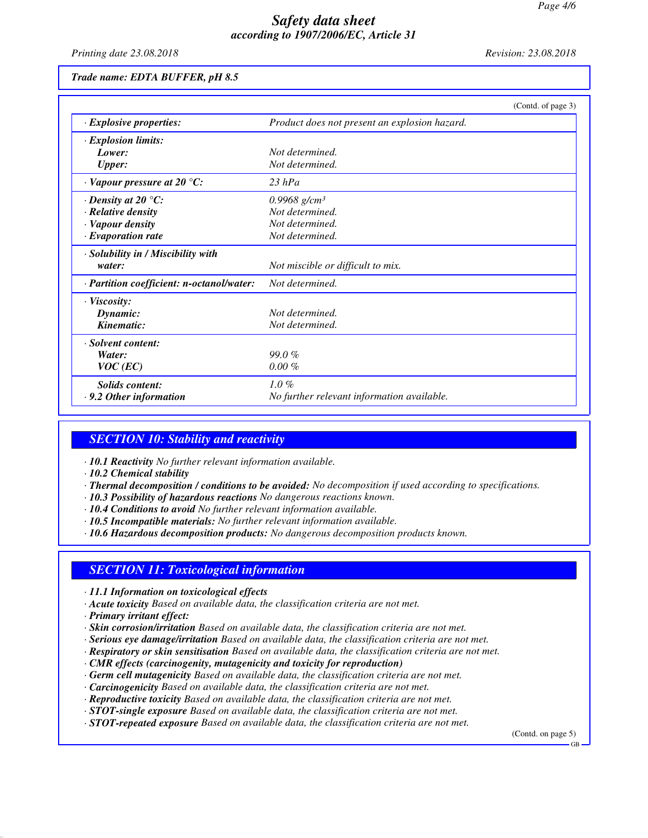*Printing date 23.08.2018 Revision: 23.08.2018*

#### *Trade name: EDTA BUFFER, pH 8.5*

|                                           | (Contd. of page 3)                            |
|-------------------------------------------|-----------------------------------------------|
| $\cdot$ Explosive properties:             | Product does not present an explosion hazard. |
| $\cdot$ Explosion limits:                 |                                               |
| Lower:                                    | Not determined.                               |
| <b>Upper:</b>                             | Not determined.                               |
| $\cdot$ Vapour pressure at 20 °C:         | $23$ hPa                                      |
| $\cdot$ Density at 20 $\degree$ C:        | 0.9968 g/cm <sup>3</sup>                      |
| · Relative density                        | Not determined.                               |
| · Vapour density                          | Not determined.                               |
| $\cdot$ Evaporation rate                  | Not determined.                               |
| · Solubility in / Miscibility with        |                                               |
| water:                                    | Not miscible or difficult to mix.             |
| · Partition coefficient: n-octanol/water: | Not determined.                               |
| $\cdot$ Viscosity:                        |                                               |
| Dynamic:                                  | Not determined.                               |
| Kinematic:                                | Not determined.                               |
| · Solvent content:                        |                                               |
| Water:                                    | 99.0%                                         |
| $VOC$ (EC)                                | $0.00 \%$                                     |
| <b>Solids</b> content:                    | $1.0\%$                                       |
| $\cdot$ 9.2 Other information             | No further relevant information available.    |

#### *SECTION 10: Stability and reactivity*

- *· 10.1 Reactivity No further relevant information available.*
- *· 10.2 Chemical stability*
- *· Thermal decomposition / conditions to be avoided: No decomposition if used according to specifications.*
- *· 10.3 Possibility of hazardous reactions No dangerous reactions known.*
- *· 10.4 Conditions to avoid No further relevant information available.*
- *· 10.5 Incompatible materials: No further relevant information available.*
- *· 10.6 Hazardous decomposition products: No dangerous decomposition products known.*

#### *SECTION 11: Toxicological information*

- *· 11.1 Information on toxicological effects*
- *· Acute toxicity Based on available data, the classification criteria are not met.*
- *· Primary irritant effect:*
- *· Skin corrosion/irritation Based on available data, the classification criteria are not met.*
- *· Serious eye damage/irritation Based on available data, the classification criteria are not met.*
- *· Respiratory or skin sensitisation Based on available data, the classification criteria are not met.*
- *· CMR effects (carcinogenity, mutagenicity and toxicity for reproduction)*
- *· Germ cell mutagenicity Based on available data, the classification criteria are not met.*
- *· Carcinogenicity Based on available data, the classification criteria are not met.*
- *· Reproductive toxicity Based on available data, the classification criteria are not met.*
- *· STOT-single exposure Based on available data, the classification criteria are not met.*
- *· STOT-repeated exposure Based on available data, the classification criteria are not met.*

(Contd. on page 5)

GB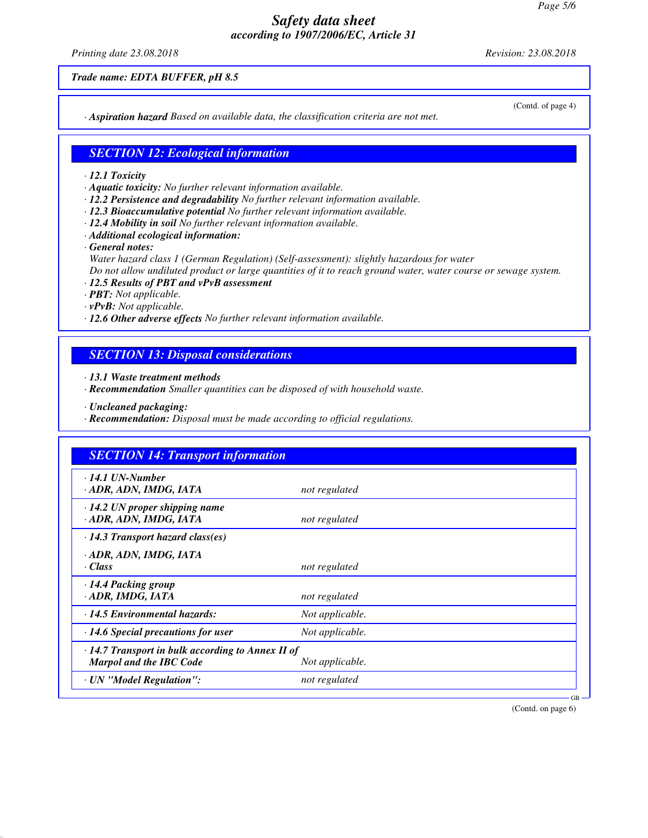*Printing date 23.08.2018 Revision: 23.08.2018*

(Contd. of page 4)

*Trade name: EDTA BUFFER, pH 8.5*

*· Aspiration hazard Based on available data, the classification criteria are not met.*

## *SECTION 12: Ecological information*

- *· 12.1 Toxicity*
- *· Aquatic toxicity: No further relevant information available.*
- *· 12.2 Persistence and degradability No further relevant information available.*
- *· 12.3 Bioaccumulative potential No further relevant information available.*
- *· 12.4 Mobility in soil No further relevant information available.*
- *· Additional ecological information:*
- *· General notes: Water hazard class 1 (German Regulation) (Self-assessment): slightly hazardous for water Do not allow undiluted product or large quantities of it to reach ground water, water course or sewage system.*
- *· 12.5 Results of PBT and vPvB assessment*
- *· PBT: Not applicable.*
- *· vPvB: Not applicable.*
- *· 12.6 Other adverse effects No further relevant information available.*

## *SECTION 13: Disposal considerations*

- *· 13.1 Waste treatment methods*
- *· Recommendation Smaller quantities can be disposed of with household waste.*
- *· Uncleaned packaging:*
- *· Recommendation: Disposal must be made according to official regulations.*

| $\cdot$ 14.1 UN-Number<br>· ADR, ADN, IMDG, IATA                                          | not regulated   |  |
|-------------------------------------------------------------------------------------------|-----------------|--|
| $\cdot$ 14.2 UN proper shipping name<br>· ADR, ADN, IMDG, IATA                            | not regulated   |  |
| $\cdot$ 14.3 Transport hazard class(es)                                                   |                 |  |
| · ADR, ADN, IMDG, IATA<br>· Class                                                         | not regulated   |  |
| $\cdot$ 14.4 Packing group<br>ADR, IMDG, IATA                                             | not regulated   |  |
| $\cdot$ 14.5 Environmental hazards:                                                       | Not applicable. |  |
| $\cdot$ 14.6 Special precautions for user                                                 | Not applicable. |  |
| $\cdot$ 14.7 Transport in bulk according to Annex II of<br><b>Marpol and the IBC Code</b> | Not applicable. |  |
| · UN "Model Regulation":                                                                  | not regulated   |  |

(Contd. on page 6)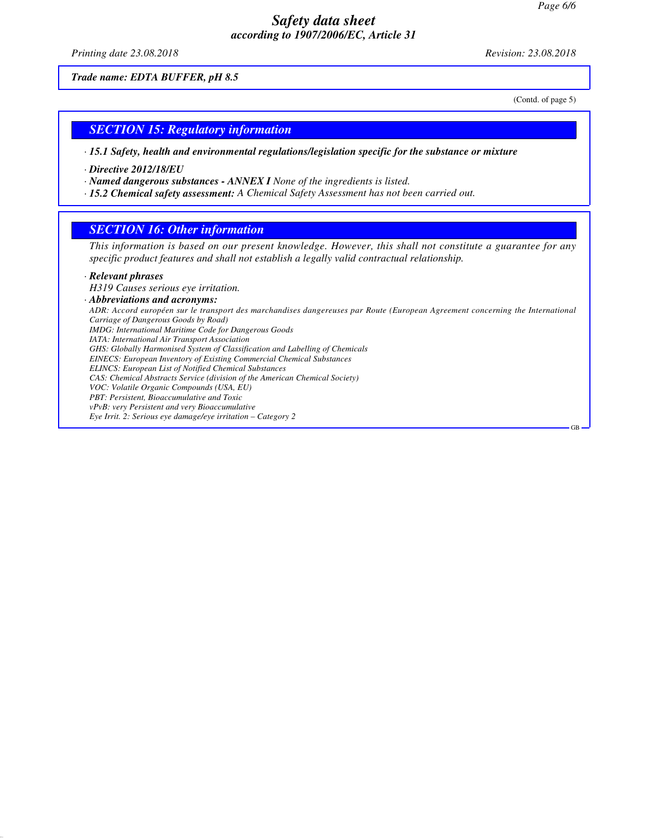*Printing date 23.08.2018 Revision: 23.08.2018*

*Trade name: EDTA BUFFER, pH 8.5*

(Contd. of page 5)

#### *SECTION 15: Regulatory information*

*· 15.1 Safety, health and environmental regulations/legislation specific for the substance or mixture*

*· Directive 2012/18/EU*

*· Named dangerous substances - ANNEX I None of the ingredients is listed.*

*· 15.2 Chemical safety assessment: A Chemical Safety Assessment has not been carried out.*

#### *SECTION 16: Other information*

*This information is based on our present knowledge. However, this shall not constitute a guarantee for any specific product features and shall not establish a legally valid contractual relationship.*

#### *· Relevant phrases*

*H319 Causes serious eye irritation.*

*· Abbreviations and acronyms: ADR: Accord européen sur le transport des marchandises dangereuses par Route (European Agreement concerning the International Carriage of Dangerous Goods by Road) IMDG: International Maritime Code for Dangerous Goods IATA: International Air Transport Association GHS: Globally Harmonised System of Classification and Labelling of Chemicals EINECS: European Inventory of Existing Commercial Chemical Substances ELINCS: European List of Notified Chemical Substances CAS: Chemical Abstracts Service (division of the American Chemical Society) VOC: Volatile Organic Compounds (USA, EU) PBT: Persistent, Bioaccumulative and Toxic vPvB: very Persistent and very Bioaccumulative Eye Irrit. 2: Serious eye damage/eye irritation – Category 2* GB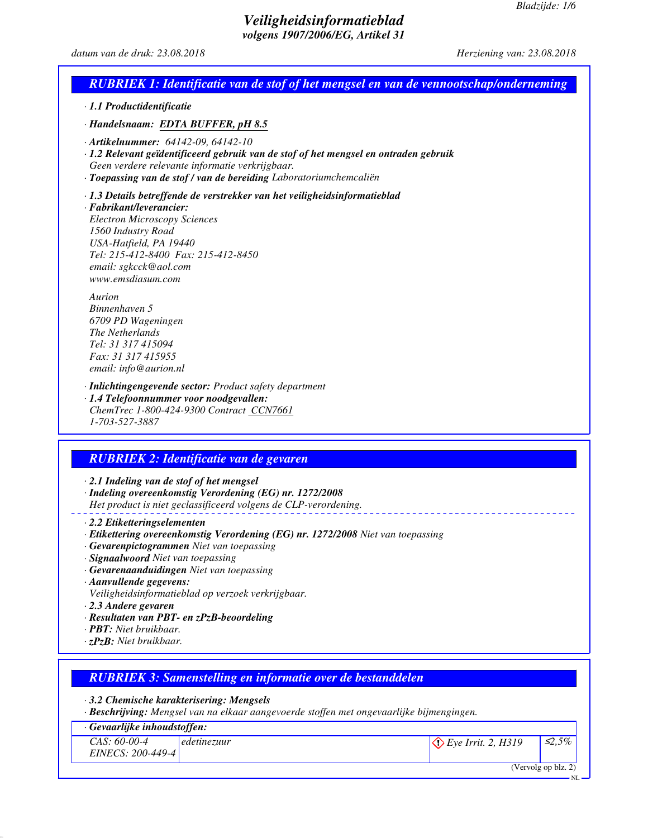NL

## *Veiligheidsinformatieblad volgens 1907/2006/EG, Artikel 31*

#### *datum van de druk: 23.08.2018 Herziening van: 23.08.2018*

# *RUBRIEK 1: Identificatie van de stof of het mengsel en van de vennootschap/onderneming · 1.1 Productidentificatie*

*· Handelsnaam: EDTA BUFFER, pH 8.5*

- *· Artikelnummer: 64142-09, 64142-10*
- *· 1.2 Relevant geïdentificeerd gebruik van de stof of het mengsel en ontraden gebruik Geen verdere relevante informatie verkrijgbaar.*
- *· Toepassing van de stof / van de bereiding Laboratoriumchemcaliën*

*· 1.3 Details betreffende de verstrekker van het veiligheidsinformatieblad*

*· Fabrikant/leverancier: Electron Microscopy Sciences 1560 Industry Road USA-Hatfield, PA 19440 Tel: 215-412-8400 Fax: 215-412-8450 email: sgkcck@aol.com www.emsdiasum.com*

*Aurion Binnenhaven 5 6709 PD Wageningen The Netherlands Tel: 31 317 415094 Fax: 31 317 415955 email: info@aurion.nl*

*· Inlichtingengevende sector: Product safety department · 1.4 Telefoonnummer voor noodgevallen:*

*ChemTrec 1-800-424-9300 Contract CCN7661 1-703-527-3887*

# *RUBRIEK 2: Identificatie van de gevaren*

*· 2.1 Indeling van de stof of het mengsel*

*· Indeling overeenkomstig Verordening (EG) nr. 1272/2008*

- *Het product is niet geclassificeerd volgens de CLP-verordening.*
- *· 2.2 Etiketteringselementen*
- *· Etikettering overeenkomstig Verordening (EG) nr. 1272/2008 Niet van toepassing*
- *· Gevarenpictogrammen Niet van toepassing*
- *· Signaalwoord Niet van toepassing*
- *· Gevarenaanduidingen Niet van toepassing*
- *· Aanvullende gegevens:*
- *Veiligheidsinformatieblad op verzoek verkrijgbaar.*
- *· 2.3 Andere gevaren*
- *· Resultaten van PBT- en zPzB-beoordeling*
- *· PBT: Niet bruikbaar.*
- *· zPzB: Niet bruikbaar.*

| <b>RUBRIEK 3: Samenstelling en informatie over de bestanddelen</b> |  |
|--------------------------------------------------------------------|--|
|--------------------------------------------------------------------|--|

*· 3.2 Chemische karakterisering: Mengsels*

*· Beschrijving: Mengsel van na elkaar aangevoerde stoffen met ongevaarlijke bijmengingen.*

| $\cdot$ Gevaarlijke inhoudstoffen:  |             |                               |                     |
|-------------------------------------|-------------|-------------------------------|---------------------|
| $CAS: 60-00-4$<br>EINECS: 200-449-4 | edetinezuur | $\Diamond$ Eye Irrit. 2, H319 | $\leq 2.5\%$        |
|                                     |             |                               | (Vervolg op blz. 2) |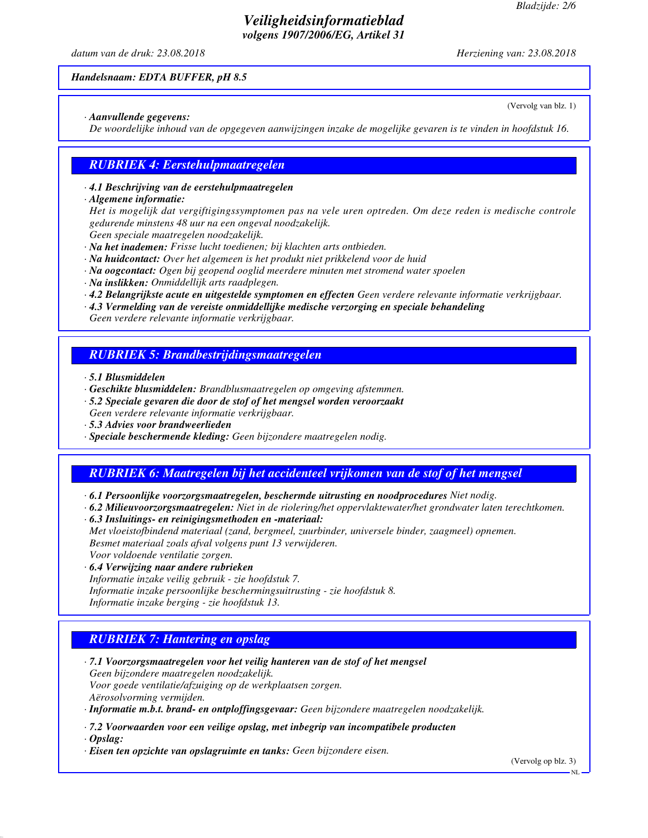(Vervolg van blz. 1)

# *Veiligheidsinformatieblad volgens 1907/2006/EG, Artikel 31*

*datum van de druk: 23.08.2018 Herziening van: 23.08.2018*

#### *Handelsnaam: EDTA BUFFER, pH 8.5*

#### *· Aanvullende gegevens:*

*De woordelijke inhoud van de opgegeven aanwijzingen inzake de mogelijke gevaren is te vinden in hoofdstuk 16.*

## *RUBRIEK 4: Eerstehulpmaatregelen*

#### *· 4.1 Beschrijving van de eerstehulpmaatregelen*

#### *· Algemene informatie:*

*Het is mogelijk dat vergiftigingssymptomen pas na vele uren optreden. Om deze reden is medische controle gedurende minstens 48 uur na een ongeval noodzakelijk. Geen speciale maatregelen noodzakelijk.*

- *· Na het inademen: Frisse lucht toedienen; bij klachten arts ontbieden.*
- *· Na huidcontact: Over het algemeen is het produkt niet prikkelend voor de huid*
- *· Na oogcontact: Ogen bij geopend ooglid meerdere minuten met stromend water spoelen*
- *· Na inslikken: Onmiddellijk arts raadplegen.*
- *· 4.2 Belangrijkste acute en uitgestelde symptomen en effecten Geen verdere relevante informatie verkrijgbaar.*
- *· 4.3 Vermelding van de vereiste onmiddellijke medische verzorging en speciale behandeling*

*Geen verdere relevante informatie verkrijgbaar.*

## *RUBRIEK 5: Brandbestrijdingsmaatregelen*

- *· 5.1 Blusmiddelen*
- *· Geschikte blusmiddelen: Brandblusmaatregelen op omgeving afstemmen.*
- *· 5.2 Speciale gevaren die door de stof of het mengsel worden veroorzaakt Geen verdere relevante informatie verkrijgbaar.*
- *· 5.3 Advies voor brandweerlieden*
- *· Speciale beschermende kleding: Geen bijzondere maatregelen nodig.*

# *RUBRIEK 6: Maatregelen bij het accidenteel vrijkomen van de stof of het mengsel*

- *· 6.1 Persoonlijke voorzorgsmaatregelen, beschermde uitrusting en noodprocedures Niet nodig.*
- *· 6.2 Milieuvoorzorgsmaatregelen: Niet in de riolering/het oppervlaktewater/het grondwater laten terechtkomen.*
- *· 6.3 Insluitings- en reinigingsmethoden en -materiaal:*

*Met vloeistofbindend materiaal (zand, bergmeel, zuurbinder, universele binder, zaagmeel) opnemen. Besmet materiaal zoals afval volgens punt 13 verwijderen. Voor voldoende ventilatie zorgen.*

*· 6.4 Verwijzing naar andere rubrieken*

*Informatie inzake veilig gebruik - zie hoofdstuk 7. Informatie inzake persoonlijke beschermingsuitrusting - zie hoofdstuk 8. Informatie inzake berging - zie hoofdstuk 13.*

# *RUBRIEK 7: Hantering en opslag*

*· 7.1 Voorzorgsmaatregelen voor het veilig hanteren van de stof of het mengsel Geen bijzondere maatregelen noodzakelijk. Voor goede ventilatie/afzuiging op de werkplaatsen zorgen. Aërosolvorming vermijden.*

*· Informatie m.b.t. brand- en ontploffingsgevaar: Geen bijzondere maatregelen noodzakelijk.*

*· 7.2 Voorwaarden voor een veilige opslag, met inbegrip van incompatibele producten*

*· Opslag:*

*· Eisen ten opzichte van opslagruimte en tanks: Geen bijzondere eisen.*

(Vervolg op blz. 3)

NL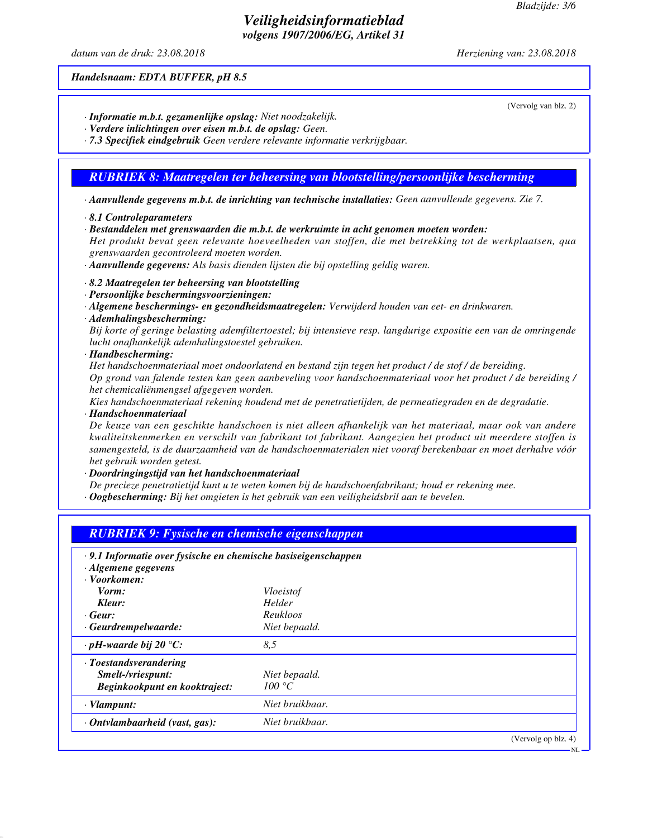(Vervolg van blz. 2)

## *Veiligheidsinformatieblad volgens 1907/2006/EG, Artikel 31*

*datum van de druk: 23.08.2018 Herziening van: 23.08.2018*

#### *Handelsnaam: EDTA BUFFER, pH 8.5*

- *· Informatie m.b.t. gezamenlijke opslag: Niet noodzakelijk.*
- *· Verdere inlichtingen over eisen m.b.t. de opslag: Geen.*
- *· 7.3 Specifiek eindgebruik Geen verdere relevante informatie verkrijgbaar.*

# *RUBRIEK 8: Maatregelen ter beheersing van blootstelling/persoonlijke bescherming*

- *· Aanvullende gegevens m.b.t. de inrichting van technische installaties: Geen aanvullende gegevens. Zie 7.*
- *· 8.1 Controleparameters*
- *· Bestanddelen met grenswaarden die m.b.t. de werkruimte in acht genomen moeten worden:*

*Het produkt bevat geen relevante hoeveelheden van stoffen, die met betrekking tot de werkplaatsen, qua grenswaarden gecontroleerd moeten worden.*

- *· Aanvullende gegevens: Als basis dienden lijsten die bij opstelling geldig waren.*
- *· 8.2 Maatregelen ter beheersing van blootstelling*
- *· Persoonlijke beschermingsvoorzieningen:*
- *· Algemene beschermings- en gezondheidsmaatregelen: Verwijderd houden van eet- en drinkwaren.*
- *· Ademhalingsbescherming:*

*Bij korte of geringe belasting ademfiltertoestel; bij intensieve resp. langdurige expositie een van de omringende lucht onafhankelijk ademhalingstoestel gebruiken.*

*· Handbescherming:*

*Het handschoenmateriaal moet ondoorlatend en bestand zijn tegen het product / de stof / de bereiding. Op grond van falende testen kan geen aanbeveling voor handschoenmateriaal voor het product / de bereiding / het chemicaliënmengsel afgegeven worden.*

*Kies handschoenmateriaal rekening houdend met de penetratietijden, de permeatiegraden en de degradatie.*

*· Handschoenmateriaal*

*De keuze van een geschikte handschoen is niet alleen afhankelijk van het materiaal, maar ook van andere kwaliteitskenmerken en verschilt van fabrikant tot fabrikant. Aangezien het product uit meerdere stoffen is samengesteld, is de duurzaamheid van de handschoenmaterialen niet vooraf berekenbaar en moet derhalve vóór het gebruik worden getest.*

*· Doordringingstijd van het handschoenmateriaal*

- *De precieze penetratietijd kunt u te weten komen bij de handschoenfabrikant; houd er rekening mee.*
- *· Oogbescherming: Bij het omgieten is het gebruik van een veiligheidsbril aan te bevelen.*

# *RUBRIEK 9: Fysische en chemische eigenschappen*

| $\cdot$ 9.1 Informatie over fysische en chemische basiseigenschappen<br>· Algemene gegevens |                  |                     |
|---------------------------------------------------------------------------------------------|------------------|---------------------|
| · Voorkomen:                                                                                |                  |                     |
| Vorm:                                                                                       | <i>Vloeistof</i> |                     |
| Kleur:                                                                                      | Helder           |                     |
| $\cdot$ Geur:                                                                               | <b>Reukloos</b>  |                     |
| $\cdot$ Geurdrempelwaarde:                                                                  | Niet bepaald.    |                     |
| $\cdot$ pH-waarde bij 20 °C:                                                                | 8.5              |                     |
| · Toestandsverandering                                                                      |                  |                     |
| Smelt-/vriespunt:                                                                           | Niet bepaald.    |                     |
| Beginkookpunt en kooktraject:                                                               | 100 °C           |                     |
| $\cdot$ Vlampunt:                                                                           | Niet bruikbaar.  |                     |
| · Ontvlambaarheid (vast, gas):                                                              | Niet bruikbaar.  |                     |
|                                                                                             |                  | (Vervolg op blz. 4) |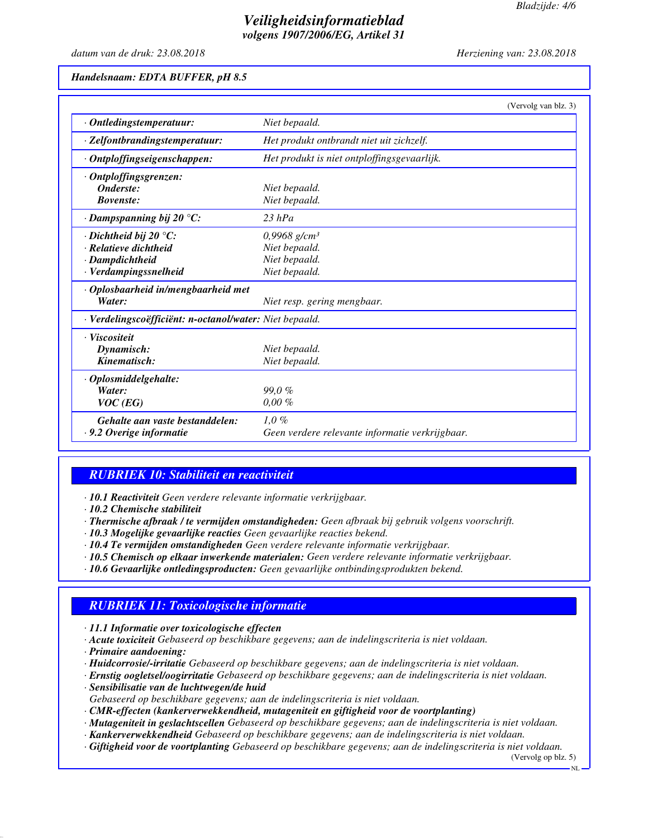# *Veiligheidsinformatieblad volgens 1907/2006/EG, Artikel 31*

*datum van de druk: 23.08.2018 Herziening van: 23.08.2018*

#### *Handelsnaam: EDTA BUFFER, pH 8.5*

|                                                         |                                                 | (Vervolg van blz. 3) |
|---------------------------------------------------------|-------------------------------------------------|----------------------|
| · Ontledingstemperatuur:                                | Niet bepaald.                                   |                      |
| · Zelfontbrandingstemperatuur:                          | Het produkt ontbrandt niet uit zichzelf.        |                      |
| · Ontploffingseigenschappen:                            | Het produkt is niet ontploffingsgevaarlijk.     |                      |
| · Ontploffingsgrenzen:                                  |                                                 |                      |
| Onderste:                                               | Niet bepaald.                                   |                      |
| <b>Bovenste:</b>                                        | Niet bepaald.                                   |                      |
| $\cdot$ Dampspanning bij 20 °C:                         | $23$ hPa                                        |                      |
| $\cdot$ Dichtheid bij 20 $\degree$ C:                   | $0,9968$ g/cm <sup>3</sup>                      |                      |
| · Relatieve dichtheid                                   | Niet bepaald.                                   |                      |
| · Dampdichtheid                                         | Niet bepaald.                                   |                      |
| · Verdampingssnelheid                                   | Niet bepaald.                                   |                      |
| · Oplosbaarheid in/mengbaarheid met                     |                                                 |                      |
| Water:                                                  | Niet resp. gering mengbaar.                     |                      |
| · Verdelingscoëfficiënt: n-octanol/water: Niet bepaald. |                                                 |                      |
| · Viscositeit                                           |                                                 |                      |
| Dynamisch:                                              | Niet bepaald.                                   |                      |
| Kinematisch:                                            | Niet bepaald.                                   |                      |
| · Oplosmiddelgehalte:                                   |                                                 |                      |
| Water:                                                  | 99.0%                                           |                      |
| $VOC$ (EG)                                              | $0.00 \%$                                       |                      |
| Gehalte aan vaste bestanddelen:                         | $1.0\%$                                         |                      |
| $\cdot$ 9.2 Overige informatie                          | Geen verdere relevante informatie verkrijgbaar. |                      |

## *RUBRIEK 10: Stabiliteit en reactiviteit*

*· 10.1 Reactiviteit Geen verdere relevante informatie verkrijgbaar.*

*· 10.2 Chemische stabiliteit*

- *· Thermische afbraak / te vermijden omstandigheden: Geen afbraak bij gebruik volgens voorschrift.*
- *· 10.3 Mogelijke gevaarlijke reacties Geen gevaarlijke reacties bekend.*
- *· 10.4 Te vermijden omstandigheden Geen verdere relevante informatie verkrijgbaar.*
- *· 10.5 Chemisch op elkaar inwerkende materialen: Geen verdere relevante informatie verkrijgbaar.*
- *· 10.6 Gevaarlijke ontledingsproducten: Geen gevaarlijke ontbindingsprodukten bekend.*

# *RUBRIEK 11: Toxicologische informatie*

*· 11.1 Informatie over toxicologische effecten*

- *· Acute toxiciteit Gebaseerd op beschikbare gegevens; aan de indelingscriteria is niet voldaan.*
- *· Primaire aandoening:*
- *· Huidcorrosie/-irritatie Gebaseerd op beschikbare gegevens; aan de indelingscriteria is niet voldaan.*
- *· Ernstig oogletsel/oogirritatie Gebaseerd op beschikbare gegevens; aan de indelingscriteria is niet voldaan.*
- *· Sensibilisatie van de luchtwegen/de huid*
- *Gebaseerd op beschikbare gegevens; aan de indelingscriteria is niet voldaan.*
- *· CMR-effecten (kankerverwekkendheid, mutageniteit en giftigheid voor de voortplanting)*
- *· Mutageniteit in geslachtscellen Gebaseerd op beschikbare gegevens; aan de indelingscriteria is niet voldaan.*
- *· Kankerverwekkendheid Gebaseerd op beschikbare gegevens; aan de indelingscriteria is niet voldaan.*
- *· Giftigheid voor de voortplanting Gebaseerd op beschikbare gegevens; aan de indelingscriteria is niet voldaan.*

(Vervolg op blz. 5)

NL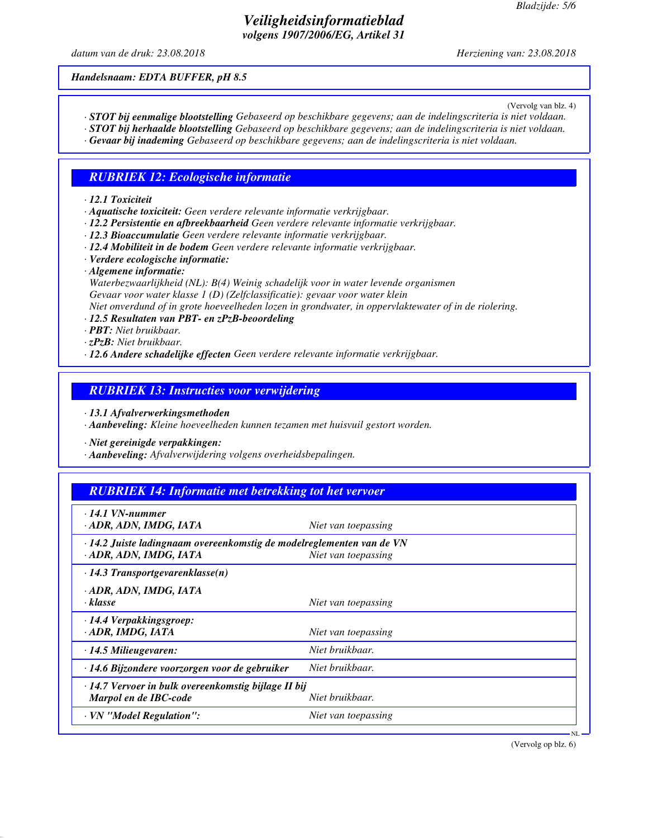## *Veiligheidsinformatieblad volgens 1907/2006/EG, Artikel 31*

*datum van de druk: 23.08.2018 Herziening van: 23.08.2018*

*Handelsnaam: EDTA BUFFER, pH 8.5*

(Vervolg van blz. 4)

- *· STOT bij eenmalige blootstelling Gebaseerd op beschikbare gegevens; aan de indelingscriteria is niet voldaan.*
- *· STOT bij herhaalde blootstelling Gebaseerd op beschikbare gegevens; aan de indelingscriteria is niet voldaan.*
- *· Gevaar bij inademing Gebaseerd op beschikbare gegevens; aan de indelingscriteria is niet voldaan.*

## *RUBRIEK 12: Ecologische informatie*

#### *· 12.1 Toxiciteit*

- *· Aquatische toxiciteit: Geen verdere relevante informatie verkrijgbaar.*
- *· 12.2 Persistentie en afbreekbaarheid Geen verdere relevante informatie verkrijgbaar.*
- *· 12.3 Bioaccumulatie Geen verdere relevante informatie verkrijgbaar.*
- *· 12.4 Mobiliteit in de bodem Geen verdere relevante informatie verkrijgbaar.*
- *· Verdere ecologische informatie:*
- *· Algemene informatie:*

*Waterbezwaarlijkheid (NL): B(4) Weinig schadelijk voor in water levende organismen Gevaar voor water klasse 1 (D) (Zelfclassificatie): gevaar voor water klein*

*Niet onverdund of in grote hoeveelheden lozen in grondwater, in oppervlaktewater of in de riolering.*

- *· 12.5 Resultaten van PBT- en zPzB-beoordeling*
- *· PBT: Niet bruikbaar.*
- *· zPzB: Niet bruikbaar.*
- *· 12.6 Andere schadelijke effecten Geen verdere relevante informatie verkrijgbaar.*

### *RUBRIEK 13: Instructies voor verwijdering*

*· 13.1 Afvalverwerkingsmethoden*

*· Aanbeveling: Kleine hoeveelheden kunnen tezamen met huisvuil gestort worden.*

*· Niet gereinigde verpakkingen:*

*· Aanbeveling: Afvalverwijdering volgens overheidsbepalingen.*

| <b>RUBRIEK 14: Informatie met betrekking tot het vervoer</b>                                    |                     |
|-------------------------------------------------------------------------------------------------|---------------------|
| $\cdot$ 14.1 VN-nummer<br>· ADR, ADN, IMDG, IATA                                                | Niet van toepassing |
| · 14.2 Juiste ladingnaam overeenkomstig de modelreglementen van de VN<br>· ADR, ADN, IMDG, IATA | Niet van toepassing |
| $\cdot$ 14.3 Transportgevarenklasse(n)                                                          |                     |
| · ADR, ADN, IMDG, IATA<br>$\cdot$ klasse                                                        | Niet van toepassing |
| · 14.4 Verpakkingsgroep:<br>· ADR, IMDG, IATA                                                   | Niet van toepassing |
| $\cdot$ 14.5 Milieugevaren:                                                                     | Niet bruikbaar.     |
| $\cdot$ 14.6 Bijzondere voorzorgen voor de gebruiker                                            | Niet bruikbaar.     |
| · 14.7 Vervoer in bulk overeenkomstig bijlage II bij<br>Marpol en de IBC-code                   | Niet bruikbaar.     |
| · VN "Model Regulation":                                                                        | Niet van toepassing |

(Vervolg op blz. 6)

NL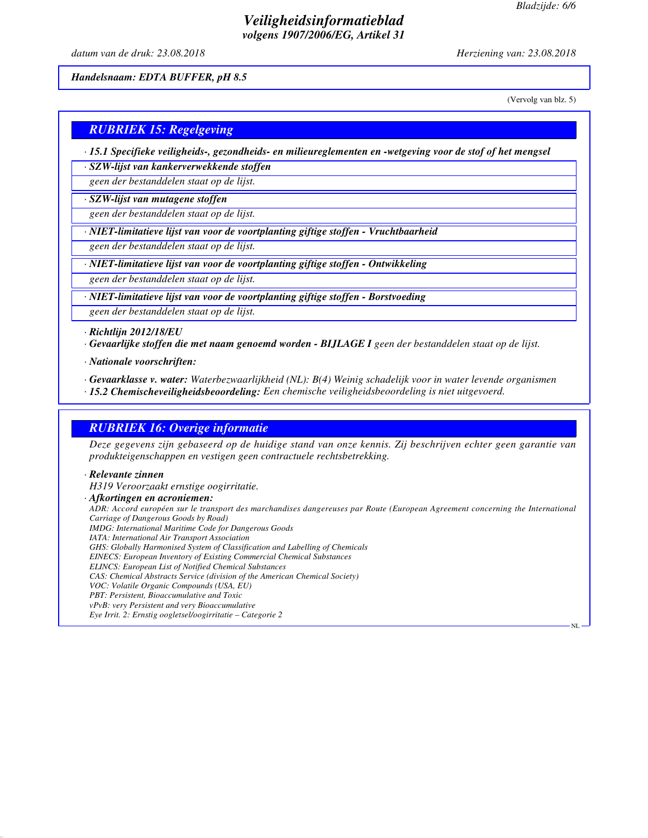# *Veiligheidsinformatieblad volgens 1907/2006/EG, Artikel 31*

*datum van de druk: 23.08.2018 Herziening van: 23.08.2018*

*Handelsnaam: EDTA BUFFER, pH 8.5*

(Vervolg van blz. 5)

NL

# *RUBRIEK 15: Regelgeving*

*· 15.1 Specifieke veiligheids-, gezondheids- en milieureglementen en -wetgeving voor de stof of het mengsel*

*· SZW-lijst van kankerverwekkende stoffen*

*geen der bestanddelen staat op de lijst.*

*· SZW-lijst van mutagene stoffen*

*geen der bestanddelen staat op de lijst.*

*· NIET-limitatieve lijst van voor de voortplanting giftige stoffen - Vruchtbaarheid*

*geen der bestanddelen staat op de lijst.*

*· NIET-limitatieve lijst van voor de voortplanting giftige stoffen - Ontwikkeling*

*geen der bestanddelen staat op de lijst.*

*· NIET-limitatieve lijst van voor de voortplanting giftige stoffen - Borstvoeding*

*geen der bestanddelen staat op de lijst.*

*· Richtlijn 2012/18/EU*

*· Gevaarlijke stoffen die met naam genoemd worden - BIJLAGE I geen der bestanddelen staat op de lijst.*

*· Nationale voorschriften:*

*· Gevaarklasse v. water: Waterbezwaarlijkheid (NL): B(4) Weinig schadelijk voor in water levende organismen*

*· 15.2 Chemischeveiligheidsbeoordeling: Een chemische veiligheidsbeoordeling is niet uitgevoerd.*

# *RUBRIEK 16: Overige informatie*

*Deze gegevens zijn gebaseerd op de huidige stand van onze kennis. Zij beschrijven echter geen garantie van produkteigenschappen en vestigen geen contractuele rechtsbetrekking.*

#### *· Relevante zinnen*

*H319 Veroorzaakt ernstige oogirritatie.*

*· Afkortingen en acroniemen:*

*ADR: Accord européen sur le transport des marchandises dangereuses par Route (European Agreement concerning the International Carriage of Dangerous Goods by Road) IMDG: International Maritime Code for Dangerous Goods IATA: International Air Transport Association*

*GHS: Globally Harmonised System of Classification and Labelling of Chemicals*

*EINECS: European Inventory of Existing Commercial Chemical Substances*

*ELINCS: European List of Notified Chemical Substances*

*CAS: Chemical Abstracts Service (division of the American Chemical Society)*

*VOC: Volatile Organic Compounds (USA, EU)*

*PBT: Persistent, Bioaccumulative and Toxic vPvB: very Persistent and very Bioaccumulative*

*Eye Irrit. 2: Ernstig oogletsel/oogirritatie – Categorie 2*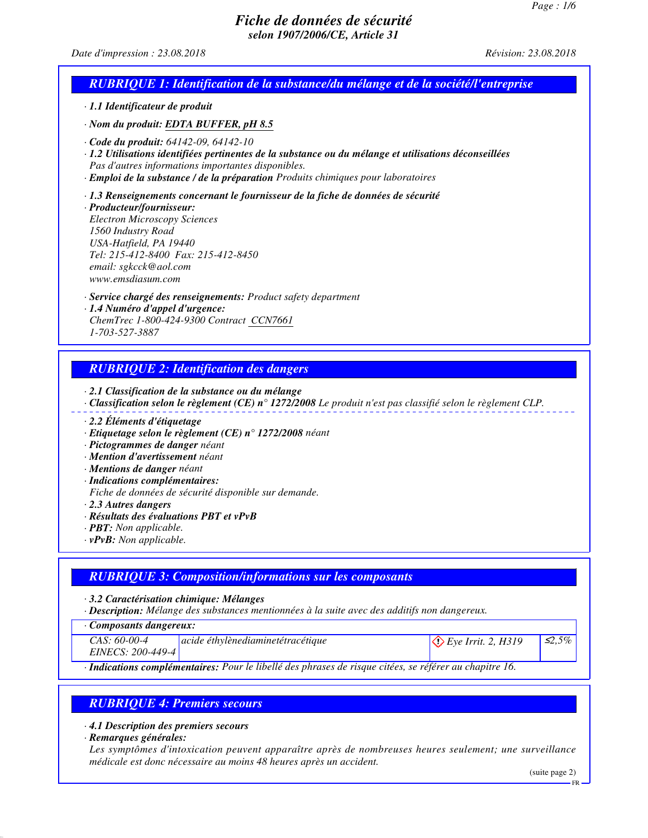#### *Date d'impression : 23.08.2018 Révision: 23.08.2018*

## *RUBRIQUE 1: Identification de la substance/du mélange et de la société/l'entreprise*

- *· 1.1 Identificateur de produit*
- *· Nom du produit: EDTA BUFFER, pH 8.5*
- *· Code du produit: 64142-09, 64142-10*
- *· 1.2 Utilisations identifiées pertinentes de la substance ou du mélange et utilisations déconseillées Pas d'autres informations importantes disponibles.*
- *· Emploi de la substance / de la préparation Produits chimiques pour laboratoires*
- *· 1.3 Renseignements concernant le fournisseur de la fiche de données de sécurité*

*· Producteur/fournisseur: Electron Microscopy Sciences 1560 Industry Road USA-Hatfield, PA 19440 Tel: 215-412-8400 Fax: 215-412-8450 email: sgkcck@aol.com www.emsdiasum.com*

- *· Service chargé des renseignements: Product safety department*
- *· 1.4 Numéro d'appel d'urgence: ChemTrec 1-800-424-9300 Contract CCN7661 1-703-527-3887*
- *RUBRIQUE 2: Identification des dangers*
- *· 2.1 Classification de la substance ou du mélange*
- *· Classification selon le règlement (CE) n° 1272/2008 Le produit n'est pas classifié selon le règlement CLP.*
- *· 2.2 Éléments d'étiquetage*
- *· Etiquetage selon le règlement (CE) n° 1272/2008 néant*
- *· Pictogrammes de danger néant*
- *· Mention d'avertissement néant*
- *· Mentions de danger néant*
- *· Indications complémentaires:*

*Fiche de données de sécurité disponible sur demande.*

- *· 2.3 Autres dangers*
- *· Résultats des évaluations PBT et vPvB*
- *· PBT: Non applicable.*
- *· vPvB: Non applicable.*

## *RUBRIQUE 3: Composition/informations sur les composants*

*· 3.2 Caractérisation chimique: Mélanges*

*· Description: Mélange des substances mentionnées à la suite avec des additifs non dangereux.*

*· Composants dangereux:*

*CAS: 60-00-4 EINECS: 200-449-4 acide éthylènediaminetétracétique* Exercise Exercise Exercise Exercise S2,5%

*· Indications complémentaires: Pour le libellé des phrases de risque citées, se référer au chapitre 16.*

# *RUBRIQUE 4: Premiers secours*

*· 4.1 Description des premiers secours*

*· Remarques générales:*

*Les symptômes d'intoxication peuvent apparaître après de nombreuses heures seulement; une surveillance médicale est donc nécessaire au moins 48 heures après un accident.*

(suite page 2)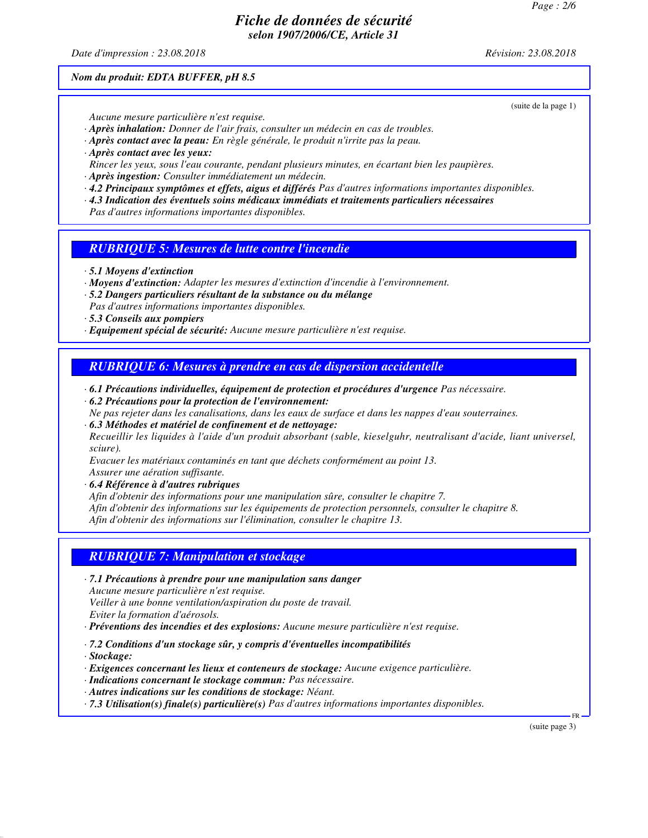*Date d'impression : 23.08.2018 Révision: 23.08.2018*

*Nom du produit: EDTA BUFFER, pH 8.5*

(suite de la page 1)

*Aucune mesure particulière n'est requise.*

- *· Après inhalation: Donner de l'air frais, consulter un médecin en cas de troubles.*
- *· Après contact avec la peau: En règle générale, le produit n'irrite pas la peau.*
- *· Après contact avec les yeux:*
- *Rincer les yeux, sous l'eau courante, pendant plusieurs minutes, en écartant bien les paupières.*
- *· Après ingestion: Consulter immédiatement un médecin.*
- *· 4.2 Principaux symptômes et effets, aigus et différés Pas d'autres informations importantes disponibles.*
- *· 4.3 Indication des éventuels soins médicaux immédiats et traitements particuliers nécessaires*

*Pas d'autres informations importantes disponibles.*

*RUBRIQUE 5: Mesures de lutte contre l'incendie*

- *· 5.1 Moyens d'extinction*
- *· Moyens d'extinction: Adapter les mesures d'extinction d'incendie à l'environnement.*
- *· 5.2 Dangers particuliers résultant de la substance ou du mélange Pas d'autres informations importantes disponibles.*
- *· 5.3 Conseils aux pompiers*
- *· Equipement spécial de sécurité: Aucune mesure particulière n'est requise.*

*RUBRIQUE 6: Mesures à prendre en cas de dispersion accidentelle*

- *· 6.1 Précautions individuelles, équipement de protection et procédures d'urgence Pas nécessaire. · 6.2 Précautions pour la protection de l'environnement:*
- *Ne pas rejeter dans les canalisations, dans les eaux de surface et dans les nappes d'eau souterraines.*
- *· 6.3 Méthodes et matériel de confinement et de nettoyage: Recueillir les liquides à l'aide d'un produit absorbant (sable, kieselguhr, neutralisant d'acide, liant universel, sciure).*

*Evacuer les matériaux contaminés en tant que déchets conformément au point 13.*

*Assurer une aération suffisante.*

*· 6.4 Référence à d'autres rubriques*

*Afin d'obtenir des informations pour une manipulation sûre, consulter le chapitre 7.*

*Afin d'obtenir des informations sur les équipements de protection personnels, consulter le chapitre 8.*

*Afin d'obtenir des informations sur l'élimination, consulter le chapitre 13.*

#### *RUBRIQUE 7: Manipulation et stockage*

*· 7.1 Précautions à prendre pour une manipulation sans danger*

*Aucune mesure particulière n'est requise.*

*Veiller à une bonne ventilation/aspiration du poste de travail.*

*Eviter la formation d'aérosols.*

*· Préventions des incendies et des explosions: Aucune mesure particulière n'est requise.*

- *· 7.2 Conditions d'un stockage sûr, y compris d'éventuelles incompatibilités*
- *· Stockage:*

*· Exigences concernant les lieux et conteneurs de stockage: Aucune exigence particulière.*

- *· Indications concernant le stockage commun: Pas nécessaire.*
- *· Autres indications sur les conditions de stockage: Néant.*

*· 7.3 Utilisation(s) finale(s) particulière(s) Pas d'autres informations importantes disponibles.*

(suite page 3)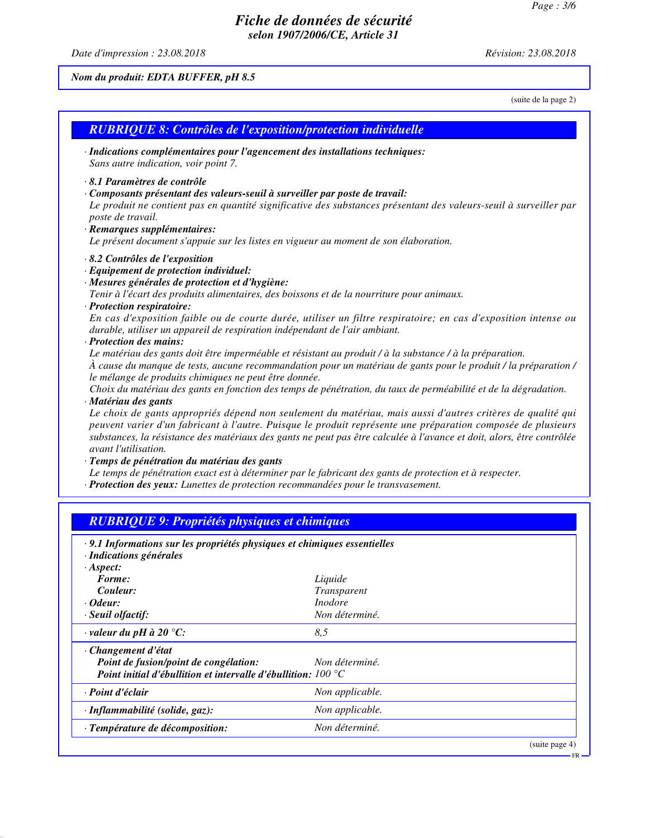*Date d'impression : 23.08.2018 Révision: 23.08.2018*

*Nom du produit: EDTA BUFFER, pH 8.5*

*· Odeur: Inodore · Seuil olfactif: Non déterminé.*

*Point de fusion/point de congélation: Non déterminé.*

*· valeur du pH à 20 °C: 8,5*

*· Changement d'état*

(suite de la page 2)

|                                                       | <b>RUBRIQUE 8: Contrôles de l'exposition/protection individuelle</b>                                                  |
|-------------------------------------------------------|-----------------------------------------------------------------------------------------------------------------------|
|                                                       | · Indications complémentaires pour l'agencement des installations techniques:                                         |
| Sans autre indication, voir point 7.                  |                                                                                                                       |
| 8.1 Paramètres de contrôle                            |                                                                                                                       |
|                                                       | · Composants présentant des valeurs-seuil à surveiller par poste de travail:                                          |
|                                                       | Le produit ne contient pas en quantité significative des substances présentant des valeurs-seuil à surveiller par     |
| poste de travail.                                     |                                                                                                                       |
| · Remarques supplémentaires:                          |                                                                                                                       |
|                                                       | Le présent document s'appuie sur les listes en vigueur au moment de son élaboration.                                  |
| · 8.2 Contrôles de l'exposition                       |                                                                                                                       |
| · Equipement de protection individuel:                |                                                                                                                       |
| · Mesures générales de protection et d'hygiène:       |                                                                                                                       |
|                                                       | Tenir à l'écart des produits alimentaires, des boissons et de la nourriture pour animaux.                             |
| · Protection respiratoire:                            |                                                                                                                       |
|                                                       | En cas d'exposition faible ou de courte durée, utiliser un filtre respiratoire; en cas d'exposition intense ou        |
|                                                       | durable, utiliser un appareil de respiration indépendant de l'air ambiant.                                            |
| · Protection des mains:                               |                                                                                                                       |
|                                                       | Le matériau des gants doit être imperméable et résistant au produit / à la substance / à la préparation.              |
|                                                       | À cause du manque de tests, aucune recommandation pour un matériau de gants pour le produit / la préparation /        |
| le mélange de produits chimiques ne peut être donnée. | Choix du matériau des gants en fonction des temps de pénétration, du taux de perméabilité et de la dégradation.       |
| · Matériau des gants                                  |                                                                                                                       |
|                                                       | Le choix de gants appropriés dépend non seulement du matériau, mais aussi d'autres critères de qualité qui            |
|                                                       | peuvent varier d'un fabricant à l'autre. Puisque le produit représente une préparation composée de plusieurs          |
|                                                       | substances, la résistance des matériaux des gants ne peut pas être calculée à l'avance et doit, alors, être contrôlée |
| avant l'utilisation.                                  |                                                                                                                       |
| · Temps de pénétration du matériau des gants          |                                                                                                                       |
|                                                       | Le temps de pénétration exact est à déterminer par le fabricant des gants de protection et à respecter.               |
|                                                       | · Protection des yeux: Lunettes de protection recommandées pour le transvasement.                                     |

*Point initial d'ébullition et intervalle d'ébullition: 100 °C · Point d'éclair Non applicable. · Inflammabilité (solide, gaz): Non applicable. · Température de décomposition: Non déterminé.* (suite page 4)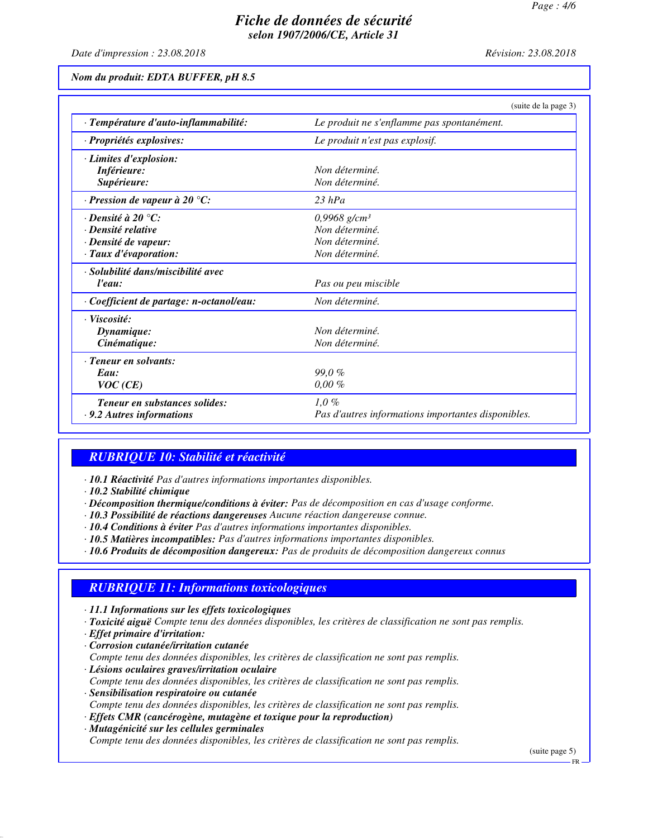*Date d'impression : 23.08.2018 Révision: 23.08.2018*

*Nom du produit: EDTA BUFFER, pH 8.5*

|                                        | (suite de la page 3)                               |
|----------------------------------------|----------------------------------------------------|
| · Température d'auto-inflammabilité:   | Le produit ne s'enflamme pas spontanément.         |
| · Propriétés explosives:               | Le produit n'est pas explosif.                     |
| · Limites d'explosion:                 |                                                    |
| Inférieure:                            | Non déterminé.                                     |
| Supérieure:                            | Non déterminé.                                     |
| $\cdot$ Pression de vapeur à 20 °C:    | $23$ hPa                                           |
| $\cdot$ Densité à 20 °C:               | 0,9968 g/cm <sup>3</sup>                           |
| · Densité relative                     | Non déterminé.                                     |
| · Densité de vapeur:                   | Non déterminé.                                     |
| · Taux d'évaporation:                  | Non déterminé.                                     |
| · Solubilité dans/miscibilité avec     |                                                    |
| l'eau:                                 | Pas ou peu miscible                                |
| Coefficient de partage: n-octanol/eau: | Non déterminé.                                     |
| · Viscosité:                           |                                                    |
| Dynamique:                             | Non déterminé.                                     |
| Cinématique:                           | Non déterminé.                                     |
| · Teneur en solvants:                  |                                                    |
| Eau:                                   | 99.0%                                              |
| VOC(CE)                                | $0,00\%$                                           |
| <b>Teneur en substances solides:</b>   | $1,0\%$                                            |
| · 9.2 Autres informations              | Pas d'autres informations importantes disponibles. |

# *RUBRIQUE 10: Stabilité et réactivité*

- *· 10.1 Réactivité Pas d'autres informations importantes disponibles.*
- *· 10.2 Stabilité chimique*
- *· Décomposition thermique/conditions à éviter: Pas de décomposition en cas d'usage conforme.*
- *· 10.3 Possibilité de réactions dangereuses Aucune réaction dangereuse connue.*
- *· 10.4 Conditions à éviter Pas d'autres informations importantes disponibles.*
- *· 10.5 Matières incompatibles: Pas d'autres informations importantes disponibles.*
- *· 10.6 Produits de décomposition dangereux: Pas de produits de décomposition dangereux connus*

# *RUBRIQUE 11: Informations toxicologiques*

- *· 11.1 Informations sur les effets toxicologiques*
- *· Toxicité aiguë Compte tenu des données disponibles, les critères de classification ne sont pas remplis.*
- *· Effet primaire d'irritation:*
- *· Corrosion cutanée/irritation cutanée Compte tenu des données disponibles, les critères de classification ne sont pas remplis.*
- *· Lésions oculaires graves/irritation oculaire Compte tenu des données disponibles, les critères de classification ne sont pas remplis.*
- *· Sensibilisation respiratoire ou cutanée Compte tenu des données disponibles, les critères de classification ne sont pas remplis.*
- *· Effets CMR (cancérogène, mutagène et toxique pour la reproduction)*
- *· Mutagénicité sur les cellules germinales*

*Compte tenu des données disponibles, les critères de classification ne sont pas remplis.*

(suite page 5)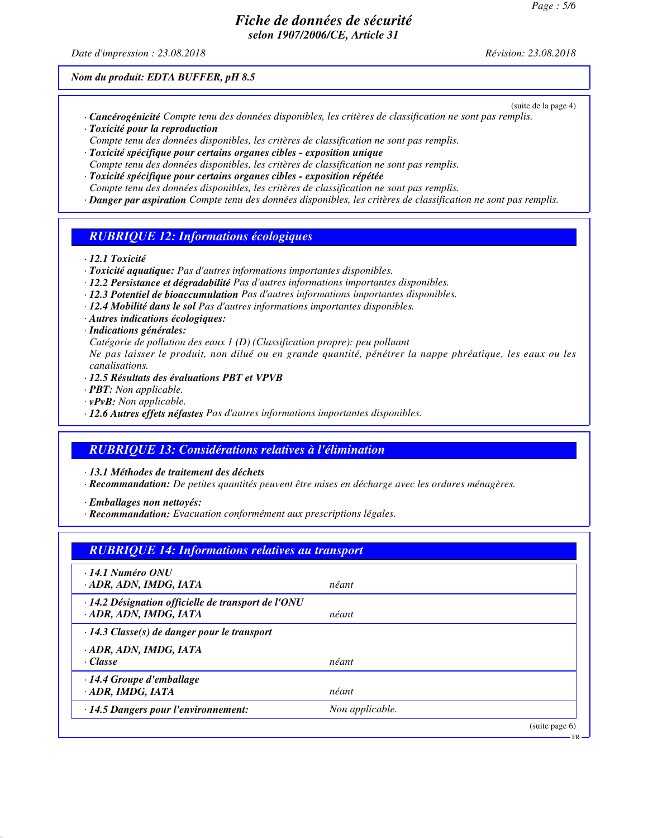*Date d'impression : 23.08.2018 Révision: 23.08.2018*

(suite de la page 4)

*Nom du produit: EDTA BUFFER, pH 8.5*

- *· Cancérogénicité Compte tenu des données disponibles, les critères de classification ne sont pas remplis. · Toxicité pour la reproduction*
- *Compte tenu des données disponibles, les critères de classification ne sont pas remplis.*
- *· Toxicité spécifique pour certains organes cibles exposition unique*
- *Compte tenu des données disponibles, les critères de classification ne sont pas remplis.*
- *· Toxicité spécifique pour certains organes cibles exposition répétée*
- *Compte tenu des données disponibles, les critères de classification ne sont pas remplis.*
- *· Danger par aspiration Compte tenu des données disponibles, les critères de classification ne sont pas remplis.*

## *RUBRIQUE 12: Informations écologiques*

- *· 12.1 Toxicité*
- *· Toxicité aquatique: Pas d'autres informations importantes disponibles.*
- *· 12.2 Persistance et dégradabilité Pas d'autres informations importantes disponibles.*
- *· 12.3 Potentiel de bioaccumulation Pas d'autres informations importantes disponibles.*
- *· 12.4 Mobilité dans le sol Pas d'autres informations importantes disponibles.*
- *· Autres indications écologiques:*

#### *· Indications générales:*

*Catégorie de pollution des eaux 1 (D) (Classification propre): peu polluant*

*Ne pas laisser le produit, non dilué ou en grande quantité, pénétrer la nappe phréatique, les eaux ou les canalisations.*

- *· 12.5 Résultats des évaluations PBT et VPVB*
- *· PBT: Non applicable.*
- *· vPvB: Non applicable.*
- *· 12.6 Autres effets néfastes Pas d'autres informations importantes disponibles.*

# *RUBRIQUE 13: Considérations relatives à l'élimination*

*· 13.1 Méthodes de traitement des déchets*

*· Recommandation: De petites quantités peuvent être mises en décharge avec les ordures ménagères.*

*· Emballages non nettoyés:*

*· Recommandation: Evacuation conformément aux prescriptions légales.*

| <b>RUBRIQUE 14: Informations relatives au transport</b>                       |                 |
|-------------------------------------------------------------------------------|-----------------|
| $\cdot$ 14.1 Numéro ONU<br>ADR, ADN, IMDG, IATA                               | néant           |
| · 14.2 Désignation officielle de transport de l'ONU<br>· ADR, ADN, IMDG, IATA | néant           |
| $\cdot$ 14.3 Classe(s) de danger pour le transport                            |                 |
| · ADR, ADN, IMDG, IATA<br>$\cdot$ Classe                                      | néant           |
| $\cdot$ 14.4 Groupe d'emballage<br>· ADR, IMDG, IATA                          | néant           |
| · 14.5 Dangers pour l'environnement:                                          | Non applicable. |
|                                                                               | (suite page 6)  |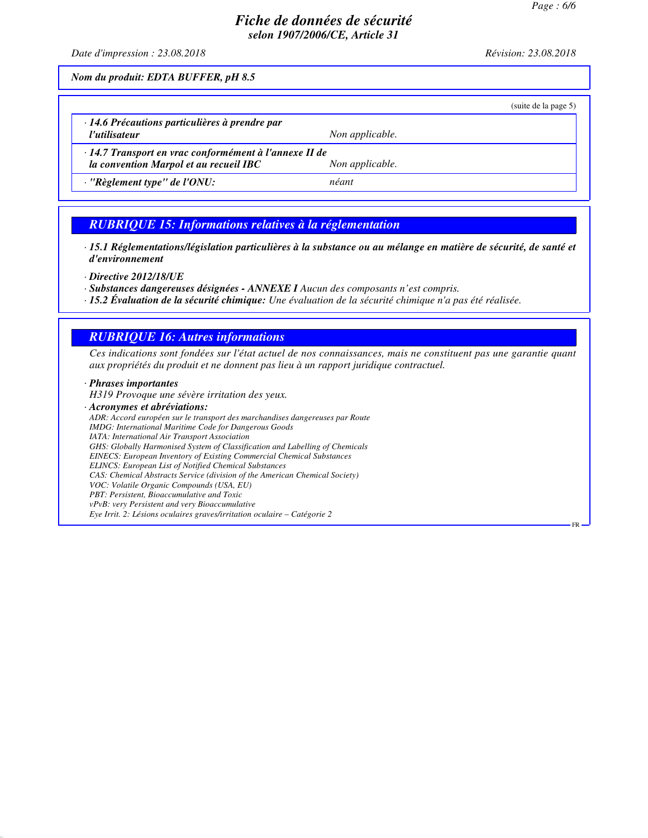FR

# *Fiche de données de sécurité selon 1907/2006/CE, Article 31*

*Date d'impression : 23.08.2018 Révision: 23.08.2018*

*Nom du produit: EDTA BUFFER, pH 8.5*

|                                                        | (suite de la page 5) |
|--------------------------------------------------------|----------------------|
| $\cdot$ 14.6 Précautions particulières à prendre par   |                      |
| l'utilisateur                                          | Non applicable.      |
| · 14.7 Transport en vrac conformément à l'annexe II de |                      |
| la convention Marpol et au recueil IBC                 | Non applicable.      |
| $\cdot$ "Règlement type" de l'ONU:                     | néant                |

## *RUBRIQUE 15: Informations relatives à la réglementation*

*· 15.1 Réglementations/législation particulières à la substance ou au mélange en matière de sécurité, de santé et d'environnement*

*· Directive 2012/18/UE*

*· Substances dangereuses désignées - ANNEXE I Aucun des composants n'est compris.*

*· 15.2 Évaluation de la sécurité chimique: Une évaluation de la sécurité chimique n'a pas été réalisée.*

#### *RUBRIQUE 16: Autres informations*

*Ces indications sont fondées sur l'état actuel de nos connaissances, mais ne constituent pas une garantie quant aux propriétés du produit et ne donnent pas lieu à un rapport juridique contractuel.*

*· Phrases importantes*

*H319 Provoque une sévère irritation des yeux.*

*· Acronymes et abréviations: ADR: Accord européen sur le transport des marchandises dangereuses par Route IMDG: International Maritime Code for Dangerous Goods IATA: International Air Transport Association GHS: Globally Harmonised System of Classification and Labelling of Chemicals EINECS: European Inventory of Existing Commercial Chemical Substances ELINCS: European List of Notified Chemical Substances CAS: Chemical Abstracts Service (division of the American Chemical Society) VOC: Volatile Organic Compounds (USA, EU) PBT: Persistent, Bioaccumulative and Toxic vPvB: very Persistent and very Bioaccumulative Eye Irrit. 2: Lésions oculaires graves/irritation oculaire – Catégorie 2*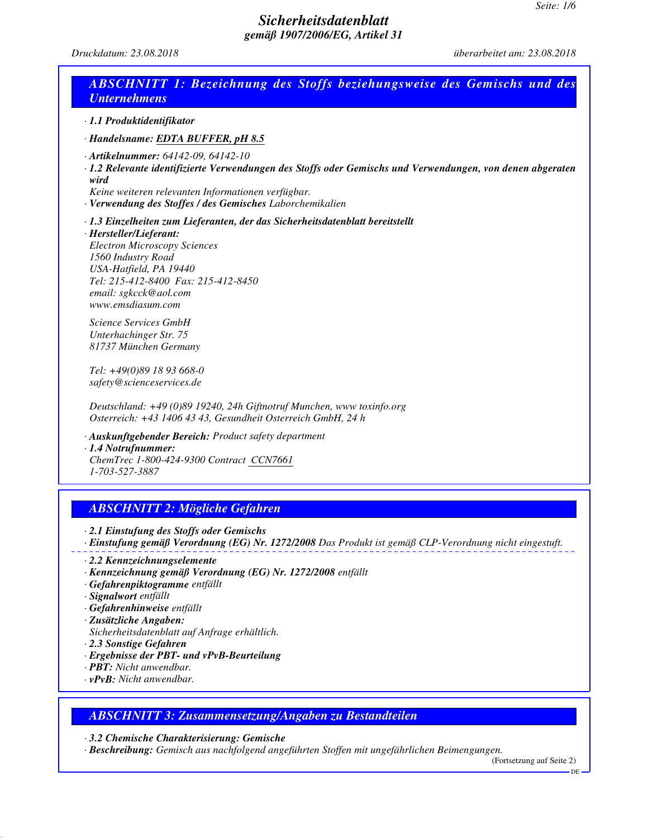*Druckdatum: 23.08.2018 überarbeitet am: 23.08.2018*

| · 1.1 Produktidentifikator                                                                                                                                                                                                                   |                                                                                                                                                                                                                               |
|----------------------------------------------------------------------------------------------------------------------------------------------------------------------------------------------------------------------------------------------|-------------------------------------------------------------------------------------------------------------------------------------------------------------------------------------------------------------------------------|
| · Handelsname: EDTA BUFFER, pH 8.5                                                                                                                                                                                                           |                                                                                                                                                                                                                               |
| $\cdot$ Artikelnummer: 64142-09, 64142-10<br>wird                                                                                                                                                                                            | · 1.2 Relevante identifizierte Verwendungen des Stoffs oder Gemischs und Verwendungen, von denen abgeraten<br>Keine weiteren relevanten Informationen verfügbar.<br>· Verwendung des Stoffes / des Gemisches Laborchemikalien |
| · Hersteller/Lieferant:<br><b>Electron Microscopy Sciences</b><br>1560 Industry Road<br>USA-Hatfield, PA 19440<br>Tel: 215-412-8400 Fax: 215-412-8450<br>email: sgkcck@aol.com<br>www.emsdiasum.com                                          | · 1.3 Einzelheiten zum Lieferanten, der das Sicherheitsdatenblatt bereitstellt                                                                                                                                                |
| Science Services GmbH<br>Unterhachinger Str. 75<br>81737 München Germany                                                                                                                                                                     |                                                                                                                                                                                                                               |
| Tel: +49(0)89 18 93 668-0<br>safety@scienceservices.de                                                                                                                                                                                       |                                                                                                                                                                                                                               |
|                                                                                                                                                                                                                                              | Deutschland: +49 (0)89 19240, 24h Giftnotruf Munchen, www toxinfo.org<br>Osterreich: +43 1406 43 43, Gesundheit Osterreich GmbH, 24 h                                                                                         |
| $\cdot$ 1.4 Notrufnummer:<br>1-703-527-3887                                                                                                                                                                                                  | · Auskunftgebender Bereich: Product safety department<br>ChemTrec 1-800-424-9300 Contract CCN7661                                                                                                                             |
|                                                                                                                                                                                                                                              | <b>ABSCHNITT 2: Mögliche Gefahren</b>                                                                                                                                                                                         |
| · 2.1 Einstufung des Stoffs oder Gemischs                                                                                                                                                                                                    | · Einstufung gemäß Verordnung (EG) Nr. 1272/2008 Das Produkt ist gemäß CLP-Verordnung nicht eingestuft.                                                                                                                       |
| $\cdot$ 2.2 Kennzeichnungselemente<br>· Gefahrenpiktogramme entfällt<br>· Signalwort entfällt<br>· Gefahrenhinweise entfällt<br>· Zusätzliche Angaben:<br>2.3 Sonstige Gefahren<br>· PBT: Nicht anwendbar.<br>$\cdot$ vPvB: Nicht anwendbar. | · Kennzeichnung gemäß Verordnung (EG) Nr. 1272/2008 entfällt<br>Sicherheitsdatenblatt auf Anfrage erhältlich.<br>· Ergebnisse der PBT- und vPvB-Beurteilung                                                                   |

*· 3.2 Chemische Charakterisierung: Gemische*

*· Beschreibung: Gemisch aus nachfolgend angeführten Stoffen mit ungefährlichen Beimengungen.*

(Fortsetzung auf Seite 2)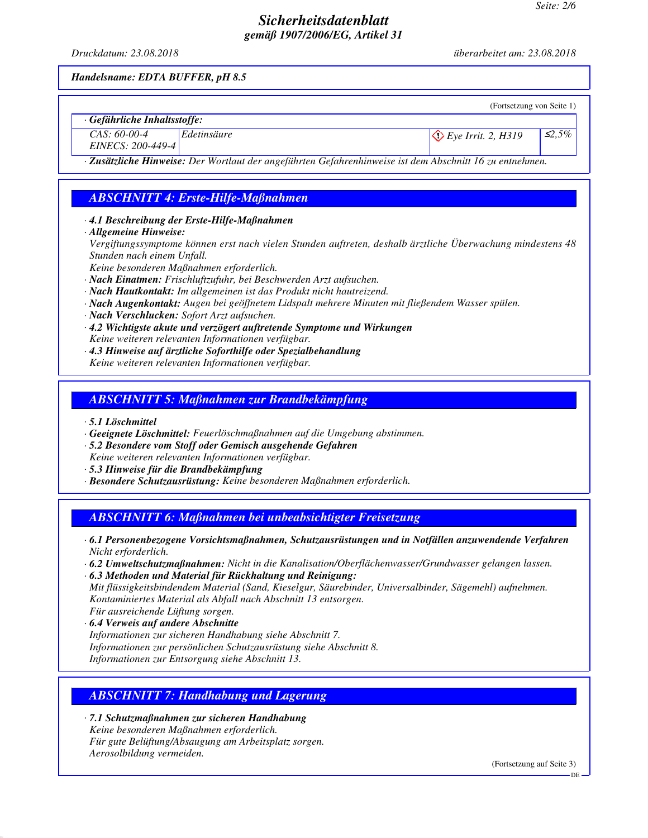*Druckdatum: 23.08.2018 überarbeitet am: 23.08.2018*

*Handelsname: EDTA BUFFER, pH 8.5*

|                                     |                                                                                                          | (Fortsetzung von Seite 1)     |              |
|-------------------------------------|----------------------------------------------------------------------------------------------------------|-------------------------------|--------------|
| $\cdot$ Gefährliche Inhaltsstoffe:  |                                                                                                          |                               |              |
| $CAS: 60-00-4$<br>EINECS: 200-449-4 | Edetinsäure                                                                                              | $\Diamond$ Eye Irrit. 2, H319 | $\leq 2.5\%$ |
|                                     | · Zusätzliche Hinweise: Der Wortlaut der angeführten Gefahrenhinweise ist dem Abschnitt 16 zu entnehmen. |                               |              |

# *ABSCHNITT 4: Erste-Hilfe-Maßnahmen*

*· 4.1 Beschreibung der Erste-Hilfe-Maßnahmen*

*· Allgemeine Hinweise:*

*Vergiftungssymptome können erst nach vielen Stunden auftreten, deshalb ärztliche Überwachung mindestens 48 Stunden nach einem Unfall.*

*Keine besonderen Maßnahmen erforderlich.*

- *· Nach Einatmen: Frischluftzufuhr, bei Beschwerden Arzt aufsuchen.*
- *· Nach Hautkontakt: Im allgemeinen ist das Produkt nicht hautreizend.*
- *· Nach Augenkontakt: Augen bei geöffnetem Lidspalt mehrere Minuten mit fließendem Wasser spülen.*
- *· Nach Verschlucken: Sofort Arzt aufsuchen.*
- *· 4.2 Wichtigste akute und verzögert auftretende Symptome und Wirkungen Keine weiteren relevanten Informationen verfügbar.*
- *· 4.3 Hinweise auf ärztliche Soforthilfe oder Spezialbehandlung Keine weiteren relevanten Informationen verfügbar.*

# *ABSCHNITT 5: Maßnahmen zur Brandbekämpfung*

- *· 5.1 Löschmittel*
- *· Geeignete Löschmittel: Feuerlöschmaßnahmen auf die Umgebung abstimmen.*
- *· 5.2 Besondere vom Stoff oder Gemisch ausgehende Gefahren*
- *Keine weiteren relevanten Informationen verfügbar.*
- *· 5.3 Hinweise für die Brandbekämpfung*
- *· Besondere Schutzausrüstung: Keine besonderen Maßnahmen erforderlich.*

*ABSCHNITT 6: Maßnahmen bei unbeabsichtigter Freisetzung*

- *· 6.1 Personenbezogene Vorsichtsmaßnahmen, Schutzausrüstungen und in Notfällen anzuwendende Verfahren Nicht erforderlich.*
- *· 6.2 Umweltschutzmaßnahmen: Nicht in die Kanalisation/Oberflächenwasser/Grundwasser gelangen lassen.*

*· 6.3 Methoden und Material für Rückhaltung und Reinigung: Mit flüssigkeitsbindendem Material (Sand, Kieselgur, Säurebinder, Universalbinder, Sägemehl) aufnehmen. Kontaminiertes Material als Abfall nach Abschnitt 13 entsorgen. Für ausreichende Lüftung sorgen.*

*· 6.4 Verweis auf andere Abschnitte Informationen zur sicheren Handhabung siehe Abschnitt 7. Informationen zur persönlichen Schutzausrüstung siehe Abschnitt 8.*

*Informationen zur Entsorgung siehe Abschnitt 13.*

# *ABSCHNITT 7: Handhabung und Lagerung*

*· 7.1 Schutzmaßnahmen zur sicheren Handhabung Keine besonderen Maßnahmen erforderlich. Für gute Belüftung/Absaugung am Arbeitsplatz sorgen. Aerosolbildung vermeiden.*

(Fortsetzung auf Seite 3)

DE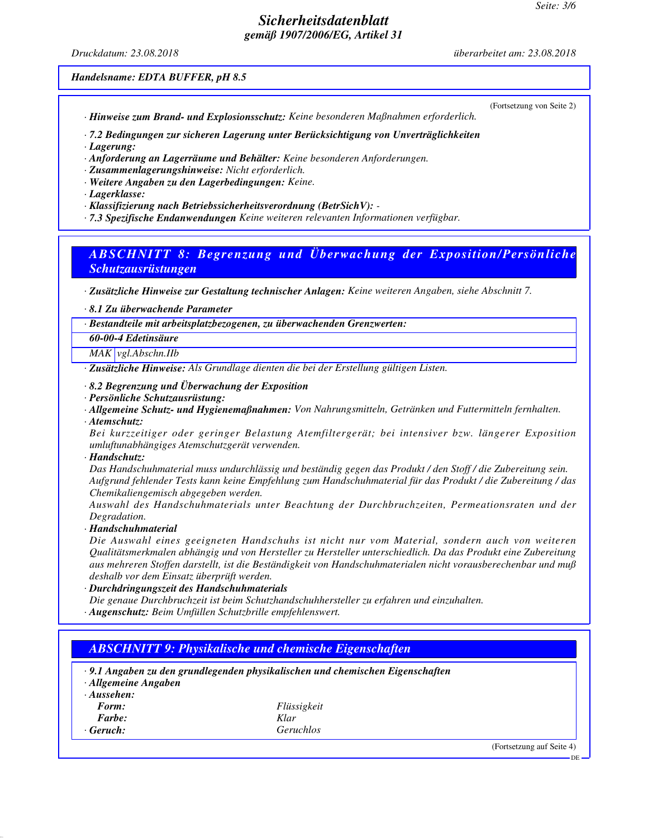*Druckdatum: 23.08.2018 überarbeitet am: 23.08.2018*

(Fortsetzung von Seite 2)

#### *Handelsname: EDTA BUFFER, pH 8.5*

*· Hinweise zum Brand- und Explosionsschutz: Keine besonderen Maßnahmen erforderlich.*

*· 7.2 Bedingungen zur sicheren Lagerung unter Berücksichtigung von Unverträglichkeiten*

*· Lagerung:*

*· Anforderung an Lagerräume und Behälter: Keine besonderen Anforderungen.*

*· Zusammenlagerungshinweise: Nicht erforderlich.*

*· Weitere Angaben zu den Lagerbedingungen: Keine.*

*· Lagerklasse:*

*· Klassifizierung nach Betriebssicherheitsverordnung (BetrSichV): -* 

*· 7.3 Spezifische Endanwendungen Keine weiteren relevanten Informationen verfügbar.*

## *ABSCHNITT 8: Begrenzung und Überwachung der Exposition/Persönliche Schutzausrüstungen*

*· Zusätzliche Hinweise zur Gestaltung technischer Anlagen: Keine weiteren Angaben, siehe Abschnitt 7.*

*· 8.1 Zu überwachende Parameter*

*· Bestandteile mit arbeitsplatzbezogenen, zu überwachenden Grenzwerten:*

*60-00-4 Edetinsäure*

*MAK vgl.Abschn.IIb*

*· Zusätzliche Hinweise: Als Grundlage dienten die bei der Erstellung gültigen Listen.*

- *· 8.2 Begrenzung und Überwachung der Exposition*
- *· Persönliche Schutzausrüstung:*
- *· Allgemeine Schutz- und Hygienemaßnahmen: Von Nahrungsmitteln, Getränken und Futtermitteln fernhalten.*
- *· Atemschutz:*

*Bei kurzzeitiger oder geringer Belastung Atemfiltergerät; bei intensiver bzw. längerer Exposition umluftunabhängiges Atemschutzgerät verwenden.*

*· Handschutz:*

*Das Handschuhmaterial muss undurchlässig und beständig gegen das Produkt / den Stoff / die Zubereitung sein. Aufgrund fehlender Tests kann keine Empfehlung zum Handschuhmaterial für das Produkt / die Zubereitung / das Chemikaliengemisch abgegeben werden.*

*Auswahl des Handschuhmaterials unter Beachtung der Durchbruchzeiten, Permeationsraten und der Degradation.*

*· Handschuhmaterial*

*Die Auswahl eines geeigneten Handschuhs ist nicht nur vom Material, sondern auch von weiteren Qualitätsmerkmalen abhängig und von Hersteller zu Hersteller unterschiedlich. Da das Produkt eine Zubereitung aus mehreren Stoffen darstellt, ist die Beständigkeit von Handschuhmaterialen nicht vorausberechenbar und muß deshalb vor dem Einsatz überprüft werden.*

*· Durchdringungszeit des Handschuhmaterials*

*Die genaue Durchbruchzeit ist beim Schutzhandschuhhersteller zu erfahren und einzuhalten. · Augenschutz: Beim Umfüllen Schutzbrille empfehlenswert.*

# *ABSCHNITT 9: Physikalische und chemische Eigenschaften · 9.1 Angaben zu den grundlegenden physikalischen und chemischen Eigenschaften · Allgemeine Angaben · Aussehen: Form: Flüssigkeit Farbe: Klar · Geruch: Geruchlos* (Fortsetzung auf Seite 4) DE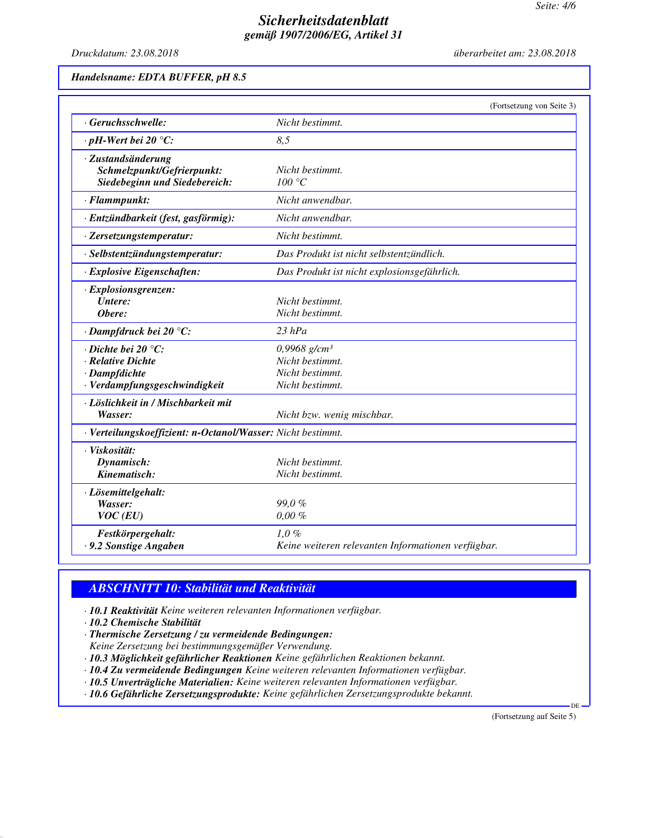*Druckdatum: 23.08.2018 überarbeitet am: 23.08.2018*

#### *Handelsname: EDTA BUFFER, pH 8.5*

|                                                                                                           | (Fortsetzung von Seite 3)                                                           |
|-----------------------------------------------------------------------------------------------------------|-------------------------------------------------------------------------------------|
| · Geruchsschwelle:                                                                                        | Nicht bestimmt.                                                                     |
| $\cdot$ pH-Wert bei 20 °C:                                                                                | 8,5                                                                                 |
| · Zustandsänderung<br>Schmelzpunkt/Gefrierpunkt:<br>Siedebeginn und Siedebereich:                         | Nicht bestimmt.<br>100 °C                                                           |
| · Flammpunkt:                                                                                             | Nicht anwendbar.                                                                    |
| · Entzündbarkeit (fest, gasförmig):                                                                       | Nicht anwendbar.                                                                    |
| · Zersetzungstemperatur:                                                                                  | Nicht bestimmt.                                                                     |
| · Selbstentzündungstemperatur:                                                                            | Das Produkt ist nicht selbstentzündlich.                                            |
| · Explosive Eigenschaften:                                                                                | Das Produkt ist nicht explosionsgefährlich.                                         |
| · Explosionsgrenzen:<br>Untere:<br>Obere:                                                                 | Nicht bestimmt.<br>Nicht bestimmt.                                                  |
| · Dampfdruck bei 20 °C:                                                                                   | $23$ hPa                                                                            |
| $\cdot$ Dichte bei 20 $\degree$ C:<br>· Relative Dichte<br>· Dampfdichte<br>· Verdampfungsgeschwindigkeit | $0,9968$ g/cm <sup>3</sup><br>Nicht bestimmt.<br>Nicht bestimmt.<br>Nicht bestimmt. |
| · Löslichkeit in / Mischbarkeit mit<br>Wasser:                                                            | Nicht bzw. wenig mischbar.                                                          |
| · Verteilungskoeffizient: n-Octanol/Wasser: Nicht bestimmt.                                               |                                                                                     |
| · Viskosität:<br>Dynamisch:<br>Kinematisch:                                                               | Nicht bestimmt.<br>Nicht bestimmt.                                                  |
| · Lösemittelgehalt:<br>Wasser:<br>$VOC$ (EU)                                                              | 99,0%<br>$0,00\%$                                                                   |
| Festkörpergehalt:<br>. 9.2 Sonstige Angaben                                                               | 1,0%<br>Keine weiteren relevanten Informationen verfügbar.                          |

# *ABSCHNITT 10: Stabilität und Reaktivität*

- *· 10.1 Reaktivität Keine weiteren relevanten Informationen verfügbar.*
- *· 10.2 Chemische Stabilität*
- *· Thermische Zersetzung / zu vermeidende Bedingungen:*
- *Keine Zersetzung bei bestimmungsgemäßer Verwendung.*
- *· 10.3 Möglichkeit gefährlicher Reaktionen Keine gefährlichen Reaktionen bekannt.*
- *· 10.4 Zu vermeidende Bedingungen Keine weiteren relevanten Informationen verfügbar.*
- *· 10.5 Unverträgliche Materialien: Keine weiteren relevanten Informationen verfügbar.*
- *· 10.6 Gefährliche Zersetzungsprodukte: Keine gefährlichen Zersetzungsprodukte bekannt.*

(Fortsetzung auf Seite 5)

DE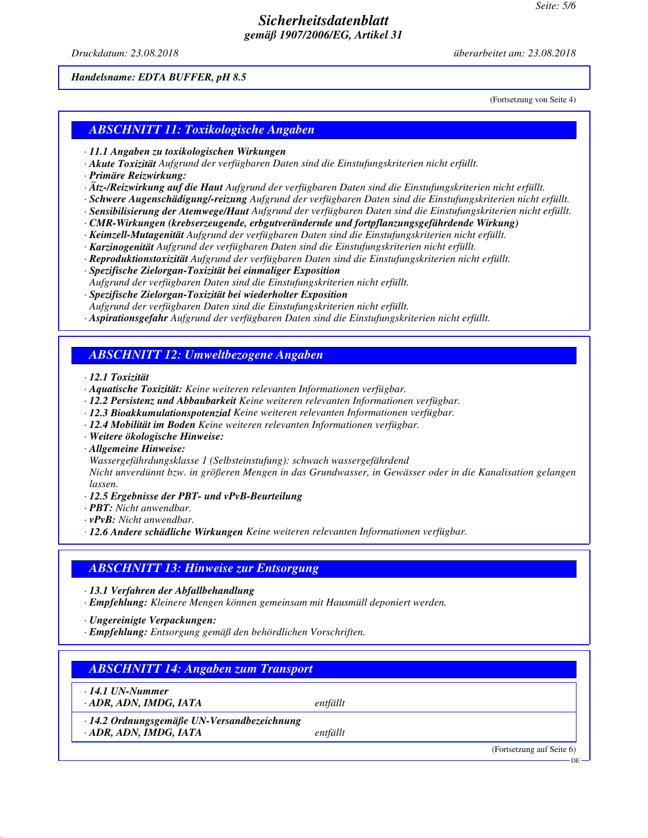*Druckdatum: 23.08.2018 überarbeitet am: 23.08.2018*

#### *Handelsname: EDTA BUFFER, pH 8.5*

(Fortsetzung von Seite 4)

#### *ABSCHNITT 11: Toxikologische Angaben*

- *· 11.1 Angaben zu toxikologischen Wirkungen*
- *· Akute Toxizität Aufgrund der verfügbaren Daten sind die Einstufungskriterien nicht erfüllt.*
- *· Primäre Reizwirkung:*
- *· Ätz-/Reizwirkung auf die Haut Aufgrund der verfügbaren Daten sind die Einstufungskriterien nicht erfüllt.*
- *· Schwere Augenschädigung/-reizung Aufgrund der verfügbaren Daten sind die Einstufungskriterien nicht erfüllt.*
- *· Sensibilisierung der Atemwege/Haut Aufgrund der verfügbaren Daten sind die Einstufungskriterien nicht erfüllt.*
- *· CMR-Wirkungen (krebserzeugende, erbgutverändernde und fortpflanzungsgefährdende Wirkung)*
- *· Keimzell-Mutagenität Aufgrund der verfügbaren Daten sind die Einstufungskriterien nicht erfüllt.*
- *· Karzinogenität Aufgrund der verfügbaren Daten sind die Einstufungskriterien nicht erfüllt.*
- *· Reproduktionstoxizität Aufgrund der verfügbaren Daten sind die Einstufungskriterien nicht erfüllt.*
- *· Spezifische Zielorgan-Toxizität bei einmaliger Exposition*
- *Aufgrund der verfügbaren Daten sind die Einstufungskriterien nicht erfüllt.*
- *· Spezifische Zielorgan-Toxizität bei wiederholter Exposition*
- *Aufgrund der verfügbaren Daten sind die Einstufungskriterien nicht erfüllt.*
- *· Aspirationsgefahr Aufgrund der verfügbaren Daten sind die Einstufungskriterien nicht erfüllt.*

## *ABSCHNITT 12: Umweltbezogene Angaben*

- *· 12.1 Toxizität*
- *· Aquatische Toxizität: Keine weiteren relevanten Informationen verfügbar.*
- *· 12.2 Persistenz und Abbaubarkeit Keine weiteren relevanten Informationen verfügbar.*
- *· 12.3 Bioakkumulationspotenzial Keine weiteren relevanten Informationen verfügbar.*
- *· 12.4 Mobilität im Boden Keine weiteren relevanten Informationen verfügbar.*
- *· Weitere ökologische Hinweise:*
- *· Allgemeine Hinweise:*
- *Wassergefährdungsklasse 1 (Selbsteinstufung): schwach wassergefährdend*

*Nicht unverdünnt bzw. in größeren Mengen in das Grundwasser, in Gewässer oder in die Kanalisation gelangen lassen.*

- *· 12.5 Ergebnisse der PBT- und vPvB-Beurteilung*
- *· PBT: Nicht anwendbar.*
- *· vPvB: Nicht anwendbar.*
- *· 12.6 Andere schädliche Wirkungen Keine weiteren relevanten Informationen verfügbar.*

#### *ABSCHNITT 13: Hinweise zur Entsorgung*

*· 13.1 Verfahren der Abfallbehandlung*

*· Empfehlung: Kleinere Mengen können gemeinsam mit Hausmüll deponiert werden.*

- *· Ungereinigte Verpackungen:*
- *· Empfehlung: Entsorgung gemäß den behördlichen Vorschriften.*

# *ABSCHNITT 14: Angaben zum Transport*

*· 14.1 UN-Nummer · ADR, ADN, IMDG, IATA entfällt*

*· 14.2 Ordnungsgemäße UN-Versandbezeichnung · ADR, ADN, IMDG, IATA entfällt*

> (Fortsetzung auf Seite 6) DE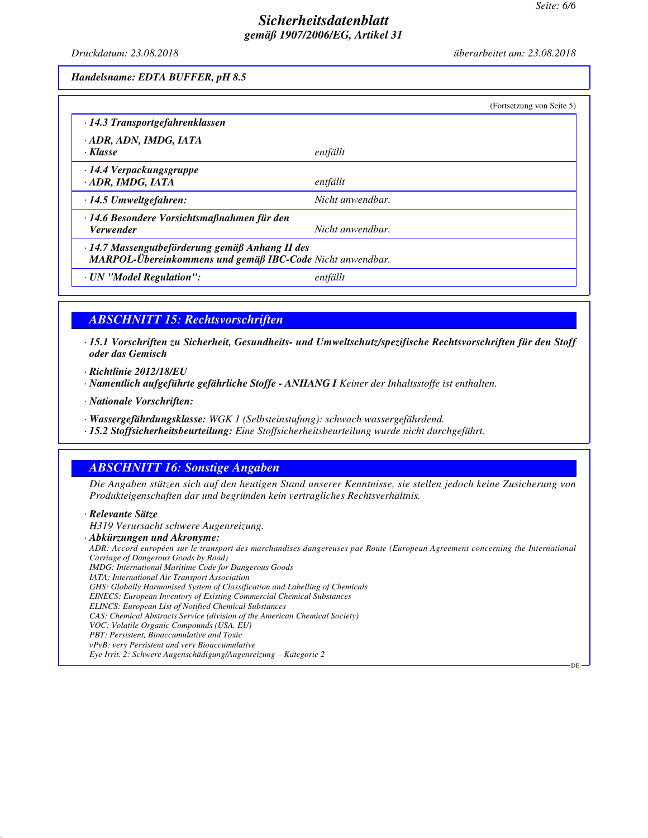DE

## *Sicherheitsdatenblatt gemäß 1907/2006/EG, Artikel 31*

*Druckdatum: 23.08.2018 überarbeitet am: 23.08.2018*

*Handelsname: EDTA BUFFER, pH 8.5*

|                                                                                                              | (Fortsetzung von Seite 5) |
|--------------------------------------------------------------------------------------------------------------|---------------------------|
| $\cdot$ 14.3 Transportgefahrenklassen                                                                        |                           |
| · ADR, ADN, IMDG, IATA<br>· Klasse                                                                           | entfällt                  |
| $\cdot$ 14.4 Verpackungsgruppe<br>· ADR, IMDG, IATA                                                          | entfällt                  |
| · 14.5 Umweltgefahren:                                                                                       | Nicht anwendbar.          |
| $\cdot$ 14.6 Besondere Vorsichtsmaßnahmen für den<br><i>Verwender</i>                                        | Nicht anwendbar.          |
| · 14.7 Massengutbeförderung gemäß Anhang II des<br>MARPOL-Übereinkommens und gemäß IBC-Code Nicht anwendbar. |                           |
| · UN "Model Regulation":                                                                                     | entfällt                  |

# *ABSCHNITT 15: Rechtsvorschriften*

*· 15.1 Vorschriften zu Sicherheit, Gesundheits- und Umweltschutz/spezifische Rechtsvorschriften für den Stoff oder das Gemisch*

*· Richtlinie 2012/18/EU*

*· Namentlich aufgeführte gefährliche Stoffe - ANHANG I Keiner der Inhaltsstoffe ist enthalten.*

*· Nationale Vorschriften:*

*· Wassergefährdungsklasse: WGK 1 (Selbsteinstufung): schwach wassergefährdend.*

*· 15.2 Stoffsicherheitsbeurteilung: Eine Stoffsicherheitsbeurteilung wurde nicht durchgeführt.*

# *ABSCHNITT 16: Sonstige Angaben*

*Die Angaben stützen sich auf den heutigen Stand unserer Kenntnisse, sie stellen jedoch keine Zusicherung von Produkteigenschaften dar und begründen kein vertragliches Rechtsverhältnis.*

#### *· Relevante Sätze*

*H319 Verursacht schwere Augenreizung.*

#### *· Abkürzungen und Akronyme:*

*ADR: Accord européen sur le transport des marchandises dangereuses par Route (European Agreement concerning the International Carriage of Dangerous Goods by Road)*

- *IMDG: International Maritime Code for Dangerous Goods*
- *IATA: International Air Transport Association*
- *GHS: Globally Harmonised System of Classification and Labelling of Chemicals*
- *EINECS: European Inventory of Existing Commercial Chemical Substances*
- *ELINCS: European List of Notified Chemical Substances*
- *CAS: Chemical Abstracts Service (division of the American Chemical Society)*
- *VOC: Volatile Organic Compounds (USA, EU)*
- *PBT: Persistent, Bioaccumulative and Toxic vPvB: very Persistent and very Bioaccumulative*
- *Eye Irrit. 2: Schwere Augenschädigung/Augenreizung Kategorie 2*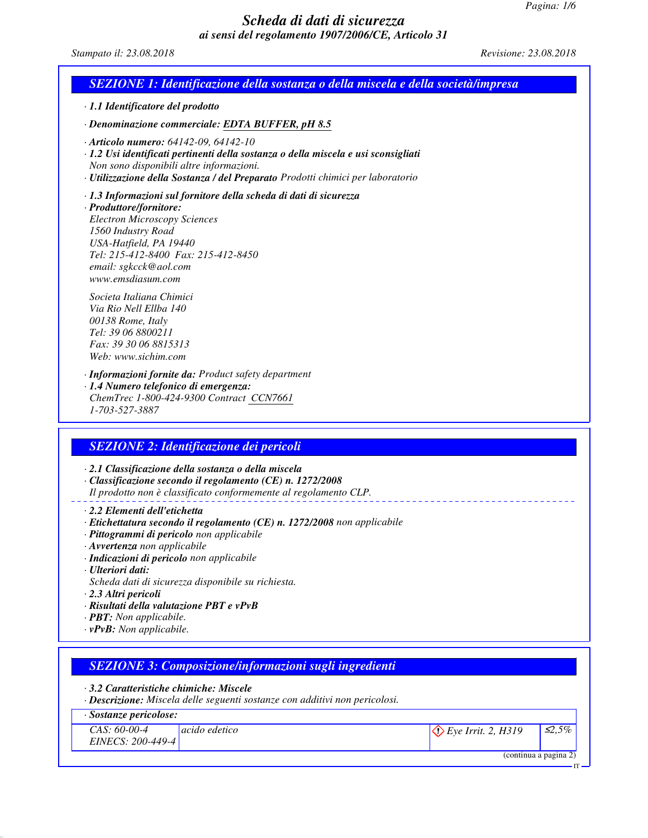## *Scheda di dati di sicurezza ai sensi del regolamento 1907/2006/CE, Articolo 31*

*Stampato il: 23.08.2018 Revisione: 23.08.2018*

# *SEZIONE 1: Identificazione della sostanza o della miscela e della società/impresa*

*· 1.1 Identificatore del prodotto*

*· Denominazione commerciale: EDTA BUFFER, pH 8.5*

- *· Articolo numero: 64142-09, 64142-10*
- *· 1.2 Usi identificati pertinenti della sostanza o della miscela e usi sconsigliati Non sono disponibili altre informazioni.*
- *· Utilizzazione della Sostanza / del Preparato Prodotti chimici per laboratorio*

#### *· 1.3 Informazioni sul fornitore della scheda di dati di sicurezza*

*· Produttore/fornitore: Electron Microscopy Sciences 1560 Industry Road USA-Hatfield, PA 19440 Tel: 215-412-8400 Fax: 215-412-8450 email: sgkcck@aol.com www.emsdiasum.com*

*Societa Italiana Chimici Via Rio Nell Ellba 140 00138 Rome, Italy Tel: 39 06 8800211 Fax: 39 30 06 8815313 Web: www.sichim.com*

*· Informazioni fornite da: Product safety department*

*· 1.4 Numero telefonico di emergenza: ChemTrec 1-800-424-9300 Contract CCN7661 1-703-527-3887*

## *SEZIONE 2: Identificazione dei pericoli*

*· 2.1 Classificazione della sostanza o della miscela · Classificazione secondo il regolamento (CE) n. 1272/2008 Il prodotto non è classificato conformemente al regolamento CLP.*

*· 2.2 Elementi dell'etichetta*

- *· Etichettatura secondo il regolamento (CE) n. 1272/2008 non applicabile*
- *· Pittogrammi di pericolo non applicabile*
- *· Avvertenza non applicabile*
- *· Indicazioni di pericolo non applicabile*
- *· Ulteriori dati:*
- *Scheda dati di sicurezza disponibile su richiesta.*
- *· 2.3 Altri pericoli*
- *· Risultati della valutazione PBT e vPvB*
- *· PBT: Non applicabile.*
- *· vPvB: Non applicabile.*

## *SEZIONE 3: Composizione/informazioni sugli ingredienti*

*· 3.2 Caratteristiche chimiche: Miscele*

*· Descrizione: Miscela delle seguenti sostanze con additivi non pericolosi.*

#### *· Sostanze pericolose:*

*CAS: 60-00-4 EINECS: 200-449-4 acido edetico*  $\langle \hat{\cdot} \rangle$  *Eye Irrit. 2, H319*  $\Big| \leq 2.5\%$ 

IT

<sup>(</sup>continua a pagina 2)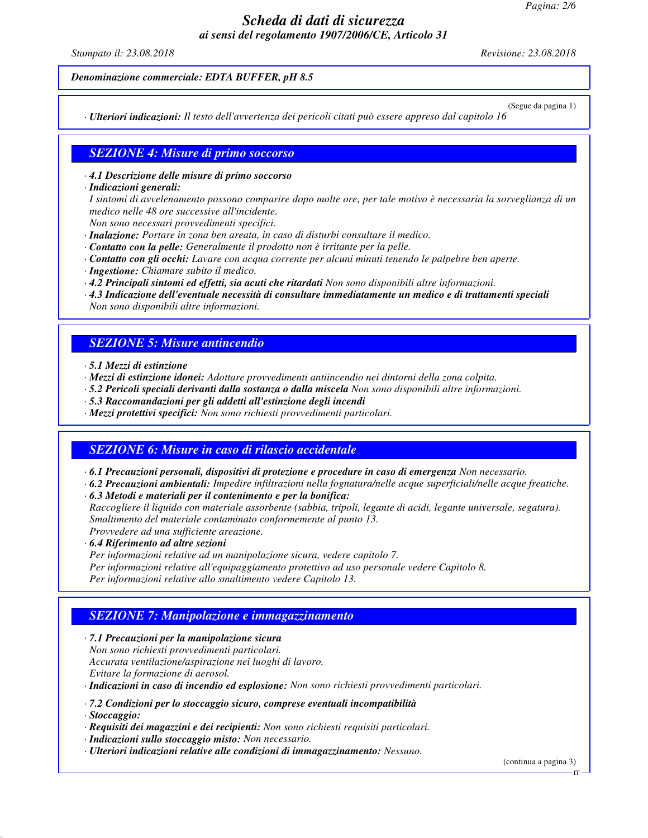# *Scheda di dati di sicurezza ai sensi del regolamento 1907/2006/CE, Articolo 31*

*Stampato il: 23.08.2018 Revisione: 23.08.2018*

*Denominazione commerciale: EDTA BUFFER, pH 8.5*

(Segue da pagina 1)

*· Ulteriori indicazioni: Il testo dell'avvertenza dei pericoli citati può essere appreso dal capitolo 16*

### *SEZIONE 4: Misure di primo soccorso*

#### *· 4.1 Descrizione delle misure di primo soccorso*

*· Indicazioni generali:*

*I sintomi di avvelenamento possono comparire dopo molte ore, per tale motivo è necessaria la sorveglianza di un medico nelle 48 ore successive all'incidente.*

*Non sono necessari provvedimenti specifici.*

- *· Inalazione: Portare in zona ben areata, in caso di disturbi consultare il medico.*
- *· Contatto con la pelle: Generalmente il prodotto non è irritante per la pelle.*
- *· Contatto con gli occhi: Lavare con acqua corrente per alcuni minuti tenendo le palpebre ben aperte.*
- *· Ingestione: Chiamare subito il medico.*
- *· 4.2 Principali sintomi ed effetti, sia acuti che ritardati Non sono disponibili altre informazioni.*
- *· 4.3 Indicazione dell'eventuale necessità di consultare immediatamente un medico e di trattamenti speciali Non sono disponibili altre informazioni.*

#### *SEZIONE 5: Misure antincendio*

- *· 5.1 Mezzi di estinzione*
- *· Mezzi di estinzione idonei: Adottare provvedimenti antiincendio nei dintorni della zona colpita.*
- *· 5.2 Pericoli speciali derivanti dalla sostanza o dalla miscela Non sono disponibili altre informazioni.*
- *· 5.3 Raccomandazioni per gli addetti all'estinzione degli incendi*
- *· Mezzi protettivi specifici: Non sono richiesti provvedimenti particolari.*

#### *SEZIONE 6: Misure in caso di rilascio accidentale*

*· 6.1 Precauzioni personali, dispositivi di protezione e procedure in caso di emergenza Non necessario.*

*· 6.2 Precauzioni ambientali: Impedire infiltrazioni nella fognatura/nelle acque superficiali/nelle acque freatiche. · 6.3 Metodi e materiali per il contenimento e per la bonifica:*

*Raccogliere il liquido con materiale assorbente (sabbia, tripoli, legante di acidi, legante universale, segatura). Smaltimento del materiale contaminato conformemente al punto 13. Provvedere ad una sufficiente areazione.*

*· 6.4 Riferimento ad altre sezioni*

- *Per informazioni relative ad un manipolazione sicura, vedere capitolo 7.*
- *Per informazioni relative all'equipaggiamento protettivo ad uso personale vedere Capitolo 8.*

*Per informazioni relative allo smaltimento vedere Capitolo 13.*

#### *SEZIONE 7: Manipolazione e immagazzinamento*

*· 7.1 Precauzioni per la manipolazione sicura Non sono richiesti provvedimenti particolari. Accurata ventilazione/aspirazione nei luoghi di lavoro. Evitare la formazione di aerosol.*

*· Indicazioni in caso di incendio ed esplosione: Non sono richiesti provvedimenti particolari.*

- *· 7.2 Condizioni per lo stoccaggio sicuro, comprese eventuali incompatibilità*
- *· Stoccaggio:*
- *· Requisiti dei magazzini e dei recipienti: Non sono richiesti requisiti particolari.*
- *· Indicazioni sullo stoccaggio misto: Non necessario.*
- *· Ulteriori indicazioni relative alle condizioni di immagazzinamento: Nessuno.*

(continua a pagina 3)

IT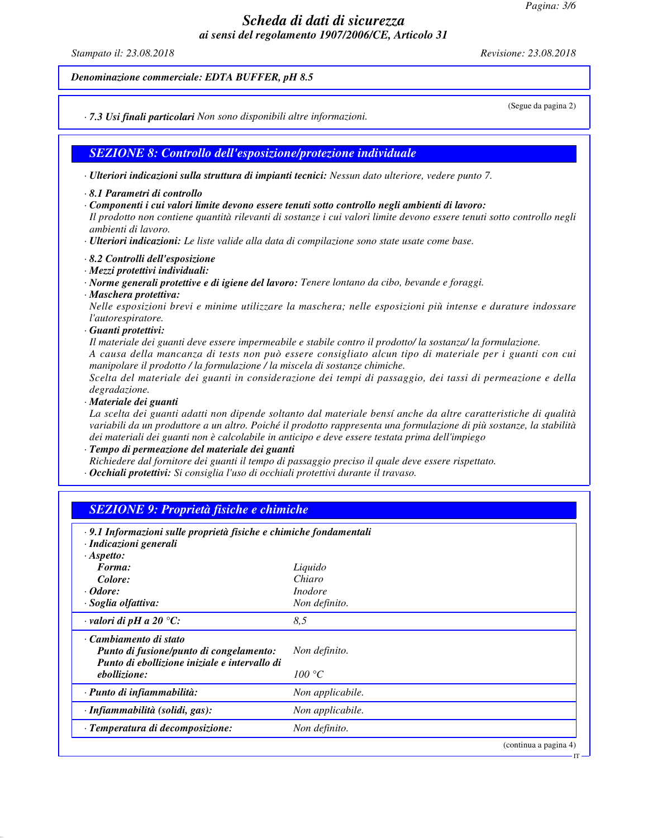*Pagina: 3/6*

## *Scheda di dati di sicurezza ai sensi del regolamento 1907/2006/CE, Articolo 31*

*Stampato il: 23.08.2018 Revisione: 23.08.2018*

(Segue da pagina 2)

IT

*Denominazione commerciale: EDTA BUFFER, pH 8.5*

*· 7.3 Usi finali particolari Non sono disponibili altre informazioni.*

*SEZIONE 8: Controllo dell'esposizione/protezione individuale*

*· Ulteriori indicazioni sulla struttura di impianti tecnici: Nessun dato ulteriore, vedere punto 7.*

- *· 8.1 Parametri di controllo*
- *· Componenti i cui valori limite devono essere tenuti sotto controllo negli ambienti di lavoro:*

*Il prodotto non contiene quantità rilevanti di sostanze i cui valori limite devono essere tenuti sotto controllo negli ambienti di lavoro.*

*· Ulteriori indicazioni: Le liste valide alla data di compilazione sono state usate come base.*

- *· 8.2 Controlli dell'esposizione*
- *· Mezzi protettivi individuali:*

*· Norme generali protettive e di igiene del lavoro: Tenere lontano da cibo, bevande e foraggi.*

*· Maschera protettiva:*

*Nelle esposizioni brevi e minime utilizzare la maschera; nelle esposizioni più intense e durature indossare l'autorespiratore.*

*· Guanti protettivi:*

*Il materiale dei guanti deve essere impermeabile e stabile contro il prodotto/ la sostanza/ la formulazione. A causa della mancanza di tests non può essere consigliato alcun tipo di materiale per i guanti con cui manipolare il prodotto / la formulazione / la miscela di sostanze chimiche.*

*Scelta del materiale dei guanti in considerazione dei tempi di passaggio, dei tassi di permeazione e della degradazione.*

*· Materiale dei guanti*

*La scelta dei guanti adatti non dipende soltanto dal materiale bensí anche da altre caratteristiche di qualità variabili da un produttore a un altro. Poiché il prodotto rappresenta una formulazione di più sostanze, la stabilità dei materiali dei guanti non è calcolabile in anticipo e deve essere testata prima dell'impiego*

*· Tempo di permeazione del materiale dei guanti*

*Richiedere dal fornitore dei guanti il tempo di passaggio preciso il quale deve essere rispettato.*

*· Occhiali protettivi: Si consiglia l'uso di occhiali protettivi durante il travaso.*

| · 9.1 Informazioni sulle proprietà fisiche e chimiche fondamentali<br>· Indicazioni generali                       |                  |  |
|--------------------------------------------------------------------------------------------------------------------|------------------|--|
| $\cdot$ Aspetto:                                                                                                   |                  |  |
| Forma:                                                                                                             | Liquido          |  |
| Colore:                                                                                                            | Chiaro           |  |
| $\cdot$ <i>Odore:</i>                                                                                              | <i>Inodore</i>   |  |
| · Soglia olfattiva:                                                                                                | Non definito.    |  |
| $\cdot$ valori di pH a 20 °C:                                                                                      | 8.5              |  |
| · Cambiamento di stato<br>Punto di fusione/punto di congelamento:<br>Punto di ebollizione iniziale e intervallo di | Non definito.    |  |
| ebollizione:                                                                                                       | 100 °C           |  |
| · Punto di infiammabilità:                                                                                         | Non applicabile. |  |
| · Infiammabilità (solidi, gas):                                                                                    | Non applicabile. |  |
| · Temperatura di decomposizione:                                                                                   | Non definito.    |  |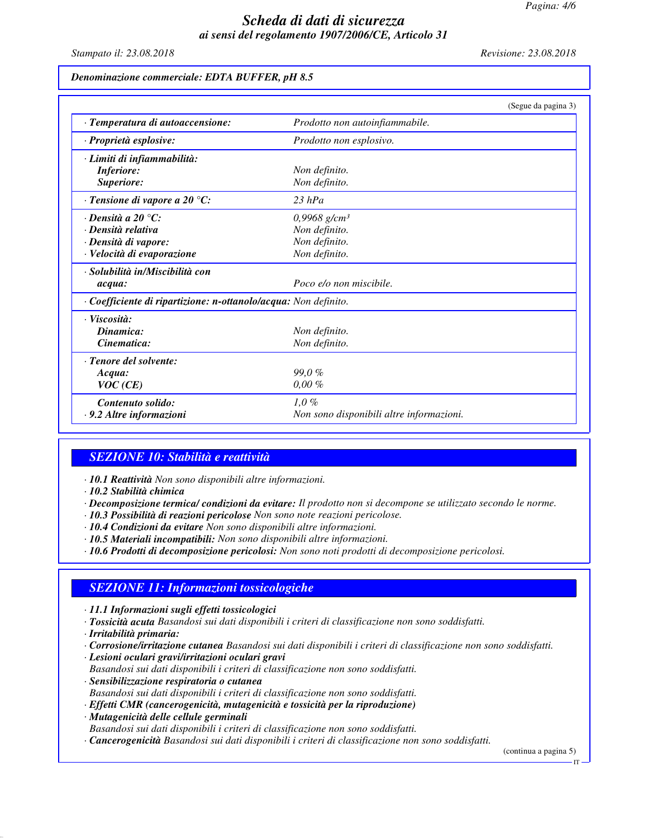## *Scheda di dati di sicurezza ai sensi del regolamento 1907/2006/CE, Articolo 31*

*Stampato il: 23.08.2018 Revisione: 23.08.2018*

## *Denominazione commerciale: EDTA BUFFER, pH 8.5*

|                                                                 | (Segue da pagina 3)                      |  |
|-----------------------------------------------------------------|------------------------------------------|--|
| · Temperatura di autoaccensione:                                | Prodotto non autoinfiammabile.           |  |
| · Proprietà esplosive:                                          | Prodotto non esplosivo.                  |  |
| · Limiti di infiammabilità:                                     |                                          |  |
| <b>Inferiore:</b>                                               | Non definito.                            |  |
| Superiore:                                                      | Non definito.                            |  |
| $\cdot$ Tensione di vapore a 20 °C:                             | $23$ hPa                                 |  |
| $\cdot$ Densità a 20 °C:                                        | 0,9968 g/cm <sup>3</sup>                 |  |
| · Densità relativa                                              | Non definito.                            |  |
| · Densità di vapore:                                            | Non definito.                            |  |
| · Velocità di evaporazione                                      | Non definito.                            |  |
| $\cdot$ Solubilità in/Miscibilità con                           |                                          |  |
| acqua:                                                          | Poco e/o non miscibile.                  |  |
| · Coefficiente di ripartizione: n-ottanolo/acqua: Non definito. |                                          |  |
| · Viscosità:                                                    |                                          |  |
| Dinamica:                                                       | Non definito.                            |  |
| Cinematica:                                                     | Non definito.                            |  |
| · Tenore del solvente:                                          |                                          |  |
| Acqua:                                                          | 99,0%                                    |  |
| VOC(CE)                                                         | $0,00\%$                                 |  |
| Contenuto solido:                                               | $1,0\%$                                  |  |
| · 9.2 Altre informazioni                                        | Non sono disponibili altre informazioni. |  |

#### *SEZIONE 10: Stabilità e reattività*

- *· 10.1 Reattività Non sono disponibili altre informazioni.*
- *· 10.2 Stabilità chimica*
- *· Decomposizione termica/ condizioni da evitare: Il prodotto non si decompone se utilizzato secondo le norme.*
- *· 10.3 Possibilità di reazioni pericolose Non sono note reazioni pericolose.*
- *· 10.4 Condizioni da evitare Non sono disponibili altre informazioni.*
- *· 10.5 Materiali incompatibili: Non sono disponibili altre informazioni.*
- *· 10.6 Prodotti di decomposizione pericolosi: Non sono noti prodotti di decomposizione pericolosi.*

## *SEZIONE 11: Informazioni tossicologiche*

- *· 11.1 Informazioni sugli effetti tossicologici*
- *· Tossicità acuta Basandosi sui dati disponibili i criteri di classificazione non sono soddisfatti.*
- *· Irritabilità primaria:*
- *· Corrosione/irritazione cutanea Basandosi sui dati disponibili i criteri di classificazione non sono soddisfatti.*
- *· Lesioni oculari gravi/irritazioni oculari gravi*
- *Basandosi sui dati disponibili i criteri di classificazione non sono soddisfatti.*
- *· Sensibilizzazione respiratoria o cutanea Basandosi sui dati disponibili i criteri di classificazione non sono soddisfatti.*
- *· Effetti CMR (cancerogenicità, mutagenicità e tossicità per la riproduzione)*
- *· Mutagenicità delle cellule germinali Basandosi sui dati disponibili i criteri di classificazione non sono soddisfatti.*
- *· Cancerogenicità Basandosi sui dati disponibili i criteri di classificazione non sono soddisfatti.*

(continua a pagina 5)

IT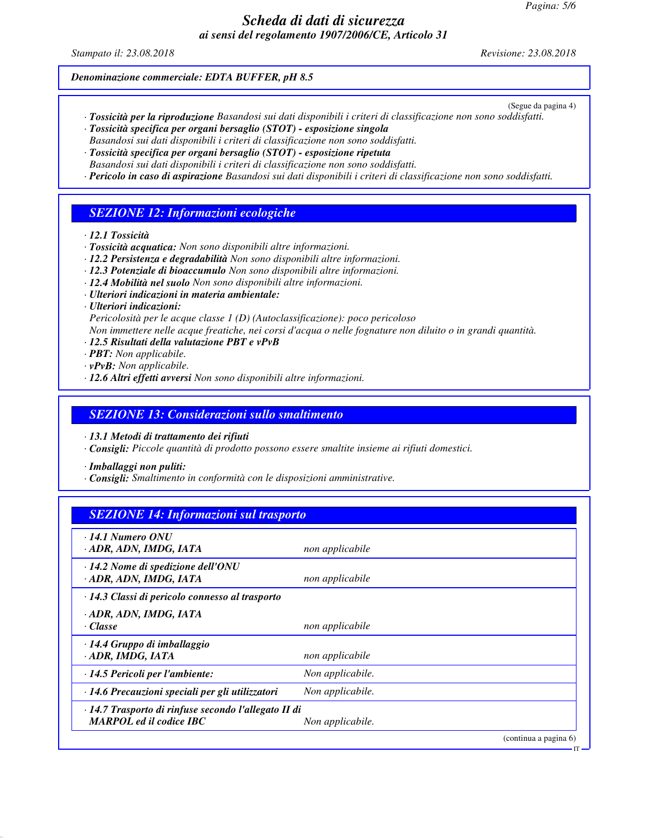# *Scheda di dati di sicurezza ai sensi del regolamento 1907/2006/CE, Articolo 31*

*Stampato il: 23.08.2018 Revisione: 23.08.2018*

*Denominazione commerciale: EDTA BUFFER, pH 8.5*

(Segue da pagina 4)

IT

- *· Tossicità per la riproduzione Basandosi sui dati disponibili i criteri di classificazione non sono soddisfatti. · Tossicità specifica per organi bersaglio (STOT) - esposizione singola*
- *Basandosi sui dati disponibili i criteri di classificazione non sono soddisfatti.*
- *· Tossicità specifica per organi bersaglio (STOT) esposizione ripetuta Basandosi sui dati disponibili i criteri di classificazione non sono soddisfatti.*
- *· Pericolo in caso di aspirazione Basandosi sui dati disponibili i criteri di classificazione non sono soddisfatti.*

## *SEZIONE 12: Informazioni ecologiche*

- *· 12.1 Tossicità*
- *· Tossicità acquatica: Non sono disponibili altre informazioni.*
- *· 12.2 Persistenza e degradabilità Non sono disponibili altre informazioni.*
- *· 12.3 Potenziale di bioaccumulo Non sono disponibili altre informazioni.*
- *· 12.4 Mobilità nel suolo Non sono disponibili altre informazioni.*
- *· Ulteriori indicazioni in materia ambientale:*
- *· Ulteriori indicazioni:*
- *Pericolosità per le acque classe 1 (D) (Autoclassificazione): poco pericoloso*
- *Non immettere nelle acque freatiche, nei corsi d'acqua o nelle fognature non diluito o in grandi quantità.*
- *· 12.5 Risultati della valutazione PBT e vPvB*
- *· PBT: Non applicabile.*
- *· vPvB: Non applicabile.*
- *· 12.6 Altri effetti avversi Non sono disponibili altre informazioni.*

#### *SEZIONE 13: Considerazioni sullo smaltimento*

*· 13.1 Metodi di trattamento dei rifiuti*

*· Consigli: Piccole quantità di prodotto possono essere smaltite insieme ai rifiuti domestici.*

*· Imballaggi non puliti:*

*· Consigli: Smaltimento in conformità con le disposizioni amministrative.*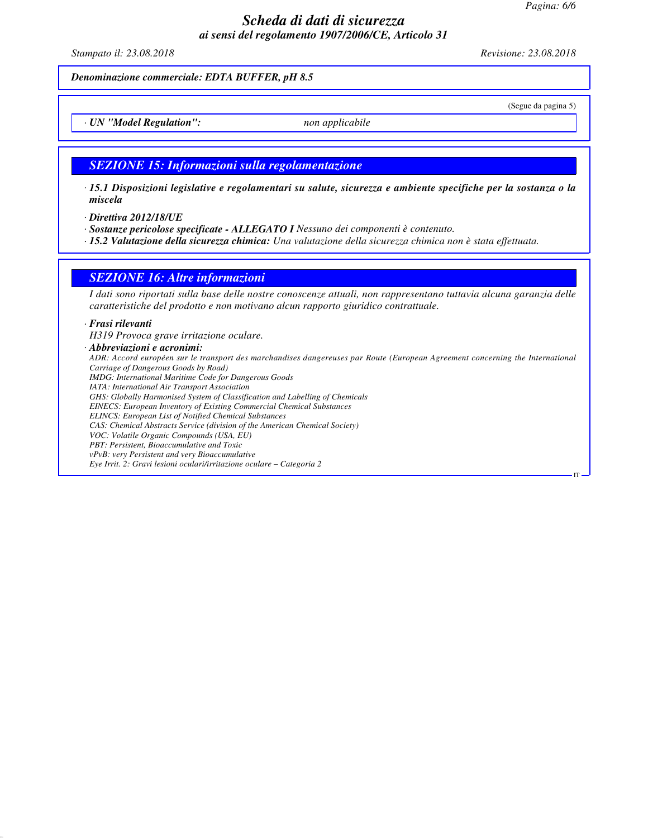*Pagina: 6/6*

## *Scheda di dati di sicurezza ai sensi del regolamento 1907/2006/CE, Articolo 31*

*Stampato il: 23.08.2018 Revisione: 23.08.2018*

(Segue da pagina 5)

IT

*Denominazione commerciale: EDTA BUFFER, pH 8.5*

*· UN "Model Regulation": non applicabile*

#### *SEZIONE 15: Informazioni sulla regolamentazione*

- *· 15.1 Disposizioni legislative e regolamentari su salute, sicurezza e ambiente specifiche per la sostanza o la miscela*
- *· Direttiva 2012/18/UE*
- *· Sostanze pericolose specificate ALLEGATO I Nessuno dei componenti è contenuto.*
- *· 15.2 Valutazione della sicurezza chimica: Una valutazione della sicurezza chimica non è stata effettuata.*

#### *SEZIONE 16: Altre informazioni*

*I dati sono riportati sulla base delle nostre conoscenze attuali, non rappresentano tuttavia alcuna garanzia delle caratteristiche del prodotto e non motivano alcun rapporto giuridico contrattuale.*

#### *· Frasi rilevanti*

*H319 Provoca grave irritazione oculare.*

#### *· Abbreviazioni e acronimi:*

*ADR: Accord européen sur le transport des marchandises dangereuses par Route (European Agreement concerning the International Carriage of Dangerous Goods by Road) IMDG: International Maritime Code for Dangerous Goods IATA: International Air Transport Association GHS: Globally Harmonised System of Classification and Labelling of Chemicals EINECS: European Inventory of Existing Commercial Chemical Substances ELINCS: European List of Notified Chemical Substances CAS: Chemical Abstracts Service (division of the American Chemical Society) VOC: Volatile Organic Compounds (USA, EU) PBT: Persistent, Bioaccumulative and Toxic vPvB: very Persistent and very Bioaccumulative Eye Irrit. 2: Gravi lesioni oculari/irritazione oculare – Categoria 2*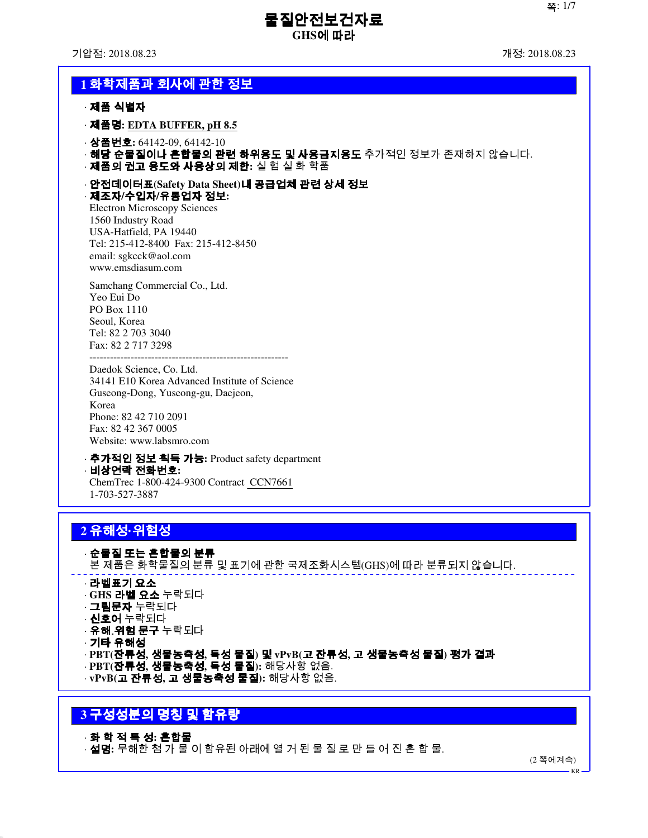기압점: 2018.08.23 개정: 2018.08.23

# **1** 화학제품과 회사에 관한 정보

· 제품 식별자

· 제품명**: EDTA BUFFER, pH 8.5**

· 상품번호**:** 64142-09, 64142-10

- · 해당 순물질이나 혼합물의 관련 하위용도 및 사용금지용도 추가적인 정보가 존재하지 않습니다.
- · 제품의 권고 용도와 사용상의 제한**:** 실 험 실 화 학품

· 안전데이터표**(Safety Data Sheet)**내 공급업체 관련 상세 정보 · 제조자**/**수입자**/**유통업자 정보**:**

Electron Microscopy Sciences 1560 Industry Road USA-Hatfield, PA 19440 Tel: 215-412-8400 Fax: 215-412-8450 email: sgkcck@aol.com www.emsdiasum.com

Samchang Commercial Co., Ltd. Yeo Eui Do PO Box 1110 Seoul, Korea Tel: 82 2 703 3040 Fax: 82 2 717 3298

---------------------------------------------------------- Daedok Science, Co. Ltd. 34141 E10 Korea Advanced Institute of Science Guseong-Dong, Yuseong-gu, Daejeon, Korea Phone: 82 42 710 2091 Fax: 82 42 367 0005 Website: www.labsmro.com

- · 추가적인 정보 획득 가능**:** Product safety department · 비상연락 전화번호**:** ChemTrec 1-800-424-9300 Contract CCN7661
- 1-703-527-3887

# **2** 유해성**·**위험성

· 순물질 또는 혼합물의 분류 본 제품은 화학물질의 분류 및 표기에 관한 국제조화시스템(GHS)에 따라 분류되지 않습니다. · 라벨표기 요소

- · **GHS** 라벨 요소 누락되다 · 그림문자 누락되다
- · 신호어 누락되다
- · 유해․위험 문구 누락되다
- 
- · 기타 유해성
- · **PBT(**잔류성**,** 생물농축성**,** 독성 물질**)** 및 **vPvB(**고 잔류성**,** 고 생물농축성 물질**)** 평가 결과
- · **PBT(**잔류성**,** 생물농축성**,** 독성 물질**):** 해당사항 없음.
- · **vPvB(**고 잔류성**,** 고 생물농축성 물질**):** 해당사항 없음.

# **3** 구성성분의 명칭 및 함유량

#### · 화 학 적 특 성**:** 혼합물

· 설명**:** 무해한 첨 가 물 이 함유된 아래에 열 거 된 물 질 로 만 들 어 진 혼 합 물.

(2 쪽에계속)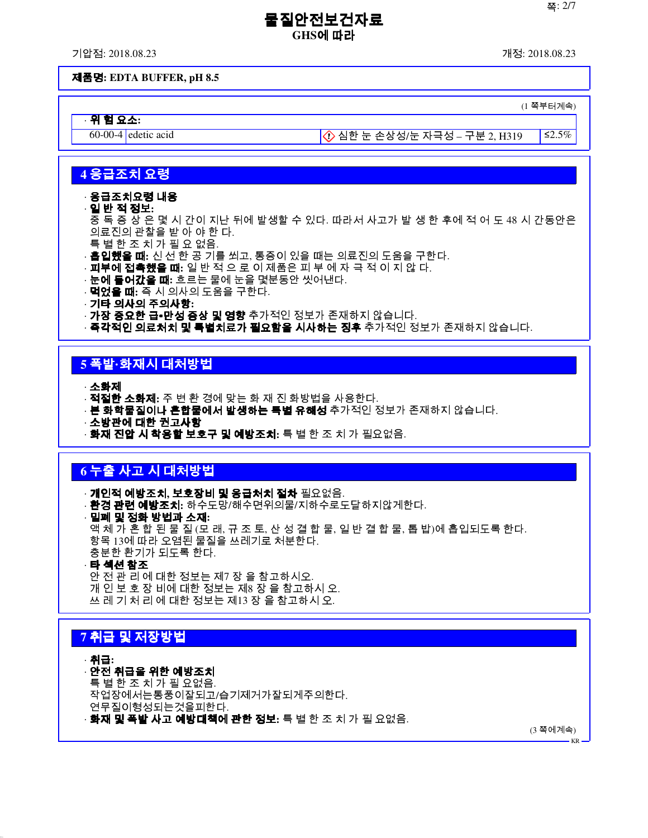기압점: 2018.08.23 개정: 2018.08.23

#### 제품명**: EDTA BUFFER, pH 8.5**

(1 쪽부터계속)

· 위 험 요소**:**

60-00-4 edetic acid 심한 눈 손상성/눈 자극성 – 구분 2, H319 ≤2.5%

## **4** 응급조치 요령

#### · 응급조치요령 내용

· 일 반 적 정보**:**

중 독 증 상 은 몇 시 간이 지난 뒤에 발생할 수 있다. 따라서 사고가 발 생 한 후에 적 어 도 48 시 간동안은 의료진의 관찰을 받 아 야 한 다.

- 특 별 한 조 치 가 필 요 없음.
- · 흡입했을 때**:** 신 선 한 공 기를 쐬고, 통증이 있을 때는 의료진의 도움을 구한다.
- · 피부에 접촉했을 때**:** 일 반 적 으 로 이 제품은 피 부 에 자 극 적 이 지 않 다.
- · 눈에 들어갔을 때**:** 흐르는 물에 눈을 몇분동안 씻어낸다.
- · 먹었을 때**:** 즉 시 의사의 도움을 구한다.
- · 기타 의사의 주의사항**:**
- · 가장 중요한 급∙만성 증상 및 영향 추가적인 정보가 존재하지 않습니다.

· **즉각적인 의료처치 및 특별치료가 필요함을 시사하는 징후** 추가적인 정보가 존재하지 않습니다.

# **5** 폭발**·**화재시 대처방법

· 소화제

- · 적절한 소화제**:** 주 변 환 경에 맞는 화 재 진 화방법을 사용한다.
- · **본 화학물질이나 혼합물에서 발생하는 특별 유해성** 추가적인 정보가 존재하지 않습니다.
- · 소방관에 대한 권고사항
- · 화재 진압 시 착용할 보호구 및 예방조치**:** 특 별 한 조 치 가 필요없음.

# **6** 누출 사고 시 대처방법

· 개인적 예방조치**,** 보호장비 및 응급처치 절차 필요없음. · 환경 관련 예방조치**:** 하수도망/해수면위의물/지하수로도달하지않게한다. · 밀폐 및 정화 방법과 소재**:** 액 체 가 혼 합 된 물 질 (모 래, 규 조 토, 산 성 결 합 물, 일 반 결 합 물, 톱 밥)에 흡입되도록 한다. 항목 13에 따라 오염된 물질을 쓰레기로 처분한다. 충분한 환기가 되도록 한다.

· 타 섹션 참조

안 전 관 리 에 대한 정보는 제7 장 을 참고하시오. 개 인 보 호 장 비에 대한 정보는 제8 장 을 참고하시 오. 쓰 레 기 처 리 에 대한 정보는 제13 장 을 참고하시 오.

# **7** 취급 및 저장방법

· 취급**:**

## · 안전 취급을 위한 예방조치

특 별 한 조 치 가 필 요없음. 작업장에서는통풍이잘되고/습기제거가잘되게주의한다. 연무질이형성되는것을피한다. · 화재 및 폭발 사고 예방대책에 관한 정보**:** 특 별 한 조 치 가 필 요없음.

(3 쪽에계속)

KR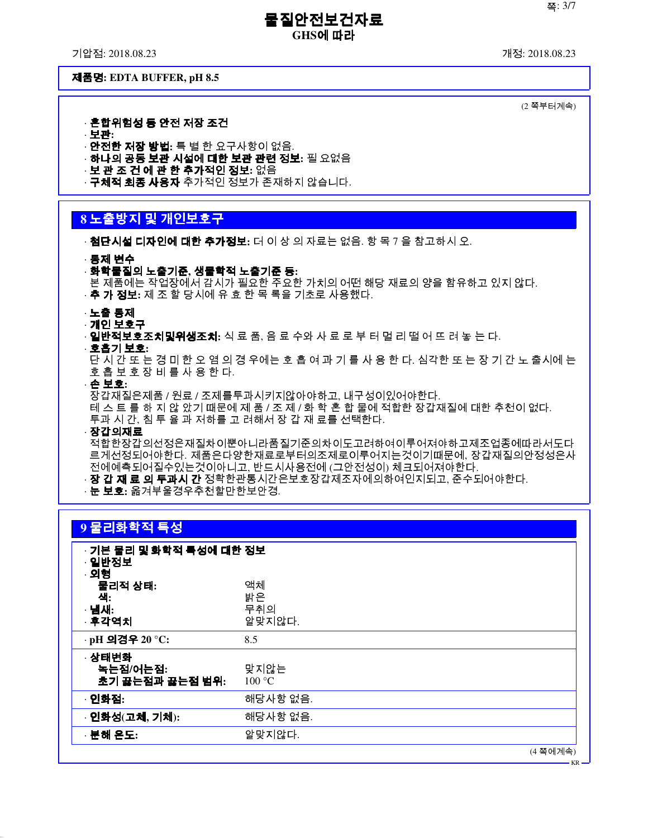기압점: 2018.08.23 개정: 2018.08.23

제품명**: EDTA BUFFER, pH 8.5**

(2 쪽부터계속)

KR

· 혼합위험성 등 안전 저장 조건

· 보관**:** · 안전한 저장 방법**:** 특 별 한 요구사항이 없음.

- · 하나의 공동 보관 시설에 대한 보관 관련 정보**:** 필 요없음
- · 보 관 조 건 에 관 한 추가적인 정보**:** 없음
- · **구체적 최종 사용자** 추가적인 정보가 존재하지 않습니다.

# **8** 노출방지 및 개인보호구

· 첨단시설 디자인에 대한 추가정보**:** 더 이 상 의 자료는 없음. 항 목 7 을 참고하시 오.

· 통제 변수

- · 화학물질의 노출기준**,** 생물학적 노출기준 등**:**
- 본 제품에는 작업장에서 감시가 필요한 주요한 가치의 어떤 해당 재료의 양을 함유하고 있지 않다.
- · 추 가 정보**:** 제 조 할 당시에 유 효 한 목 록을 기초로 사용했다.
- · 노출 통제
- · 개인 보호구
- · 일반적보호조치및위생조치**:** 식 료 품, 음 료 수와 사 료 로 부 터 멀 리 떨 어 뜨 려 놓 는 다.
- · 호흡기 보호**:**

단 시 간 또 는 경 미 한 오 염 의 경 우에는 호 흡 여 과 기 를 사 용 한 다. 심각한 또 는 장 기 간 노 출시에 는 호 흡 보 호 장 비 를 사 용 한 다.

· 손 보호**:**

장갑재질은제품 / 원료 / 조제를투과시키지않아야하고, 내구성이있어야한다. 테 스 트 를 하 지 않 았기 때문에 제 품 / 조 제 / 화 학 혼 합 물에 적합한 장갑재질에 대한 추천이 없다. 투과 시 간, 침 투 율 과 저하를 고 려해서 장 갑 재 료를 선택한다.

· 장갑의재료

적합한장갑의선정은재질차이뿐아니라품질기준의차이도고려하여이루어져야하고제조업종에따라서도다 르게선정되어야한다. 제품은다양한재료로부터의조제로이루어지는것이기때문에, 장갑재질의안정성은사 전에예측되어질수있는것이아니고, 반드시사용전에 (그안전성이) 체크되어져야한다.

· **장 갑 재 료 의 투과시 간** 정확한관통시간은보호장갑제조자에의하여인지되고, 준수되어야한다.

· 눈 보호**:** 옮겨부울경우추천할만한보안경.

# **9** 물리화학적 특성

| · 기본 물리 및 화학적 특성에 대한 정보<br>· 일반정보<br>· 외형 |                           |
|-------------------------------------------|---------------------------|
| 물리적 상태:<br>색:<br>· 냄새:<br>· 후각역치          | 액체<br>밝은<br>무취의<br>알맞지않다. |
| · pH 의경우 20 °C:                           | 8.5                       |
| · 상태변화<br>녹는점/어는점:<br>초기 끓는점과 끓는점 범위:     | 맞지않는<br>100 °C            |
| · 인화점:                                    | 해당사항 없음.                  |
| · 인화성(고체, 기체):                            | 해당사항 없음.                  |
| · 분해 온도:                                  | 알맞지않다.                    |
|                                           | (4 쪽에계속)                  |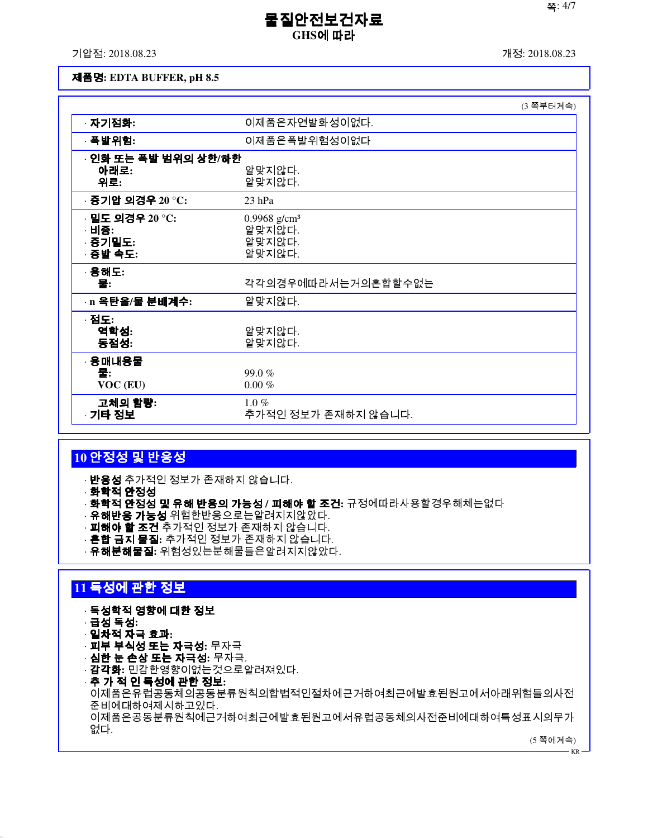기압점: 2018.08.23 개정: 2018.08.23

#### 제품명**: EDTA BUFFER, pH 8.5**

|                                                 |                                                        | (3 쪽부터계속) |
|-------------------------------------------------|--------------------------------------------------------|-----------|
| · 자기점화:                                         | 이제품은자연발화성이없다.                                          |           |
| · 폭발위험:                                         | 이제품은폭발위험성이없다                                           |           |
| · 인화 또는 폭발 범위의 상한/하한<br>아래로:<br>위로:             | 알맞지않다.<br>알맞지않다.                                       |           |
| · 증기압 의경우 20 °C:                                | $23$ hPa                                               |           |
| · 밀도 의경우 20 °C:<br>· 비중:<br>· 증기밀도:<br>· 증발 속도: | 0.9968 g/cm <sup>3</sup><br>알맞지않다.<br>알맞지않다.<br>알맞지않다. |           |
| · 용해도:<br>물:                                    | 각각의경우에따라서는거의혼합할수없는                                     |           |
| · n 옥탄을/물 분배계수:                                 | 알맞지않다.                                                 |           |
| · 점도:<br>역학성:<br>동점성:                           | 알맞지않다.<br>알맞지않다.                                       |           |
| · 용매내용물<br>물:<br>VOC (EU)                       | 99.0%<br>$0.00 \%$                                     |           |
| 고체의 함량:<br>· 기타 정보                              | $1.0\%$<br>추가적인 정보가 존재하지 않습니다.                         |           |

# **10** 안정성 및 반응성

· **반응성** 추가적인 정보가 존재하지 않습니다.

- · 화학적 안정성
- · 화학적 안정성 및 유해 반응의 가능성 **/** 피해야 할 조건**:** 규정에따라사용할경우해체는없다
- · **유해반응 가능성** 위험한반응으로는알려지지않았다.
- · **피해야 할 조건** 추가적인 정보가 존재하지 않습니다.
- · 혼합 금지 물질**:** 추가적인 정보가 존재하지 않습니다.
- · 유해분해물질**:** 위험성있는분해물들은알려지지않았다.

# **11** 독성에 관한 정보

#### · 독성학적 영향에 대한 정보

- · 급성 독성**:**
- · 일차적 자극 효과**:**
- · 피부 부식성 또는 자극성**:** 무자극
- · 심한 눈 손상 또는 자극성**:** 무자극.
- · 감각화**:** 민감한영향이없는것으로알려져있다.
- · 추 가 적 인 독성에 관한 정보**:** 이제품은유럽공동체의공동분류원칙의합법적인절차에근거하여최근에발효된원고에서아래위험들의사전 준비에대하여제시하고있다. 이제품은공동분류원칙에근거하여최근에발효된원고에서유럽공동체의사전준비에대하여특성표시의무가 없다.

(5 쪽에계속)

KR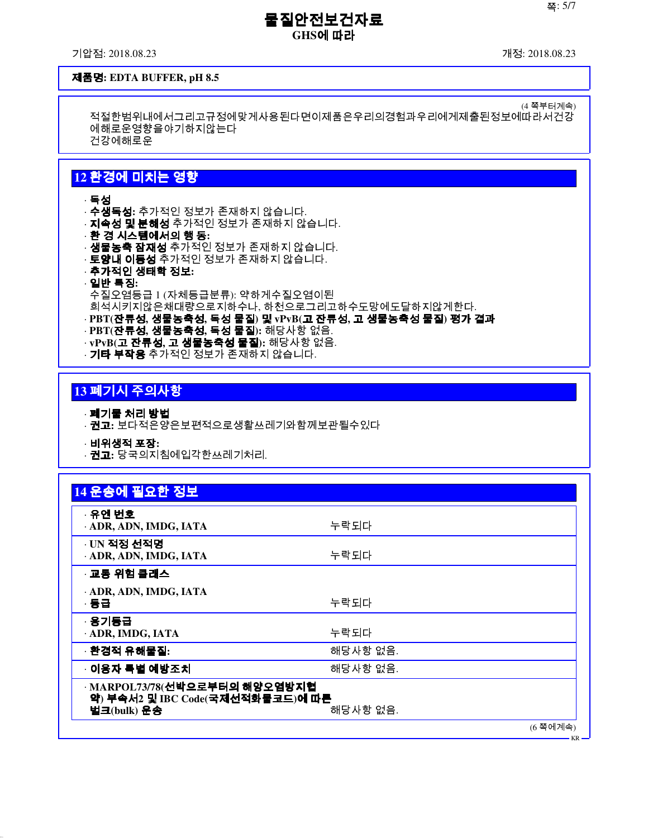기압점: 2018.08.23 개정: 2018.08.23

(4 쪽부터계속)

#### 제품명**: EDTA BUFFER, pH 8.5**

적절한범위내에서그리고규정에맞게사용된다면이제품은우리의경험과우리에게제출된정보에따라서건강 에해로운영향을야기하지않는다 건강에해로운

# **12** 환경에 미치는 영향

· 독성

- · 수생독성**:** 추가적인 정보가 존재하지 않습니다.
- · **지속성 및 분해성** 추가적인 정보가 존재하지 않습니다.
- · 환 경 시스템에서의 행 동**:**
- · **생물농축 잠재성** 추가적인 정보가 존재하지 않습니다.
- · **토양내 이동성** 추가적인 정보가 존재하지 않습니다.
- · 추가적인 생태학 정보**:**
- · 일반 특징**:**
- 수질오염등급 1 (자체등급분류): 약하게수질오염이된
- 희석시키지않은채대량으로지하수나, 하천으로그리고하수도망에도달하지않게한다.
- · **PBT(**잔류성**,** 생물농축성**,** 독성 물질**)** 및 **vPvB(**고 잔류성**,** 고 생물농축성 물질**)** 평가 결과 · **PBT(**잔류성**,** 생물농축성**,** 독성 물질**):** 해당사항 없음.
- · **vPvB(**고 잔류성**,** 고 생물농축성 물질**):** 해당사항 없음.
- · **기타 부작용** 추가적인 정보가 존재하지 않습니다.

# **13** 폐기시 주의사항

· 폐기물 처리 방법

- · 권고**:** 보다적은양은보편적으로생활쓰레기와함께보관될수있다
- · 비위생적 포장**:**
- · 권고**:** 당국의지침에입각한쓰레기처리.

| · 유엔 번호                          |          |  |
|----------------------------------|----------|--|
| · ADR, ADN, IMDG, IATA           | 누락되다     |  |
| $\cdot$ UN 적정 선적명                |          |  |
| · ADR, ADN, IMDG, IATA           | 누락되다     |  |
| · 교통 위험 클래스                      |          |  |
| ADR, ADN, IMDG, IATA             |          |  |
| · 동급                             | 누락되다     |  |
| · 용기등급                           |          |  |
| · ADR, IMDG, IATA                | 누락되다     |  |
| · 환경적 유해물질:                      | 해당사항 없음. |  |
| ◦ 이용자 특별 예방조치                    | 해당사항 없음. |  |
| · MARPOL73/78(선박으로부터의 해양오염방지협    |          |  |
| 약) 부속서2 및 IBC Code(국제선적화물코드)에 따른 |          |  |

KR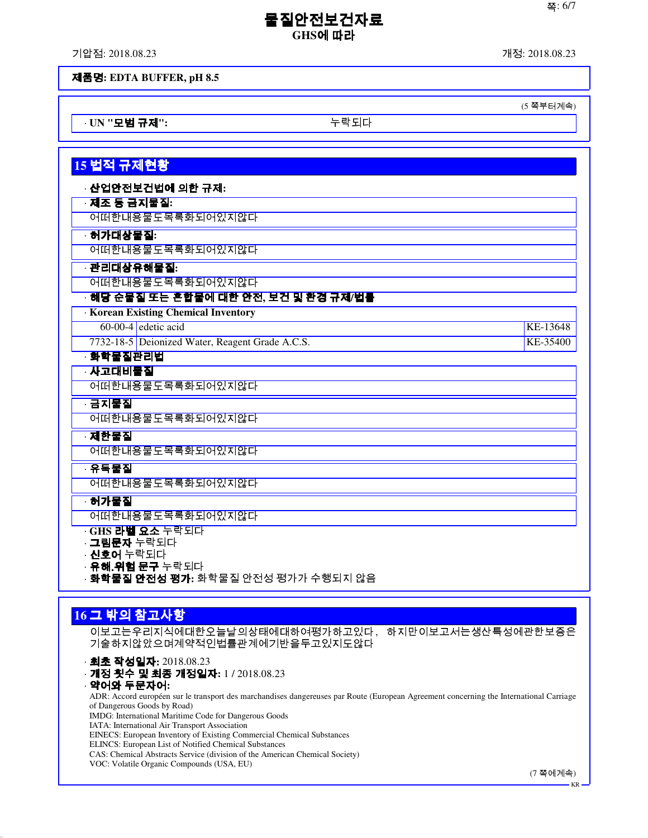기압점: 2018.08.23 개정: 2018.08.23

(5 쪽부터계속)

제품명**: EDTA BUFFER, pH 8.5**

· **UN "**모범 규제**":** 누락되다

# **15** 법적 규제현황 · 산업안전보건법에 의한 규제**:** · 제조 등 금지물질**:** 어떠한내용물도목록화되어있지않다 · 허가대상물질**:** 어떠한내용물도목록화되어있지않다 · 관리대상유해물질**:** 어떠한내용물도목록화되어있지않다 · 해당 순물질 또는 혼합물에 대한 안전**,** 보건 및 환경 규제**/**법률 · **Korean Existing Chemical Inventory** 60-00-4 edetic acid KE-13648 7732-18-5 Deionized Water, Reagent Grade A.C.S. KE-35400 · 화학물질관리법 · 사고대비물질 어떠한내용물도목록화되어있지않다 · 금지물질 어떠한내용물도목록화되어있지않다 · 제한물질 어떠한내용물도목록화되어있지않다 · 유독물질 어떠한내용물도목록화되어있지않다 · 허가물질

어떠한내용물도목록화되어있지않다

· **GHS** 라벨 요소 누락되다

· 그림문자 누락되다

- · 신호어 누락되다
- · **유해.위험 문구** 누락되다
- · 화학물질 안전성 평가**:** 화학물질 안전성 평가가 수행되지 않음

# **16** 그 밖의 참고사항

이보고는우리지식에대한오늘날의상태에대하여평가하고있다, 하지만이보고서는생산특성에관한보증은 기술하지않았으며계약적인법률관계에기반을두고있지도않다

· 최초 작성일자**:** 2018.08.23

- · 개정 횟수 및 최종 개정일자**:** 1 / 2018.08.23
- · 약어와 두문자어**:** ADR: Accord européen sur le transport des marchandises dangereuses par Route (European Agreement concerning the International Carriage of Dangerous Goods by Road) IMDG: International Maritime Code for Dangerous Goods IATA: International Air Transport Association EINECS: European Inventory of Existing Commercial Chemical Substances ELINCS: European List of Notified Chemical Substances

CAS: Chemical Abstracts Service (division of the American Chemical Society)

VOC: Volatile Organic Compounds (USA, EU)

(7 쪽에계속)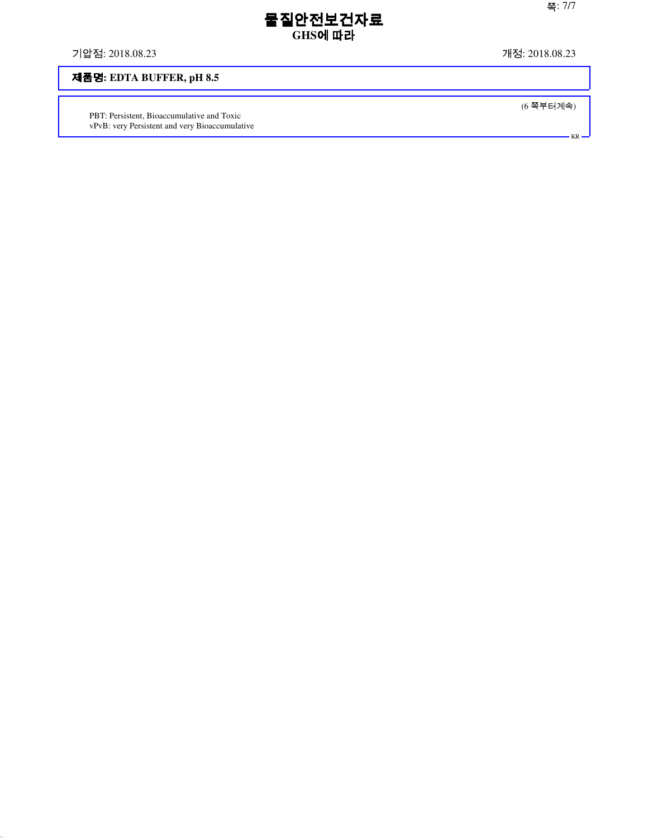기압점: 2018.08.23 개정: 2018.08.23

# 제품명**: EDTA BUFFER, pH 8.5**

PBT: Persistent, Bioaccumulative and Toxic vPvB: very Persistent and very Bioaccumulative (6 쪽부터계속)

KR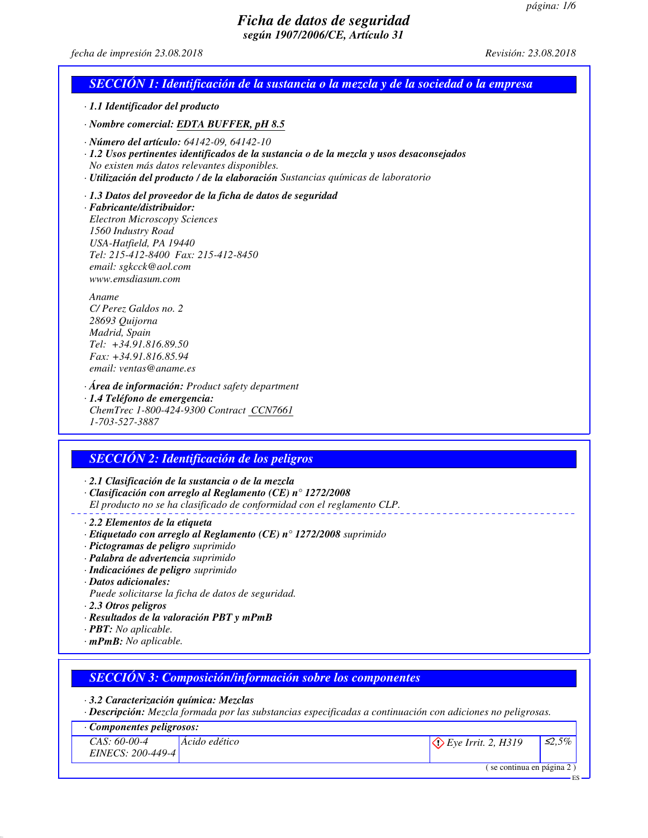ES

# *Ficha de datos de seguridad según 1907/2006/CE, Artículo 31*

#### *fecha de impresión 23.08.2018 Revisión: 23.08.2018*

| · 1.1 Identificador del producto                                                                                                                                                                                                                                      |                                                                                                                                                                                |
|-----------------------------------------------------------------------------------------------------------------------------------------------------------------------------------------------------------------------------------------------------------------------|--------------------------------------------------------------------------------------------------------------------------------------------------------------------------------|
| · Nombre comercial: EDTA BUFFER, pH 8.5                                                                                                                                                                                                                               |                                                                                                                                                                                |
| $\cdot$ Número del artículo: 64142-09, 64142-10<br>No existen más datos relevantes disponibles.                                                                                                                                                                       | · 1.2 Usos pertinentes identificados de la sustancia o de la mezcla y usos desaconsejados<br>· Utilización del producto / de la elaboración Sustancias químicas de laboratorio |
| · 1.3 Datos del proveedor de la ficha de datos de seguridad<br>· Fabricante/distribuidor:<br><b>Electron Microscopy Sciences</b><br>1560 Industry Road<br>USA-Hatfield, PA 19440<br>Tel: 215-412-8400 Fax: 215-412-8450<br>email: sgkcck@aol.com<br>www.emsdiasum.com |                                                                                                                                                                                |
| Aname<br>C/Perez Galdos no. 2<br>28693 Quijorna<br>Madrid, Spain<br>Tel: +34.91.816.89.50<br>$Fax: +34.91.816.85.94$<br>email: ventas@aname.es                                                                                                                        |                                                                                                                                                                                |
| $\cdot$ Área de información: Product safety department<br>· 1.4 Teléfono de emergencia:<br>ChemTrec 1-800-424-9300 Contract CCN7661<br>1-703-527-3887                                                                                                                 |                                                                                                                                                                                |
| <b>SECCIÓN 2: Identificación de los peligros</b>                                                                                                                                                                                                                      |                                                                                                                                                                                |
| · 2.1 Clasificación de la sustancia o de la mezcla                                                                                                                                                                                                                    | $\cdot$ Clasificación con arreglo al Reglamento (CE) n° 1272/2008<br>El producto no se ha clasificado de conformidad con el reglamento CLP.                                    |
| · 2.2 Elementos de la etiqueta<br>$\cdot$ Etiquetado con arreglo al Reglamento (CE) nº 1272/2008 suprimido                                                                                                                                                            |                                                                                                                                                                                |

- *· Pictogramas de peligro suprimido*
- *· Palabra de advertencia suprimido*
- *· Indicaciónes de peligro suprimido*
- *· Datos adicionales:*
- *Puede solicitarse la ficha de datos de seguridad.*
- *· 2.3 Otros peligros*
- *· Resultados de la valoración PBT y mPmB*
- *· PBT: No aplicable.*
- *· mPmB: No aplicable.*

## *SECCIÓN 3: Composición/información sobre los componentes*

#### *· 3.2 Caracterización química: Mezclas*

*· Descripción: Mezcla formada por las substancias especificadas a continuación con adiciones no peligrosas.*

#### *· Componentes peligrosos: CAS: 60-00-4 EINECS: 200-449-4 Ácido edético Eye Irrit. 2, H319* ≤*2,5%* ( se continua en página 2 )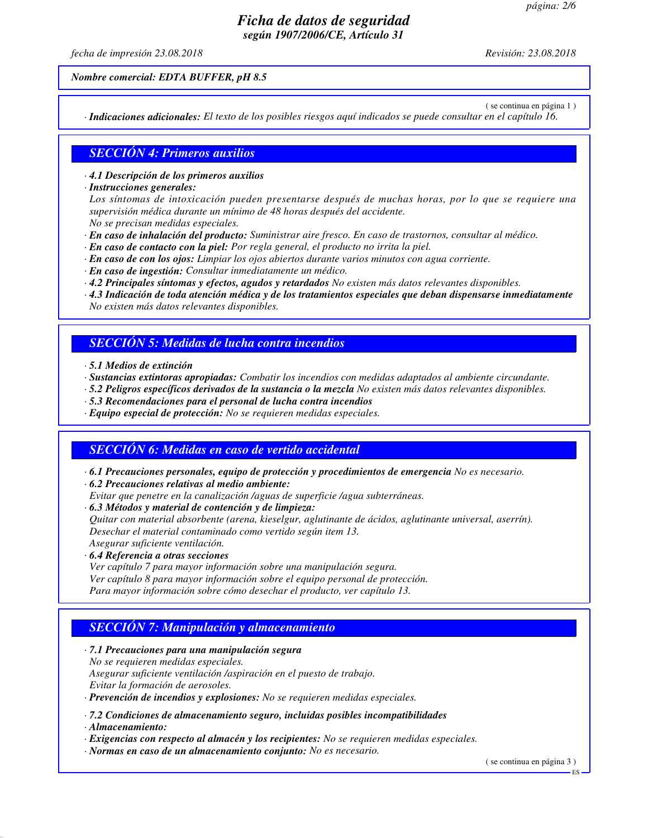*fecha de impresión 23.08.2018 Revisión: 23.08.2018*

*Nombre comercial: EDTA BUFFER, pH 8.5*

( se continua en página 1 )

*· Indicaciones adicionales: El texto de los posibles riesgos aquí indicados se puede consultar en el capítulo 16.*

## *SECCIÓN 4: Primeros auxilios*

*· 4.1 Descripción de los primeros auxilios*

*· Instrucciones generales:*

*Los síntomas de intoxicación pueden presentarse después de muchas horas, por lo que se requiere una supervisión médica durante un mínimo de 48 horas después del accidente.*

*No se precisan medidas especiales.*

- *· En caso de inhalación del producto: Suministrar aire fresco. En caso de trastornos, consultar al médico.*
- *· En caso de contacto con la piel: Por regla general, el producto no irrita la piel.*
- *· En caso de con los ojos: Limpiar los ojos abiertos durante varios minutos con agua corriente.*
- *· En caso de ingestión: Consultar inmediatamente un médico.*
- *· 4.2 Principales síntomas y efectos, agudos y retardados No existen más datos relevantes disponibles.*
- *· 4.3 Indicación de toda atención médica y de los tratamientos especiales que deban dispensarse inmediatamente No existen más datos relevantes disponibles.*

## *SECCIÓN 5: Medidas de lucha contra incendios*

- *· 5.1 Medios de extinción*
- *· Sustancias extintoras apropiadas: Combatir los incendios con medidas adaptados al ambiente circundante.*
- *· 5.2 Peligros específicos derivados de la sustancia o la mezcla No existen más datos relevantes disponibles.*
- *· 5.3 Recomendaciones para el personal de lucha contra incendios*
- *· Equipo especial de protección: No se requieren medidas especiales.*

## *SECCIÓN 6: Medidas en caso de vertido accidental*

- *· 6.1 Precauciones personales, equipo de protección y procedimientos de emergencia No es necesario.*
- *· 6.2 Precauciones relativas al medio ambiente:*
- *Evitar que penetre en la canalización /aguas de superficie /agua subterráneas.*
- *· 6.3 Métodos y material de contención y de limpieza:*

*Quitar con material absorbente (arena, kieselgur, aglutinante de ácidos, aglutinante universal, aserrín). Desechar el material contaminado como vertido según item 13.*

- *Asegurar suficiente ventilación.*
- *· 6.4 Referencia a otras secciones*
- *Ver capítulo 7 para mayor información sobre una manipulación segura. Ver capítulo 8 para mayor información sobre el equipo personal de protección. Para mayor información sobre cómo desechar el producto, ver capítulo 13.*

## *SECCIÓN 7: Manipulación y almacenamiento*

*· 7.1 Precauciones para una manipulación segura*

*No se requieren medidas especiales.*

*Asegurar suficiente ventilación /aspiración en el puesto de trabajo. Evitar la formación de aerosoles.*

*· Prevención de incendios y explosiones: No se requieren medidas especiales.*

*· 7.2 Condiciones de almacenamiento seguro, incluidas posibles incompatibilidades*

*· Almacenamiento:*

*· Exigencias con respecto al almacén y los recipientes: No se requieren medidas especiales.*

*· Normas en caso de un almacenamiento conjunto: No es necesario.*

( se continua en página 3 )

ES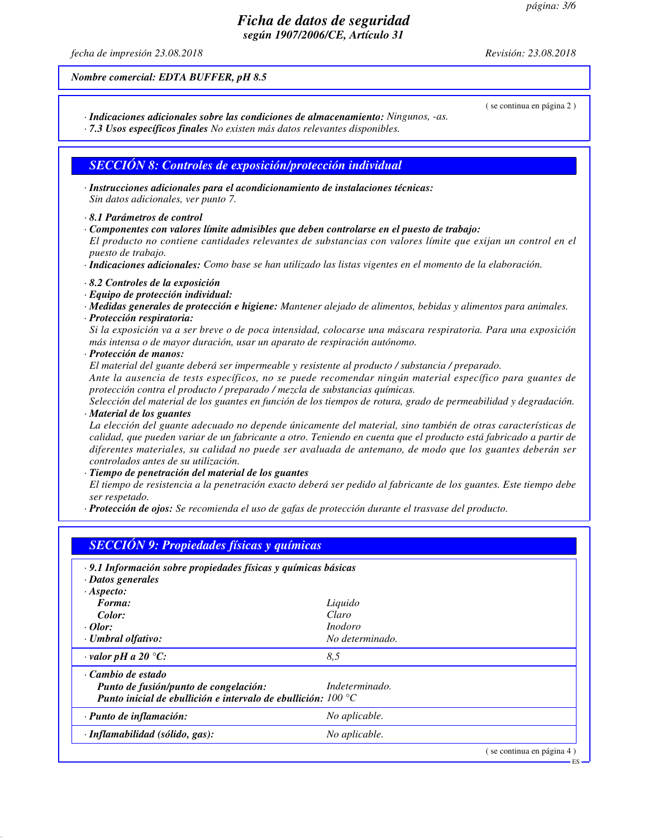ES

## *Ficha de datos de seguridad según 1907/2006/CE, Artículo 31*

*fecha de impresión 23.08.2018 Revisión: 23.08.2018*

( se continua en página 2 )

*Nombre comercial: EDTA BUFFER, pH 8.5*

- *· Indicaciones adicionales sobre las condiciones de almacenamiento: Ningunos, -as.*
- *· 7.3 Usos específicos finales No existen más datos relevantes disponibles.*

## *SECCIÓN 8: Controles de exposición/protección individual*

- *· Instrucciones adicionales para el acondicionamiento de instalaciones técnicas: Sin datos adicionales, ver punto 7.*
- *· 8.1 Parámetros de control*
- *· Componentes con valores límite admisibles que deben controlarse en el puesto de trabajo:*

*El producto no contiene cantidades relevantes de substancias con valores límite que exijan un control en el puesto de trabajo.*

*· Indicaciones adicionales: Como base se han utilizado las listas vigentes en el momento de la elaboración.*

- *· 8.2 Controles de la exposición*
- *· Equipo de protección individual:*
- *· Medidas generales de protección e higiene: Mantener alejado de alimentos, bebidas y alimentos para animales.*
- *· Protección respiratoria:*

*Si la exposición va a ser breve o de poca intensidad, colocarse una máscara respiratoria. Para una exposición más intensa o de mayor duración, usar un aparato de respiración autónomo.*

*· Protección de manos:*

*El material del guante deberá ser impermeable y resistente al producto / substancia / preparado.*

*Ante la ausencia de tests específicos, no se puede recomendar ningún material específico para guantes de protección contra el producto / preparado / mezcla de substancias químicas.*

*Selección del material de los guantes en función de los tiempos de rotura, grado de permeabilidad y degradación. · Material de los guantes*

*La elección del guante adecuado no depende únicamente del material, sino también de otras características de calidad, que pueden variar de un fabricante a otro. Teniendo en cuenta que el producto está fabricado a partir de diferentes materiales, su calidad no puede ser avaluada de antemano, de modo que los guantes deberán ser controlados antes de su utilización.*

*· Tiempo de penetración del material de los guantes*

*El tiempo de resistencia a la penetración exacto deberá ser pedido al fabricante de los guantes. Este tiempo debe ser respetado.*

*· Protección de ojos: Se recomienda el uso de gafas de protección durante el trasvase del producto.*

| · 9.1 Información sobre propiedades físicas y químicas básicas         |                 |  |
|------------------------------------------------------------------------|-----------------|--|
| · Datos generales                                                      |                 |  |
| $·A$ specto:                                                           |                 |  |
| Forma:                                                                 | Liquido         |  |
| Color:                                                                 | Claro           |  |
| $\cdot$ Olor:                                                          | <i>Inodoro</i>  |  |
| · Umbral olfativo:                                                     | No determinado. |  |
| $\cdot$ valor pH a 20 °C:                                              | 8,5             |  |
| Cambio de estado                                                       |                 |  |
| Punto de fusión/punto de congelación:                                  | Indeterminado.  |  |
| Punto inicial de ebullición e intervalo de ebullición; $100^{\circ}$ C |                 |  |
| · Punto de inflamación:                                                | No aplicable.   |  |
| $\cdot$ Inflamabilidad (sólido, gas):                                  | No aplicable.   |  |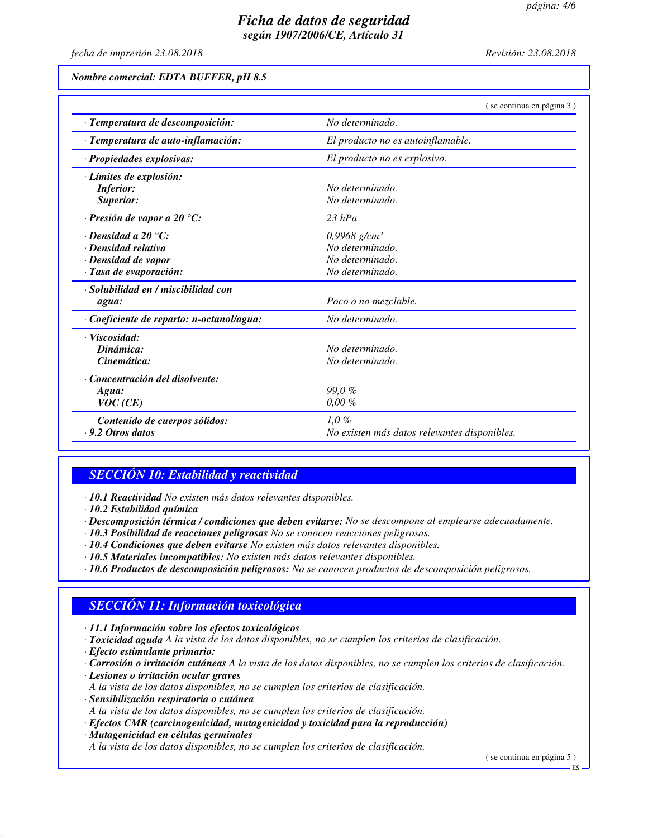*fecha de impresión 23.08.2018 Revisión: 23.08.2018*

*Nombre comercial: EDTA BUFFER, pH 8.5*

|                                           | (se continua en página 3)                    |  |
|-------------------------------------------|----------------------------------------------|--|
| · Temperatura de descomposición:          | No determinado.                              |  |
| · Temperatura de auto-inflamación:        | El producto no es autoinflamable.            |  |
| · Propiedades explosivas:                 | El producto no es explosivo.                 |  |
| · Límites de explosión:                   |                                              |  |
| <b>Inferior:</b>                          | No determinado.                              |  |
| Superior:                                 | No determinado.                              |  |
| $\cdot$ Presión de vapor a 20 °C:         | $23$ hPa                                     |  |
| $\cdot$ Densidad a 20 $\degree$ C:        | $0,9968$ g/cm <sup>3</sup>                   |  |
| · Densidad relativa                       | No determinado.                              |  |
| · Densidad de vapor                       | No determinado.                              |  |
| · Tasa de evaporación:                    | No determinado.                              |  |
| · Solubilidad en / miscibilidad con       |                                              |  |
| agua:                                     | Poco o no mezclable.                         |  |
| · Coeficiente de reparto: n-octanol/agua: | No determinado.                              |  |
| · Viscosidad:                             |                                              |  |
| Dinámica:                                 | No determinado.                              |  |
| Cinemática:                               | No determinado.                              |  |
| Concentración del disolvente:             |                                              |  |
| Agua:                                     | 99.0%                                        |  |
| VOC(CE)                                   | $0,00\%$                                     |  |
| Contenido de cuerpos sólidos:             | $1,0\%$                                      |  |
| $-9.2$ Otros datos                        | No existen más datos relevantes disponibles. |  |

# *SECCIÓN 10: Estabilidad y reactividad*

*· 10.1 Reactividad No existen más datos relevantes disponibles.*

*· 10.2 Estabilidad química*

*· Descomposición térmica / condiciones que deben evitarse: No se descompone al emplearse adecuadamente.*

- *· 10.3 Posibilidad de reacciones peligrosas No se conocen reacciones peligrosas.*
- *· 10.4 Condiciones que deben evitarse No existen más datos relevantes disponibles.*
- *· 10.5 Materiales incompatibles: No existen más datos relevantes disponibles.*
- *· 10.6 Productos de descomposición peligrosos: No se conocen productos de descomposición peligrosos.*

# *SECCIÓN 11: Información toxicológica*

*· 11.1 Información sobre los efectos toxicológicos*

- *· Toxicidad aguda A la vista de los datos disponibles, no se cumplen los criterios de clasificación.*
- *· Efecto estimulante primario:*
- *· Corrosión o irritación cutáneas A la vista de los datos disponibles, no se cumplen los criterios de clasificación.*
- *· Lesiones o irritación ocular graves*

*A la vista de los datos disponibles, no se cumplen los criterios de clasificación.*

- *· Sensibilización respiratoria o cutánea*
- *A la vista de los datos disponibles, no se cumplen los criterios de clasificación.*
- *· Efectos CMR (carcinogenicidad, mutagenicidad y toxicidad para la reproducción)*

*· Mutagenicidad en células germinales*

*A la vista de los datos disponibles, no se cumplen los criterios de clasificación.*

( se continua en página 5 )

ES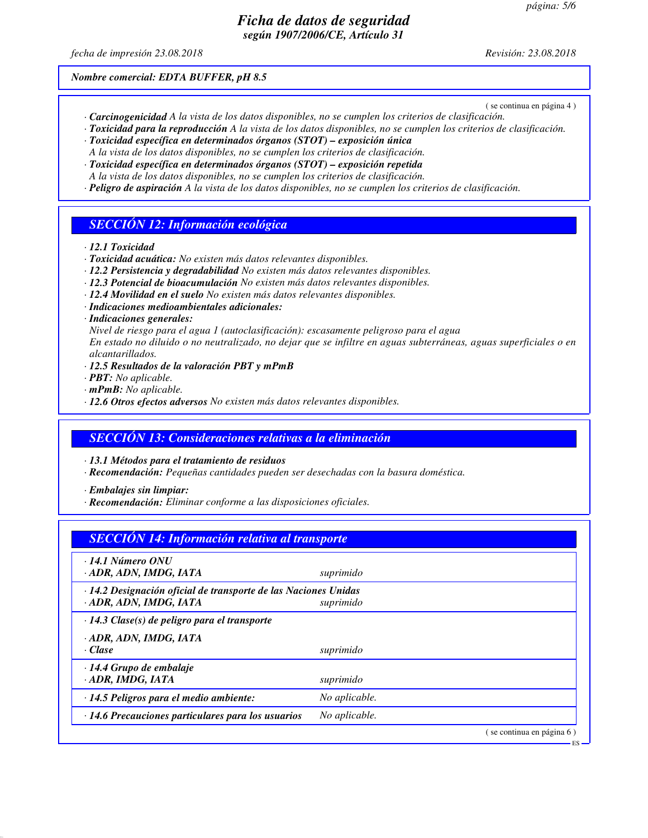*fecha de impresión 23.08.2018 Revisión: 23.08.2018*

*Nombre comercial: EDTA BUFFER, pH 8.5*

( se continua en página 4 )

ES

- *· Carcinogenicidad A la vista de los datos disponibles, no se cumplen los criterios de clasificación.*
- *· Toxicidad para la reproducción A la vista de los datos disponibles, no se cumplen los criterios de clasificación. · Toxicidad específica en determinados órganos (STOT) – exposición única*
- *A la vista de los datos disponibles, no se cumplen los criterios de clasificación.*
- *· Toxicidad específica en determinados órganos (STOT) exposición repetida*
- *A la vista de los datos disponibles, no se cumplen los criterios de clasificación.*
- *· Peligro de aspiración A la vista de los datos disponibles, no se cumplen los criterios de clasificación.*

#### *SECCIÓN 12: Información ecológica*

- *· 12.1 Toxicidad*
- *· Toxicidad acuática: No existen más datos relevantes disponibles.*
- *· 12.2 Persistencia y degradabilidad No existen más datos relevantes disponibles.*
- *· 12.3 Potencial de bioacumulación No existen más datos relevantes disponibles.*
- *· 12.4 Movilidad en el suelo No existen más datos relevantes disponibles.*
- *· Indicaciones medioambientales adicionales:*
- *· Indicaciones generales:*
- *Nivel de riesgo para el agua 1 (autoclasificación): escasamente peligroso para el agua*

*En estado no diluido o no neutralizado, no dejar que se infiltre en aguas subterráneas, aguas superficiales o en alcantarillados.*

- *· 12.5 Resultados de la valoración PBT y mPmB*
- *· PBT: No aplicable.*
- *· mPmB: No aplicable.*
- *· 12.6 Otros efectos adversos No existen más datos relevantes disponibles.*

#### *SECCIÓN 13: Consideraciones relativas a la eliminación*

*· 13.1 Métodos para el tratamiento de residuos*

*· Recomendación: Pequeñas cantidades pueden ser desechadas con la basura doméstica.*

*· Embalajes sin limpiar:*

*· Recomendación: Eliminar conforme a las disposiciones oficiales.*

| <b>SECCIÓN 14: Información relativa al transporte</b>                                     |               |                          |
|-------------------------------------------------------------------------------------------|---------------|--------------------------|
| $\cdot$ 14.1 Número ONU<br>· ADR, ADN, IMDG, IATA                                         | suprimido     |                          |
| · 14.2 Designación oficial de transporte de las Naciones Unidas<br>· ADR, ADN, IMDG, IATA | suprimido     |                          |
| $\cdot$ 14.3 Clase(s) de peligro para el transporte                                       |               |                          |
| · ADR, ADN, IMDG, IATA<br>· Clase                                                         | suprimido     |                          |
| $\cdot$ 14.4 Grupo de embalaje<br>· ADR, IMDG, IATA                                       | suprimido     |                          |
| · 14.5 Peligros para el medio ambiente:                                                   | No aplicable. |                          |
| $\cdot$ 14.6 Precauciones particulares para los usuarios                                  | No aplicable. |                          |
|                                                                                           |               | se continua en página 6) |